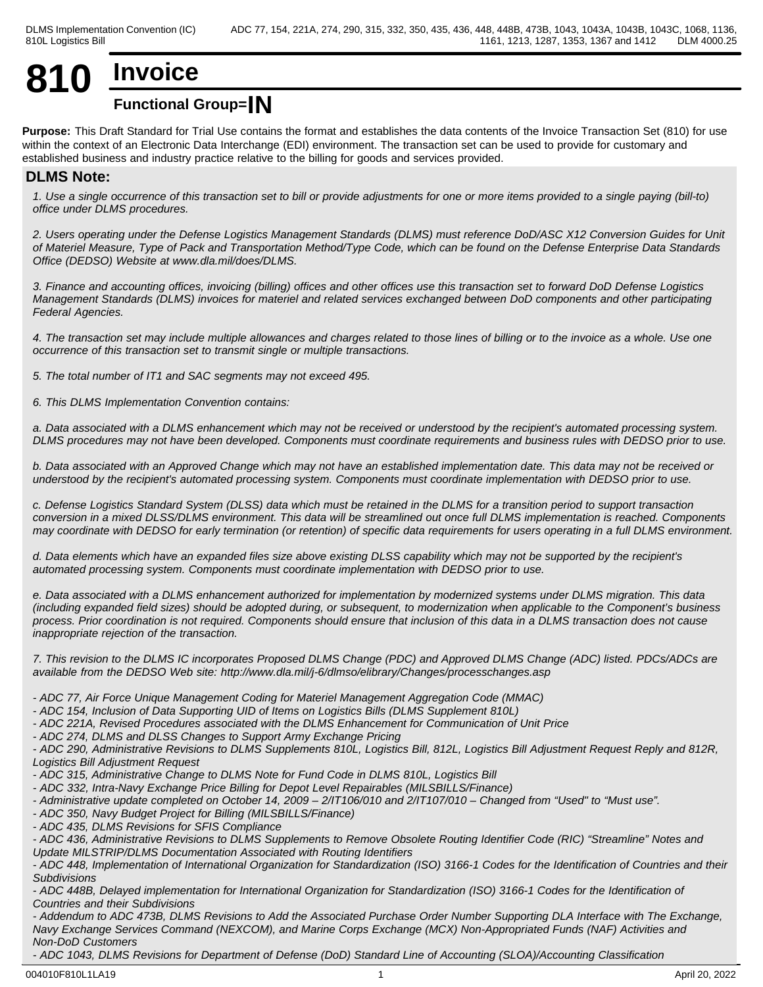# **810 Invoice**

## **Functional Group=IN**

**Purpose:** This Draft Standard for Trial Use contains the format and establishes the data contents of the Invoice Transaction Set (810) for use within the context of an Electronic Data Interchange (EDI) environment. The transaction set can be used to provide for customary and established business and industry practice relative to the billing for goods and services provided.

## **DLMS Note:**

*1. Use a single occurrence of this transaction set to bill or provide adjustments for one or more items provided to a single paying (bill-to) office under DLMS procedures.*

*2. Users operating under the Defense Logistics Management Standards (DLMS) must reference DoD/ASC X12 Conversion Guides for Unit of Materiel Measure, Type of Pack and Transportation Method/Type Code, which can be found on the Defense Enterprise Data Standards Office (DEDSO) Website at www.dla.mil/does/DLMS.*

*3. Finance and accounting offices, invoicing (billing) offices and other offices use this transaction set to forward DoD Defense Logistics Management Standards (DLMS) invoices for materiel and related services exchanged between DoD components and other participating Federal Agencies.*

*4. The transaction set may include multiple allowances and charges related to those lines of billing or to the invoice as a whole. Use one occurrence of this transaction set to transmit single or multiple transactions.*

*5. The total number of IT1 and SAC segments may not exceed 495.*

*6. This DLMS Implementation Convention contains:*

*a. Data associated with a DLMS enhancement which may not be received or understood by the recipient's automated processing system. DLMS procedures may not have been developed. Components must coordinate requirements and business rules with DEDSO prior to use.*

*b. Data associated with an Approved Change which may not have an established implementation date. This data may not be received or understood by the recipient's automated processing system. Components must coordinate implementation with DEDSO prior to use.*

*c. Defense Logistics Standard System (DLSS) data which must be retained in the DLMS for a transition period to support transaction conversion in a mixed DLSS/DLMS environment. This data will be streamlined out once full DLMS implementation is reached. Components may coordinate with DEDSO for early termination (or retention) of specific data requirements for users operating in a full DLMS environment.*

*d. Data elements which have an expanded files size above existing DLSS capability which may not be supported by the recipient's automated processing system. Components must coordinate implementation with DEDSO prior to use.*

*e. Data associated with a DLMS enhancement authorized for implementation by modernized systems under DLMS migration. This data (including expanded field sizes) should be adopted during, or subsequent, to modernization when applicable to the Component's business process. Prior coordination is not required. Components should ensure that inclusion of this data in a DLMS transaction does not cause inappropriate rejection of the transaction.*

*7. This revision to the DLMS IC incorporates Proposed DLMS Change (PDC) and Approved DLMS Change (ADC) listed. PDCs/ADCs are available from the DEDSO Web site: http://www.dla.mil/j-6/dlmso/elibrary/Changes/processchanges.asp*

*- ADC 77, Air Force Unique Management Coding for Materiel Management Aggregation Code (MMAC)*

*- ADC 154, Inclusion of Data Supporting UID of Items on Logistics Bills (DLMS Supplement 810L)*

- *ADC 221A, Revised Procedures associated with the DLMS Enhancement for Communication of Unit Price*
- *ADC 274, DLMS and DLSS Changes to Support Army Exchange Pricing*

*- ADC 290, Administrative Revisions to DLMS Supplements 810L, Logistics Bill, 812L, Logistics Bill Adjustment Request Reply and 812R, Logistics Bill Adjustment Request* 

*- ADC 315, Administrative Change to DLMS Note for Fund Code in DLMS 810L, Logistics Bill*

*- ADC 332, Intra-Navy Exchange Price Billing for Depot Level Repairables (MILSBILLS/Finance)*

*- Administrative update completed on October 14, 2009 – 2/IT106/010 and 2/IT107/010 – Changed from "Used" to "Must use".*

- *ADC 350, Navy Budget Project for Billing (MILSBILLS/Finance)*
- *ADC 435, DLMS Revisions for SFIS Compliance*

*- ADC 436, Administrative Revisions to DLMS Supplements to Remove Obsolete Routing Identifier Code (RIC) "Streamline" Notes and Update MILSTRIP/DLMS Documentation Associated with Routing Identifiers*

*- ADC 448, Implementation of International Organization for Standardization (ISO) 3166-1 Codes for the Identification of Countries and their Subdivisions*

*- ADC 448B, Delayed implementation for International Organization for Standardization (ISO) 3166-1 Codes for the Identification of Countries and their Subdivisions*

*- Addendum to ADC 473B, DLMS Revisions to Add the Associated Purchase Order Number Supporting DLA Interface with The Exchange, Navy Exchange Services Command (NEXCOM), and Marine Corps Exchange (MCX) Non-Appropriated Funds (NAF) Activities and Non-DoD Customers*

*- ADC 1043, DLMS Revisions for Department of Defense (DoD) Standard Line of Accounting (SLOA)/Accounting Classification*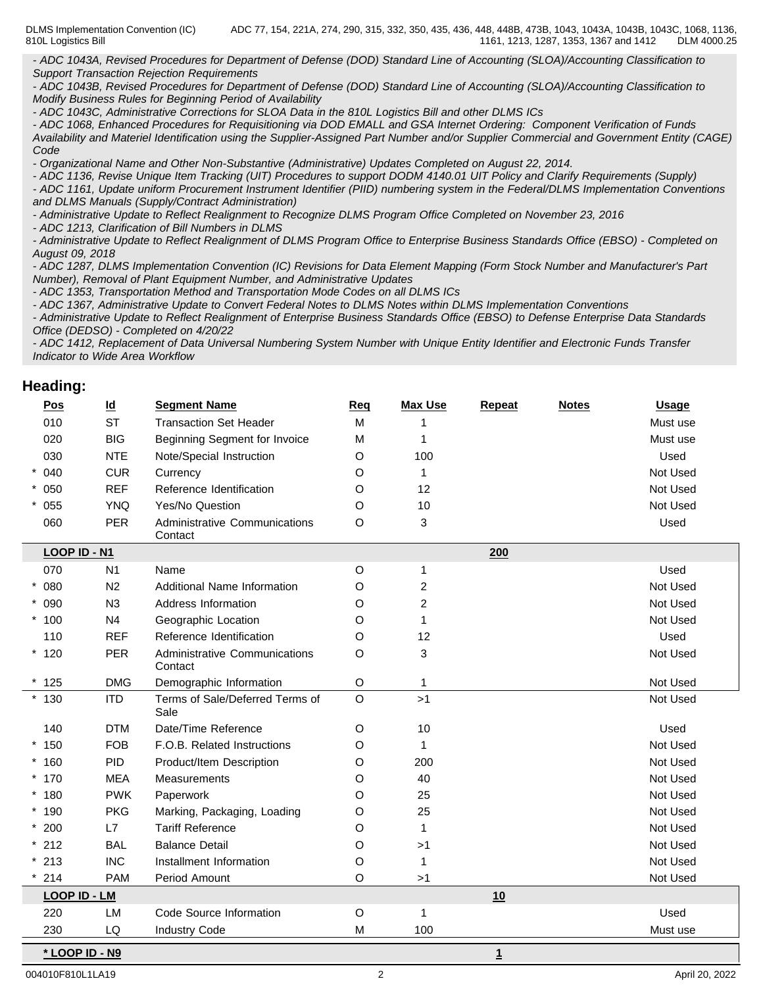DLMS Implementation Convention (IC) 810L Logistics Bill ADC 77, 154, 221A, 274, 290, 315, 332, 350, 435, 436, 448, 448B, 473B, 1043, 1043A, 1043B, 1043C, 1068, 1136, 1161, 1213, 1287, 1353, 1367 and 1412 DLM 4000.25

*- ADC 1043A, Revised Procedures for Department of Defense (DOD) Standard Line of Accounting (SLOA)/Accounting Classification to Support Transaction Rejection Requirements*

*- ADC 1043B, Revised Procedures for Department of Defense (DOD) Standard Line of Accounting (SLOA)/Accounting Classification to Modify Business Rules for Beginning Period of Availability*

*- ADC 1043C, Administrative Corrections for SLOA Data in the 810L Logistics Bill and other DLMS ICs*

*- ADC 1068, Enhanced Procedures for Requisitioning via DOD EMALL and GSA Internet Ordering: Component Verification of Funds Availability and Materiel Identification using the Supplier-Assigned Part Number and/or Supplier Commercial and Government Entity (CAGE) Code*

*- Organizational Name and Other Non-Substantive (Administrative) Updates Completed on August 22, 2014.*

*- ADC 1136, Revise Unique Item Tracking (UIT) Procedures to support DODM 4140.01 UIT Policy and Clarify Requirements (Supply)*

*- ADC 1161, Update uniform Procurement Instrument Identifier (PIID) numbering system in the Federal/DLMS Implementation Conventions and DLMS Manuals (Supply/Contract Administration)*

*- Administrative Update to Reflect Realignment to Recognize DLMS Program Office Completed on November 23, 2016*

*- ADC 1213, Clarification of Bill Numbers in DLMS*

*- Administrative Update to Reflect Realignment of DLMS Program Office to Enterprise Business Standards Office (EBSO) - Completed on August 09, 2018*

*- ADC 1287, DLMS Implementation Convention (IC) Revisions for Data Element Mapping (Form Stock Number and Manufacturer's Part Number), Removal of Plant Equipment Number, and Administrative Updates*

*- ADC 1353, Transportation Method and Transportation Mode Codes on all DLMS ICs*

*- ADC 1367, Administrative Update to Convert Federal Notes to DLMS Notes within DLMS Implementation Conventions*

*- Administrative Update to Reflect Realignment of Enterprise Business Standards Office (EBSO) to Defense Enterprise Data Standards Office (DEDSO) - Completed on 4/20/22*

*- ADC 1412, Replacement of Data Universal Numbering System Number with Unique Entity Identifier and Electronic Funds Transfer Indicator to Wide Area Workflow*

### **Heading:**

| $\underline{\text{Pos}}$ | $\underline{\mathsf{Id}}$ | <b>Segment Name</b>                      | Req     | <b>Max Use</b> | Repeat       | <b>Notes</b> | <b>Usage</b> |
|--------------------------|---------------------------|------------------------------------------|---------|----------------|--------------|--------------|--------------|
| 010                      | <b>ST</b>                 | <b>Transaction Set Header</b>            | M       |                |              |              | Must use     |
| 020                      | <b>BIG</b>                | Beginning Segment for Invoice            | M       | 1              |              |              | Must use     |
| 030                      | <b>NTE</b>                | Note/Special Instruction                 | $\circ$ | 100            |              |              | Used         |
| 040<br>$^{\star}$        | <b>CUR</b>                | Currency                                 | $\circ$ | $\mathbf{1}$   |              |              | Not Used     |
| $* 050$                  | <b>REF</b>                | Reference Identification                 | O       | 12             |              |              | Not Used     |
| $* 055$                  | <b>YNQ</b>                | Yes/No Question                          | $\circ$ | 10             |              |              | Not Used     |
| 060                      | <b>PER</b>                | Administrative Communications<br>Contact | $\circ$ | 3              |              |              | Used         |
| LOOP ID - N1             |                           |                                          |         |                | 200          |              |              |
| 070                      | N <sub>1</sub>            | Name                                     | O       | $\mathbf{1}$   |              |              | Used         |
| $* 080$                  | N <sub>2</sub>            | Additional Name Information              | O       | $\overline{c}$ |              |              | Not Used     |
| $* 090$                  | N3                        | Address Information                      | O       | $\sqrt{2}$     |              |              | Not Used     |
| $*100$                   | N <sub>4</sub>            | Geographic Location                      | $\circ$ | $\mathbf{1}$   |              |              | Not Used     |
| 110                      | <b>REF</b>                | Reference Identification                 | $\circ$ | 12             |              |              | Used         |
| $*120$                   | PER                       | Administrative Communications<br>Contact | $\circ$ | 3              |              |              | Not Used     |
| $*125$                   | <b>DMG</b>                | Demographic Information                  | $\circ$ | $\mathbf{1}$   |              |              | Not Used     |
| $*130$                   | <b>ITD</b>                | Terms of Sale/Deferred Terms of<br>Sale  | $\circ$ | >1             |              |              | Not Used     |
| 140                      | <b>DTM</b>                | Date/Time Reference                      | $\circ$ | 10             |              |              | Used         |
| $*150$                   | <b>FOB</b>                | F.O.B. Related Instructions              | $\circ$ | $\overline{1}$ |              |              | Not Used     |
| $*160$                   | PID                       | Product/Item Description                 | $\circ$ | 200            |              |              | Not Used     |
| $*170$                   | <b>MEA</b>                | Measurements                             | O       | 40             |              |              | Not Used     |
| $*180$                   | <b>PWK</b>                | Paperwork                                | O       | 25             |              |              | Not Used     |
| $*190$                   | <b>PKG</b>                | Marking, Packaging, Loading              | O       | 25             |              |              | Not Used     |
| $*200$                   | L7                        | <b>Tariff Reference</b>                  | O       | 1              |              |              | Not Used     |
| $*212$                   | <b>BAL</b>                | <b>Balance Detail</b>                    | $\circ$ | >1             |              |              | Not Used     |
| $*213$                   | <b>INC</b>                | Installment Information                  | $\circ$ | $\mathbf{1}$   |              |              | Not Used     |
| $* 214$                  | <b>PAM</b>                | Period Amount                            | $\circ$ | >1             |              |              | Not Used     |
| <b>LOOP ID - LM</b>      |                           |                                          |         |                | 10           |              |              |
| 220                      | LM                        | Code Source Information                  | $\circ$ | $\mathbf{1}$   |              |              | Used         |
| 230                      | LQ                        | <b>Industry Code</b>                     | M       | 100            |              |              | Must use     |
| * LOOP ID - N9           |                           |                                          |         |                | $\mathbf{1}$ |              |              |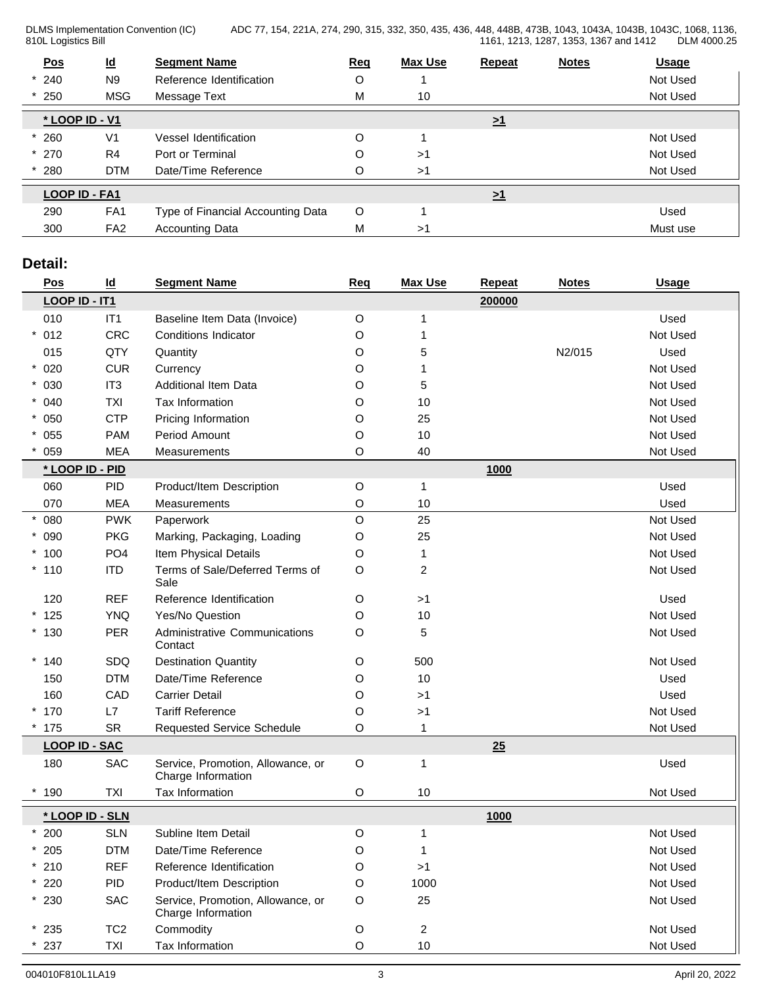DLMS Implementation Convention (IC) 810L Logistics Bill

ADC 77, 154, 221A, 274, 290, 315, 332, 350, 435, 436, 448, 448B, 473B, 1043, 1043A, 1043B, 1043C, 1068, 1136, 1161, 1213, 1287, 1353, 1367 and 1412 DLM 4000.25

| Pos            | $\underline{\mathsf{Id}}$ | <b>Segment Name</b>               | <b>Req</b> | <b>Max Use</b> | <b>Repeat</b>       | <b>Notes</b> | <b>Usage</b> |
|----------------|---------------------------|-----------------------------------|------------|----------------|---------------------|--------------|--------------|
| $*240$         | N <sub>9</sub>            | Reference Identification          | O          |                |                     |              | Not Used     |
| $*250$         | <b>MSG</b>                | Message Text                      | M          | 10             |                     |              | Not Used     |
| * LOOP ID - V1 |                           |                                   |            |                | $\geq$ <sup>1</sup> |              |              |
| 260            | V <sub>1</sub>            | Vessel Identification             | $\circ$    |                |                     |              | Not Used     |
| $*270$         | R <sub>4</sub>            | Port or Terminal                  | O          | >1             |                     |              | Not Used     |
| 280            | <b>DTM</b>                | Date/Time Reference               | O          | >1             |                     |              | Not Used     |
| LOOP ID - FA1  |                           |                                   |            |                | $\geq$ <sup>1</sup> |              |              |
| 290            | FA1                       | Type of Financial Accounting Data | O          |                |                     |              | Used         |
| 300            | FA <sub>2</sub>           | <b>Accounting Data</b>            | M          | >1             |                     |              | Must use     |
|                |                           |                                   |            |                |                     |              |              |

## **Detail:**

| Pos                  | $\underline{\mathsf{Id}}$ | <b>Segment Name</b>                                     | Req         | <b>Max Use</b> | Repeat | <b>Notes</b> | <b>Usage</b> |
|----------------------|---------------------------|---------------------------------------------------------|-------------|----------------|--------|--------------|--------------|
| LOOP ID - IT1        |                           |                                                         |             |                | 200000 |              |              |
| 010                  | IT1                       | Baseline Item Data (Invoice)                            | $\circ$     |                |        |              | Used         |
| $* 012$              | <b>CRC</b>                | <b>Conditions Indicator</b>                             | O           | 1              |        |              | Not Used     |
| 015                  | QTY                       | Quantity                                                | O           | 5              |        | N2/015       | Used         |
| $* 020$              | <b>CUR</b>                | Currency                                                | O           |                |        |              | Not Used     |
| $* 030$              | IT <sub>3</sub>           | <b>Additional Item Data</b>                             | O           | 5              |        |              | Not Used     |
| $* 040$              | <b>TXI</b>                | Tax Information                                         | O           | 10             |        |              | Not Used     |
| $* 050$              | <b>CTP</b>                | Pricing Information                                     | O           | 25             |        |              | Not Used     |
| $* 055$              | <b>PAM</b>                | Period Amount                                           | O           | 10             |        |              | Not Used     |
| 059                  | <b>MEA</b>                | Measurements                                            | O           | 40             |        |              | Not Used     |
| * LOOP ID - PID      |                           |                                                         |             |                | 1000   |              |              |
| 060                  | <b>PID</b>                | Product/Item Description                                | $\mathsf O$ | 1              |        |              | Used         |
| 070                  | <b>MEA</b>                | Measurements                                            | $\circ$     | 10             |        |              | Used         |
| 080                  | <b>PWK</b>                | Paperwork                                               | $\mathsf O$ | 25             |        |              | Not Used     |
| * 090                | <b>PKG</b>                | Marking, Packaging, Loading                             | O           | 25             |        |              | Not Used     |
| $*100$               | PO <sub>4</sub>           | Item Physical Details                                   | O           | 1              |        |              | Not Used     |
| $*110$               | <b>ITD</b>                | Terms of Sale/Deferred Terms of<br>Sale                 | O           | $\overline{c}$ |        |              | Not Used     |
| 120                  | <b>REF</b>                | Reference Identification                                | $\circ$     | >1             |        |              | Used         |
| $*125$               | <b>YNQ</b>                | Yes/No Question                                         | O           | 10             |        |              | Not Used     |
| $*130$               | <b>PER</b>                | Administrative Communications<br>Contact                | $\circ$     | 5              |        |              | Not Used     |
| $*140$               | SDQ                       | <b>Destination Quantity</b>                             | $\circ$     | 500            |        |              | Not Used     |
| 150                  | <b>DTM</b>                | Date/Time Reference                                     | O           | 10             |        |              | Used         |
| 160                  | CAD                       | <b>Carrier Detail</b>                                   | O           | >1             |        |              | Used         |
| $*170$               | L7                        | <b>Tariff Reference</b>                                 | O           | >1             |        |              | Not Used     |
| $*175$               | <b>SR</b>                 | Requested Service Schedule                              | O           |                |        |              | Not Used     |
| <b>LOOP ID - SAC</b> |                           |                                                         |             |                | 25     |              |              |
| 180                  | SAC                       | Service, Promotion, Allowance, or<br>Charge Information | O           | 1              |        |              | Used         |
| $*190$               | <b>TXI</b>                | Tax Information                                         | O           | 10             |        |              | Not Used     |
| * LOOP ID - SLN      |                           |                                                         |             |                | 1000   |              |              |
| $*200$               | <b>SLN</b>                | Subline Item Detail                                     | O           |                |        |              | Not Used     |
| $*205$               | <b>DTM</b>                | Date/Time Reference                                     | O           | 1              |        |              | Not Used     |
| $*210$               | <b>REF</b>                | Reference Identification                                | O           | >1             |        |              | Not Used     |
| $*220$               | <b>PID</b>                | Product/Item Description                                | O           | 1000           |        |              | Not Used     |
| $*230$               | SAC                       | Service, Promotion, Allowance, or<br>Charge Information | $\circ$     | 25             |        |              | Not Used     |
| $*235$               | TC <sub>2</sub>           | Commodity                                               | $\mathsf O$ | $\overline{c}$ |        |              | Not Used     |
| $^{\star}$ 237       | TXI                       | Tax Information                                         | O           | $10$           |        |              | Not Used     |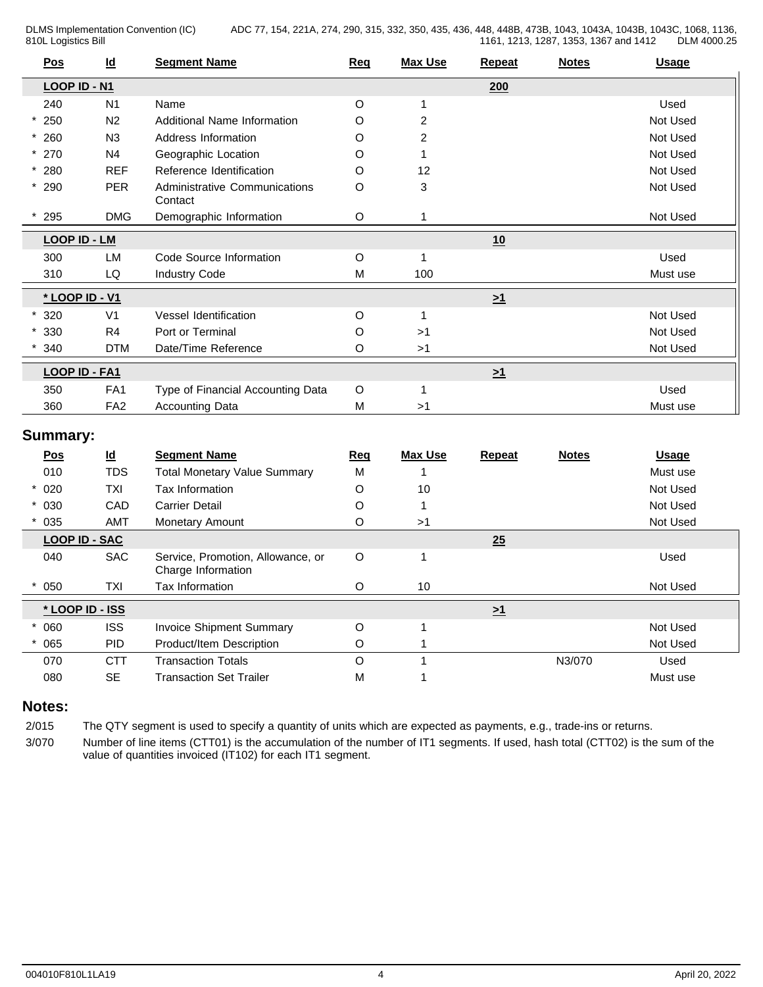DLMS Implementation Convention (IC) 810L Logistics Bill

ADC 77, 154, 221A, 274, 290, 315, 332, 350, 435, 436, 448, 448B, 473B, 1043, 1043A, 1043B, 1043C, 1068, 1136, 1161, 1213, 1287, 1353, 1367 and 1412

| <u>Pos</u>          | $\underline{\mathsf{Id}}$ | <b>Segment Name</b>                      | <b>Req</b>                                                                                                                                                                                                                                                                                                                                          | <b>Max Use</b> | <b>Repeat</b> | <b>Notes</b> | <b>Usage</b> |
|---------------------|---------------------------|------------------------------------------|-----------------------------------------------------------------------------------------------------------------------------------------------------------------------------------------------------------------------------------------------------------------------------------------------------------------------------------------------------|----------------|---------------|--------------|--------------|
| LOOP ID - N1        |                           |                                          | 200<br>Used<br>$\circ$<br>2<br>Not Used<br>O<br>O<br>2<br>Not Used<br>$\circ$<br>Not Used<br>O<br>12<br>Not Used<br>$\circ$<br>3<br>Not Used<br>O<br>Not Used<br>10<br>O<br>Used<br>1<br>M<br>100<br>Must use<br>$\geq 1$<br>Not Used<br>O<br>O<br>>1<br>Not Used<br>O<br>Not Used<br>>1<br>$\geq 1$<br>$\circ$<br>Used<br>1<br>M<br>Must use<br>>1 |                |               |              |              |
| 240                 | N <sub>1</sub>            | Name                                     |                                                                                                                                                                                                                                                                                                                                                     |                |               |              |              |
| 250                 | N <sub>2</sub>            | Additional Name Information              |                                                                                                                                                                                                                                                                                                                                                     |                |               |              |              |
| $*260$              | N3                        | Address Information                      |                                                                                                                                                                                                                                                                                                                                                     |                |               |              |              |
| $*270$              | N <sub>4</sub>            | Geographic Location                      |                                                                                                                                                                                                                                                                                                                                                     |                |               |              |              |
| $* 280$             | <b>REF</b>                | Reference Identification                 |                                                                                                                                                                                                                                                                                                                                                     |                |               |              |              |
| $*290$              | <b>PER</b>                | Administrative Communications<br>Contact |                                                                                                                                                                                                                                                                                                                                                     |                |               |              |              |
| $*$ 295             | <b>DMG</b>                | Demographic Information                  |                                                                                                                                                                                                                                                                                                                                                     |                |               |              |              |
| <b>LOOP ID - LM</b> |                           |                                          |                                                                                                                                                                                                                                                                                                                                                     |                |               |              |              |
| 300                 | <b>LM</b>                 | Code Source Information                  |                                                                                                                                                                                                                                                                                                                                                     |                |               |              |              |
| 310                 | LQ                        | <b>Industry Code</b>                     |                                                                                                                                                                                                                                                                                                                                                     |                |               |              |              |
| * LOOP ID - V1      |                           |                                          |                                                                                                                                                                                                                                                                                                                                                     |                |               |              |              |
| 320                 | V <sub>1</sub>            | Vessel Identification                    |                                                                                                                                                                                                                                                                                                                                                     |                |               |              |              |
| 330                 | R4                        | Port or Terminal                         |                                                                                                                                                                                                                                                                                                                                                     |                |               |              |              |
| 340                 | <b>DTM</b>                | Date/Time Reference                      |                                                                                                                                                                                                                                                                                                                                                     |                |               |              |              |
| LOOP ID - FA1       |                           |                                          |                                                                                                                                                                                                                                                                                                                                                     |                |               |              |              |
| 350                 | FA <sub>1</sub>           | Type of Financial Accounting Data        |                                                                                                                                                                                                                                                                                                                                                     |                |               |              |              |
| 360                 | FA <sub>2</sub>           | <b>Accounting Data</b>                   |                                                                                                                                                                                                                                                                                                                                                     |                |               |              |              |
|                     |                           |                                          |                                                                                                                                                                                                                                                                                                                                                     |                |               |              |              |

## **Summary:**

| Pos                  | $\underline{\mathsf{Id}}$ | <b>Segment Name</b>                                     | Req     | <b>Max Use</b> | <b>Repeat</b> | <b>Notes</b> | <b>Usage</b> |
|----------------------|---------------------------|---------------------------------------------------------|---------|----------------|---------------|--------------|--------------|
| 010                  | <b>TDS</b>                | <b>Total Monetary Value Summary</b>                     | M       |                |               |              | Must use     |
| $* 020$              | <b>TXI</b>                | Tax Information                                         | O       | 10             |               |              | Not Used     |
| $* 030$              | CAD                       | <b>Carrier Detail</b>                                   | O       |                |               |              | Not Used     |
| 035                  | <b>AMT</b>                | <b>Monetary Amount</b>                                  | O       | >1             |               |              | Not Used     |
| <b>LOOP ID - SAC</b> |                           |                                                         |         |                | 25            |              |              |
| 040                  | <b>SAC</b>                | Service, Promotion, Allowance, or<br>Charge Information | O       |                |               |              | Used         |
| 050                  | <b>TXI</b>                | Tax Information                                         | O       | 10             |               |              | Not Used     |
| * LOOP ID - ISS      |                           |                                                         |         |                | $\geq 1$      |              |              |
| 060                  | <b>ISS</b>                | <b>Invoice Shipment Summary</b>                         | O       |                |               |              | Not Used     |
| 065                  | <b>PID</b>                | Product/Item Description                                | O       |                |               |              | Not Used     |
| 070                  | <b>CTT</b>                | <b>Transaction Totals</b>                               | $\circ$ |                |               | N3/070       | Used         |
| 080                  | <b>SE</b>                 | <b>Transaction Set Trailer</b>                          | M       |                |               |              | Must use     |
|                      |                           |                                                         |         |                |               |              |              |

## **Notes:**

2/015 The QTY segment is used to specify a quantity of units which are expected as payments, e.g., trade-ins or returns.

3/070 Number of line items (CTT01) is the accumulation of the number of IT1 segments. If used, hash total (CTT02) is the sum of the value of quantities invoiced (IT102) for each IT1 segment.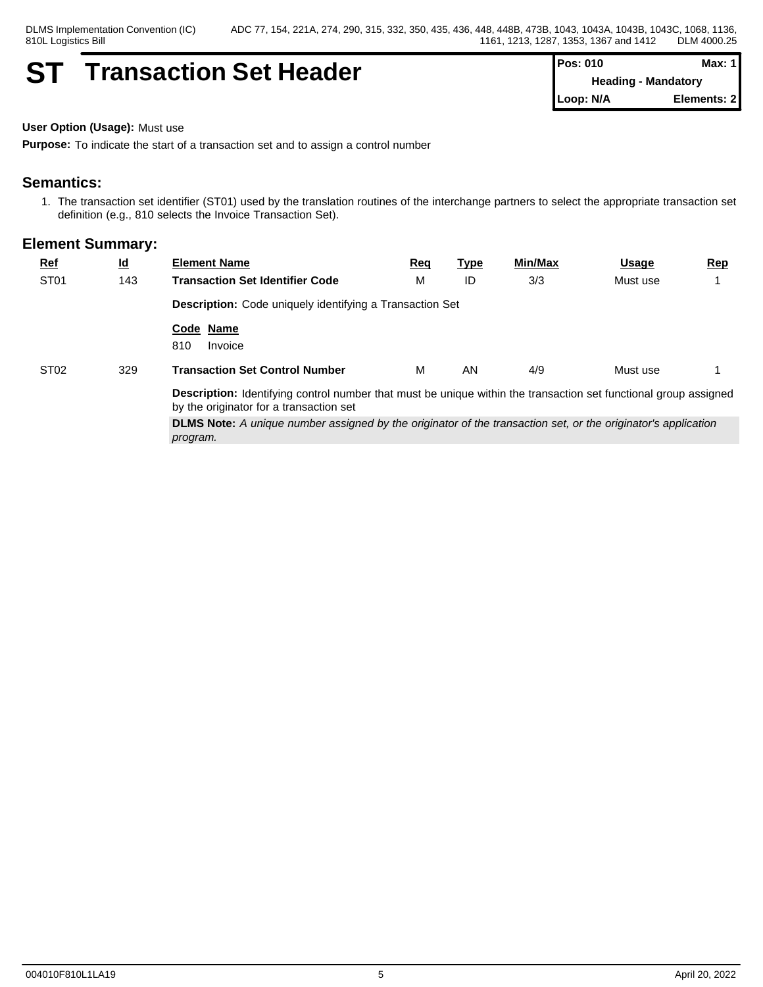## **ST Transaction Set Header Pos: 010 Max: 1 Max: 1**

**Heading - Mandatory Loop: N/A Elements: 2**

#### **User Option (Usage):** Must use

**Purpose:** To indicate the start of a transaction set and to assign a control number

### **Semantics:**

1. The transaction set identifier (ST01) used by the translation routines of the interchange partners to select the appropriate transaction set definition (e.g., 810 selects the Invoice Transaction Set).

| $Ref$            | $\underline{\mathsf{Id}}$ | <b>Element Name</b>                                                                                                                                                | <u>Req</u> | <u>Type</u> | Min/Max | <u>Usage</u> | Rep |  |  |  |
|------------------|---------------------------|--------------------------------------------------------------------------------------------------------------------------------------------------------------------|------------|-------------|---------|--------------|-----|--|--|--|
| ST <sub>01</sub> | 143                       | <b>Transaction Set Identifier Code</b>                                                                                                                             | M          | ID          | 3/3     | Must use     |     |  |  |  |
|                  |                           | <b>Description:</b> Code uniquely identifying a Transaction Set                                                                                                    |            |             |         |              |     |  |  |  |
|                  |                           | Code Name<br>810<br>Invoice                                                                                                                                        |            |             |         |              |     |  |  |  |
| ST <sub>02</sub> | 329                       | <b>Transaction Set Control Number</b>                                                                                                                              | м          | AN          | 4/9     | Must use     |     |  |  |  |
|                  |                           | <b>Description:</b> Identifying control number that must be unique within the transaction set functional group assigned<br>by the originator for a transaction set |            |             |         |              |     |  |  |  |
|                  |                           | <b>DLMS Note:</b> A unique number assigned by the originator of the transaction set, or the originator's application<br>program.                                   |            |             |         |              |     |  |  |  |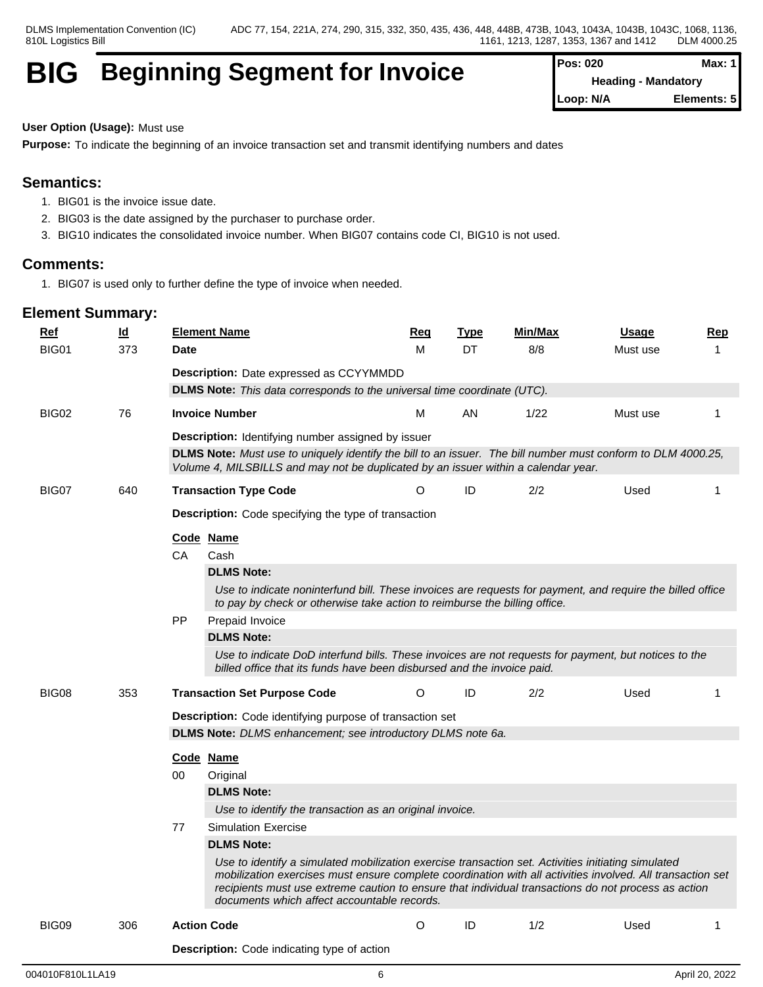## **BIG** Beginning Segment for Invoice

| Pos: 020  | Max: $1$                   |
|-----------|----------------------------|
|           | <b>Heading - Mandatory</b> |
| Loop: N/A | Elements: 5                |

## **User Option (Usage):** Must use

**Purpose:** To indicate the beginning of an invoice transaction set and transmit identifying numbers and dates

## **Semantics:**

- 1. BIG01 is the invoice issue date.
- 2. BIG03 is the date assigned by the purchaser to purchase order.
- 3. BIG10 indicates the consolidated invoice number. When BIG07 contains code CI, BIG10 is not used.

## **Comments:**

1. BIG07 is used only to further define the type of invoice when needed.

| Ref   | $\underline{\mathsf{Id}}$ | <b>Element Name</b>                                                                                                                                                                                | Req                                                                                                                                                                                                                                                                                                                     | <b>Type</b> | <b>Min/Max</b> | Usage    | Rep |  |  |  |
|-------|---------------------------|----------------------------------------------------------------------------------------------------------------------------------------------------------------------------------------------------|-------------------------------------------------------------------------------------------------------------------------------------------------------------------------------------------------------------------------------------------------------------------------------------------------------------------------|-------------|----------------|----------|-----|--|--|--|
| BIG01 | 373                       | Date                                                                                                                                                                                               | М                                                                                                                                                                                                                                                                                                                       | DT          | 8/8            | Must use | 1   |  |  |  |
|       |                           | <b>Description:</b> Date expressed as CCYYMMDD                                                                                                                                                     |                                                                                                                                                                                                                                                                                                                         |             |                |          |     |  |  |  |
|       |                           | <b>DLMS Note:</b> This data corresponds to the universal time coordinate (UTC).                                                                                                                    |                                                                                                                                                                                                                                                                                                                         |             |                |          |     |  |  |  |
| BIG02 | 76                        | <b>Invoice Number</b>                                                                                                                                                                              | М                                                                                                                                                                                                                                                                                                                       | AN          | 1/22           | Must use | -1  |  |  |  |
|       |                           | Description: Identifying number assigned by issuer                                                                                                                                                 |                                                                                                                                                                                                                                                                                                                         |             |                |          |     |  |  |  |
|       |                           | DLMS Note: Must use to uniquely identify the bill to an issuer. The bill number must conform to DLM 4000.25,<br>Volume 4, MILSBILLS and may not be duplicated by an issuer within a calendar year. |                                                                                                                                                                                                                                                                                                                         |             |                |          |     |  |  |  |
| BIG07 | 640                       | <b>Transaction Type Code</b>                                                                                                                                                                       | O                                                                                                                                                                                                                                                                                                                       | ID          | 2/2            | Used     | 1   |  |  |  |
|       |                           | <b>Description:</b> Code specifying the type of transaction                                                                                                                                        |                                                                                                                                                                                                                                                                                                                         |             |                |          |     |  |  |  |
|       |                           | Code Name                                                                                                                                                                                          |                                                                                                                                                                                                                                                                                                                         |             |                |          |     |  |  |  |
|       |                           | Cash<br>CA.                                                                                                                                                                                        |                                                                                                                                                                                                                                                                                                                         |             |                |          |     |  |  |  |
|       |                           | <b>DLMS Note:</b>                                                                                                                                                                                  |                                                                                                                                                                                                                                                                                                                         |             |                |          |     |  |  |  |
|       |                           | Use to indicate noninterfund bill. These invoices are requests for payment, and require the billed office<br>to pay by check or otherwise take action to reimburse the billing office.             |                                                                                                                                                                                                                                                                                                                         |             |                |          |     |  |  |  |
|       |                           | <b>PP</b><br>Prepaid Invoice                                                                                                                                                                       |                                                                                                                                                                                                                                                                                                                         |             |                |          |     |  |  |  |
|       |                           | <b>DLMS Note:</b>                                                                                                                                                                                  |                                                                                                                                                                                                                                                                                                                         |             |                |          |     |  |  |  |
|       |                           | Use to indicate DoD interfund bills. These invoices are not requests for payment, but notices to the<br>billed office that its funds have been disbursed and the invoice paid.                     |                                                                                                                                                                                                                                                                                                                         |             |                |          |     |  |  |  |
| BIG08 | 353                       | <b>Transaction Set Purpose Code</b>                                                                                                                                                                | O                                                                                                                                                                                                                                                                                                                       | ID          | 2/2            | Used     | 1   |  |  |  |
|       |                           | Description: Code identifying purpose of transaction set                                                                                                                                           |                                                                                                                                                                                                                                                                                                                         |             |                |          |     |  |  |  |
|       |                           | DLMS Note: DLMS enhancement; see introductory DLMS note 6a.                                                                                                                                        |                                                                                                                                                                                                                                                                                                                         |             |                |          |     |  |  |  |
|       |                           | Code Name                                                                                                                                                                                          |                                                                                                                                                                                                                                                                                                                         |             |                |          |     |  |  |  |
|       |                           | 00<br>Original                                                                                                                                                                                     |                                                                                                                                                                                                                                                                                                                         |             |                |          |     |  |  |  |
|       |                           | <b>DLMS Note:</b>                                                                                                                                                                                  |                                                                                                                                                                                                                                                                                                                         |             |                |          |     |  |  |  |
|       |                           | Use to identify the transaction as an original invoice.                                                                                                                                            |                                                                                                                                                                                                                                                                                                                         |             |                |          |     |  |  |  |
|       |                           | <b>Simulation Exercise</b><br>77                                                                                                                                                                   |                                                                                                                                                                                                                                                                                                                         |             |                |          |     |  |  |  |
|       |                           | <b>DLMS Note:</b>                                                                                                                                                                                  |                                                                                                                                                                                                                                                                                                                         |             |                |          |     |  |  |  |
|       |                           | documents which affect accountable records.                                                                                                                                                        | Use to identify a simulated mobilization exercise transaction set. Activities initiating simulated<br>mobilization exercises must ensure complete coordination with all activities involved. All transaction set<br>recipients must use extreme caution to ensure that individual transactions do not process as action |             |                |          |     |  |  |  |
| BIG09 | 306                       | <b>Action Code</b>                                                                                                                                                                                 | O                                                                                                                                                                                                                                                                                                                       | ID          | 1/2            | Used     | 1   |  |  |  |
|       |                           | <b>Description:</b> Code indicating type of action                                                                                                                                                 |                                                                                                                                                                                                                                                                                                                         |             |                |          |     |  |  |  |
|       |                           |                                                                                                                                                                                                    |                                                                                                                                                                                                                                                                                                                         |             |                |          |     |  |  |  |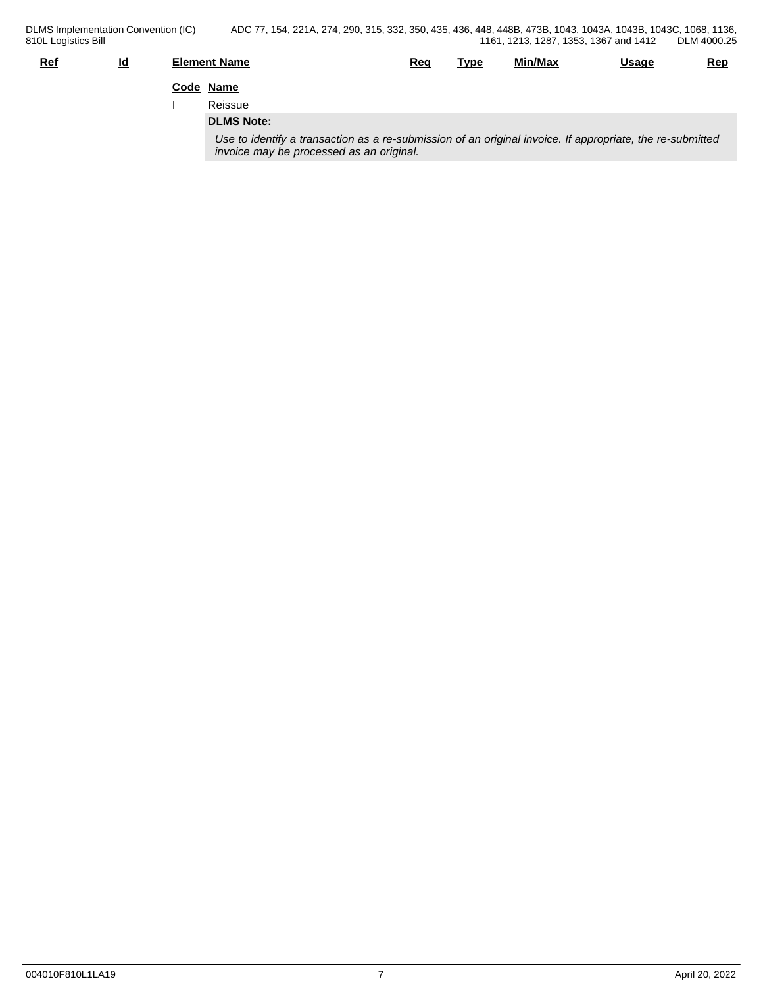| DLMS Implementation Convention (IC)<br>810L Logistics Bill |    | ADC 77, 154, 221A, 274, 290, 315, 332, 350, 435, 436, 448, 448B, 473B, 1043, 1043A, 1043B, 1043C, 1068, 1136,                                         |     |      | 1161, 1213, 1287, 1353, 1367 and 1412 |       | DLM 4000.25 |
|------------------------------------------------------------|----|-------------------------------------------------------------------------------------------------------------------------------------------------------|-----|------|---------------------------------------|-------|-------------|
| <u>Ref</u>                                                 | Id | <b>Element Name</b>                                                                                                                                   | Req | Type | Min/Max                               | Usage | <u>Rep</u>  |
|                                                            |    | Code Name                                                                                                                                             |     |      |                                       |       |             |
|                                                            |    | Reissue                                                                                                                                               |     |      |                                       |       |             |
|                                                            |    | <b>DLMS Note:</b>                                                                                                                                     |     |      |                                       |       |             |
|                                                            |    | Use to identify a transaction as a re-submission of an original invoice. If appropriate, the re-submitted<br>invoice may be processed as an original. |     |      |                                       |       |             |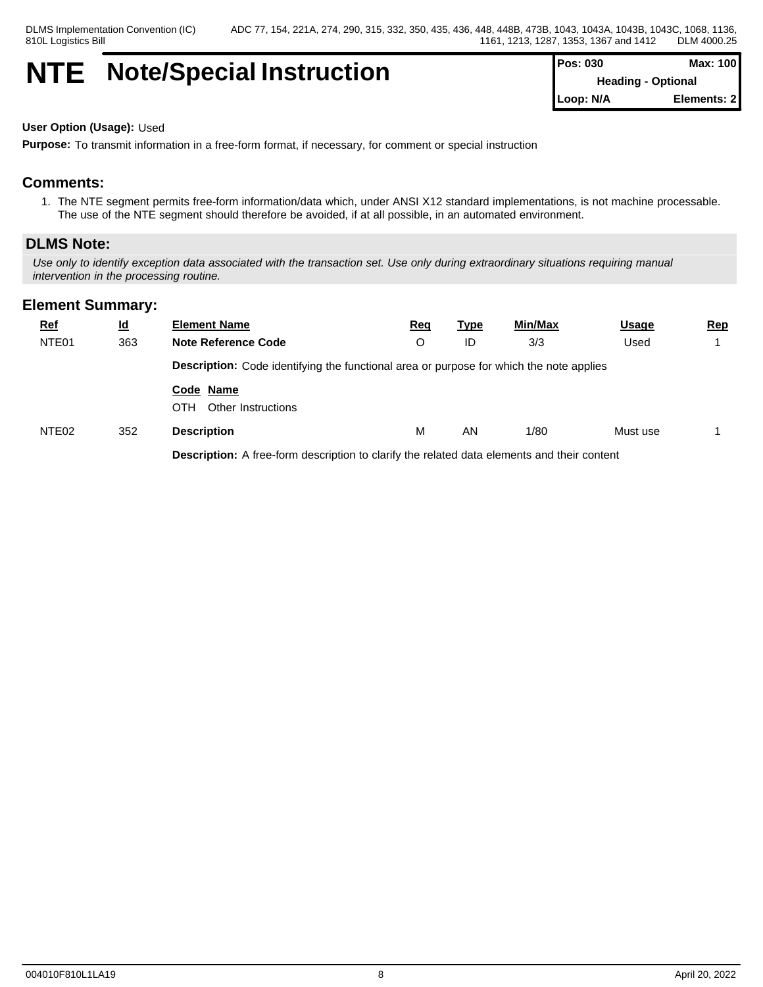## **NTE Note/Special Instruction**

| <b>Pos: 030</b>           | Max: 100    |  |
|---------------------------|-------------|--|
| <b>Heading - Optional</b> |             |  |
| Loop: N/A                 | Elements: 2 |  |

#### **User Option (Usage):** Used

**Purpose:** To transmit information in a free-form format, if necessary, for comment or special instruction

## **Comments:**

1. The NTE segment permits free-form information/data which, under ANSI X12 standard implementations, is not machine processable. The use of the NTE segment should therefore be avoided, if at all possible, in an automated environment.

#### **DLMS Note:**

*Use only to identify exception data associated with the transaction set. Use only during extraordinary situations requiring manual intervention in the processing routine.*

### **Element Summary:**

| <u>Ref</u>        | <u>ld</u> | <b>Element Name</b>                                                                            | <u>Req</u><br><u>Type</u> |    | Min/Max | <b>Usage</b> | <u>Rep</u> |  |  |  |
|-------------------|-----------|------------------------------------------------------------------------------------------------|---------------------------|----|---------|--------------|------------|--|--|--|
| NTE <sub>01</sub> | 363       | <b>Note Reference Code</b>                                                                     | O                         | ID | 3/3     | Used         |            |  |  |  |
|                   |           | <b>Description:</b> Code identifying the functional area or purpose for which the note applies |                           |    |         |              |            |  |  |  |
|                   |           | Code Name<br>OTH<br>Other Instructions                                                         |                           |    |         |              |            |  |  |  |
| NTE <sub>02</sub> | 352       | <b>Description</b>                                                                             | M                         | AN | 1/80    | Must use     |            |  |  |  |
|                   |           | Description: A free-form description to clarify the related data elements and their content    |                           |    |         |              |            |  |  |  |

004010F810L1LA19 8 April 20, 2022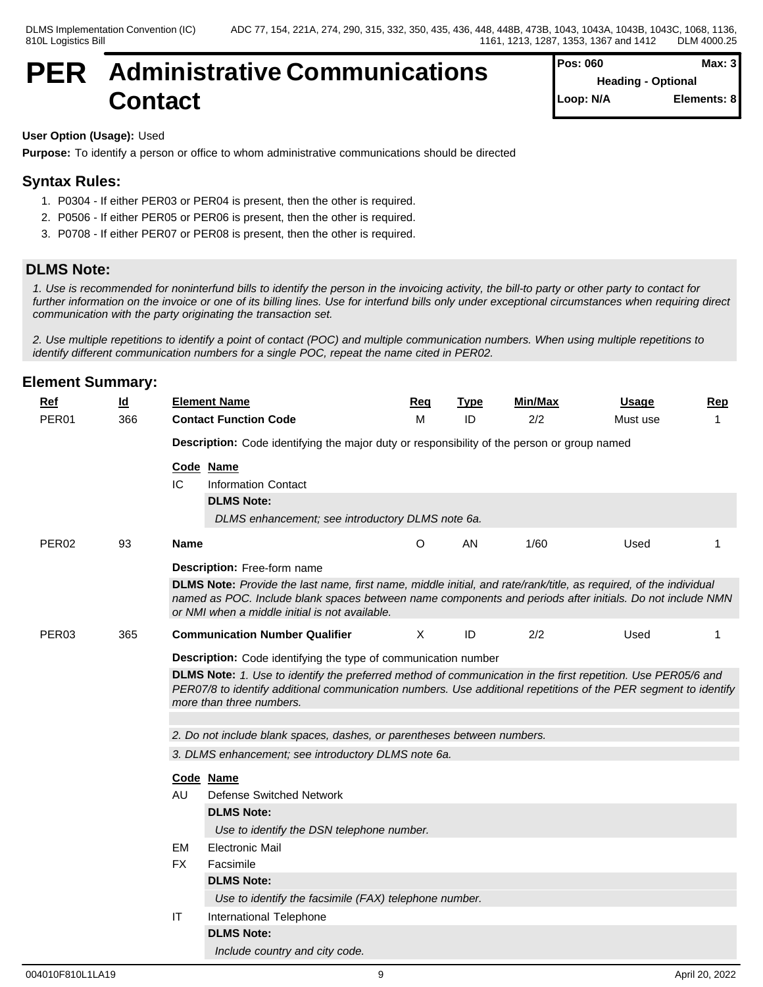## **PER Administrative Communications Contact**

#### **User Option (Usage):** Used

**Purpose:** To identify a person or office to whom administrative communications should be directed

## **Syntax Rules:**

- 1. P0304 If either PER03 or PER04 is present, then the other is required.
- 2. P0506 If either PER05 or PER06 is present, then the other is required.
- 3. P0708 If either PER07 or PER08 is present, then the other is required.

### **DLMS Note:**

*1. Use is recommended for noninterfund bills to identify the person in the invoicing activity, the bill-to party or other party to contact for further information on the invoice or one of its billing lines. Use for interfund bills only under exceptional circumstances when requiring direct communication with the party originating the transaction set.*

*2. Use multiple repetitions to identify a point of contact (POC) and multiple communication numbers. When using multiple repetitions to identify different communication numbers for a single POC, repeat the name cited in PER02.*

| <b>Ref</b>        | $\underline{\mathsf{Id}}$ |                                                                         | <b>Element Name</b>                                                                                                                                                                                                                                                              | <b>Req</b> | <b>Type</b> | Min/Max | <b>Usage</b> | <b>Rep</b> |  |  |  |  |
|-------------------|---------------------------|-------------------------------------------------------------------------|----------------------------------------------------------------------------------------------------------------------------------------------------------------------------------------------------------------------------------------------------------------------------------|------------|-------------|---------|--------------|------------|--|--|--|--|
| PER <sub>01</sub> | 366                       |                                                                         | <b>Contact Function Code</b>                                                                                                                                                                                                                                                     | M          | ID          | 2/2     | Must use     |            |  |  |  |  |
|                   |                           |                                                                         | Description: Code identifying the major duty or responsibility of the person or group named                                                                                                                                                                                      |            |             |         |              |            |  |  |  |  |
|                   |                           |                                                                         | Code Name                                                                                                                                                                                                                                                                        |            |             |         |              |            |  |  |  |  |
|                   |                           | IC                                                                      | <b>Information Contact</b>                                                                                                                                                                                                                                                       |            |             |         |              |            |  |  |  |  |
|                   |                           |                                                                         | <b>DLMS Note:</b>                                                                                                                                                                                                                                                                |            |             |         |              |            |  |  |  |  |
|                   |                           |                                                                         | DLMS enhancement; see introductory DLMS note 6a.                                                                                                                                                                                                                                 |            |             |         |              |            |  |  |  |  |
| PER <sub>02</sub> | 93                        | <b>Name</b>                                                             |                                                                                                                                                                                                                                                                                  | $\circ$    | AN          | 1/60    | Used         |            |  |  |  |  |
|                   |                           |                                                                         | Description: Free-form name                                                                                                                                                                                                                                                      |            |             |         |              |            |  |  |  |  |
|                   |                           |                                                                         | DLMS Note: Provide the last name, first name, middle initial, and rate/rank/title, as required, of the individual<br>named as POC. Include blank spaces between name components and periods after initials. Do not include NMN<br>or NMI when a middle initial is not available. |            |             |         |              |            |  |  |  |  |
| PER03             | 365                       |                                                                         | <b>Communication Number Qualifier</b>                                                                                                                                                                                                                                            | X          | ID          | 2/2     | Used         |            |  |  |  |  |
|                   |                           | <b>Description:</b> Code identifying the type of communication number   |                                                                                                                                                                                                                                                                                  |            |             |         |              |            |  |  |  |  |
|                   |                           |                                                                         | DLMS Note: 1. Use to identify the preferred method of communication in the first repetition. Use PER05/6 and<br>PER07/8 to identify additional communication numbers. Use additional repetitions of the PER segment to identify<br>more than three numbers.                      |            |             |         |              |            |  |  |  |  |
|                   |                           | 2. Do not include blank spaces, dashes, or parentheses between numbers. |                                                                                                                                                                                                                                                                                  |            |             |         |              |            |  |  |  |  |
|                   |                           | 3. DLMS enhancement; see introductory DLMS note 6a.                     |                                                                                                                                                                                                                                                                                  |            |             |         |              |            |  |  |  |  |
|                   |                           |                                                                         | Code Name                                                                                                                                                                                                                                                                        |            |             |         |              |            |  |  |  |  |
|                   |                           | AU.                                                                     | <b>Defense Switched Network</b>                                                                                                                                                                                                                                                  |            |             |         |              |            |  |  |  |  |
|                   |                           |                                                                         | <b>DLMS Note:</b>                                                                                                                                                                                                                                                                |            |             |         |              |            |  |  |  |  |
|                   |                           |                                                                         | Use to identify the DSN telephone number.                                                                                                                                                                                                                                        |            |             |         |              |            |  |  |  |  |
|                   |                           | <b>EM</b>                                                               | <b>Electronic Mail</b>                                                                                                                                                                                                                                                           |            |             |         |              |            |  |  |  |  |
|                   |                           | FX.                                                                     | Facsimile                                                                                                                                                                                                                                                                        |            |             |         |              |            |  |  |  |  |
|                   |                           |                                                                         | <b>DLMS Note:</b>                                                                                                                                                                                                                                                                |            |             |         |              |            |  |  |  |  |
|                   |                           |                                                                         | Use to identify the facsimile (FAX) telephone number.                                                                                                                                                                                                                            |            |             |         |              |            |  |  |  |  |
|                   |                           | IT                                                                      | International Telephone                                                                                                                                                                                                                                                          |            |             |         |              |            |  |  |  |  |
|                   |                           |                                                                         | <b>DLMS Note:</b>                                                                                                                                                                                                                                                                |            |             |         |              |            |  |  |  |  |
|                   |                           |                                                                         | Include country and city code.                                                                                                                                                                                                                                                   |            |             |         |              |            |  |  |  |  |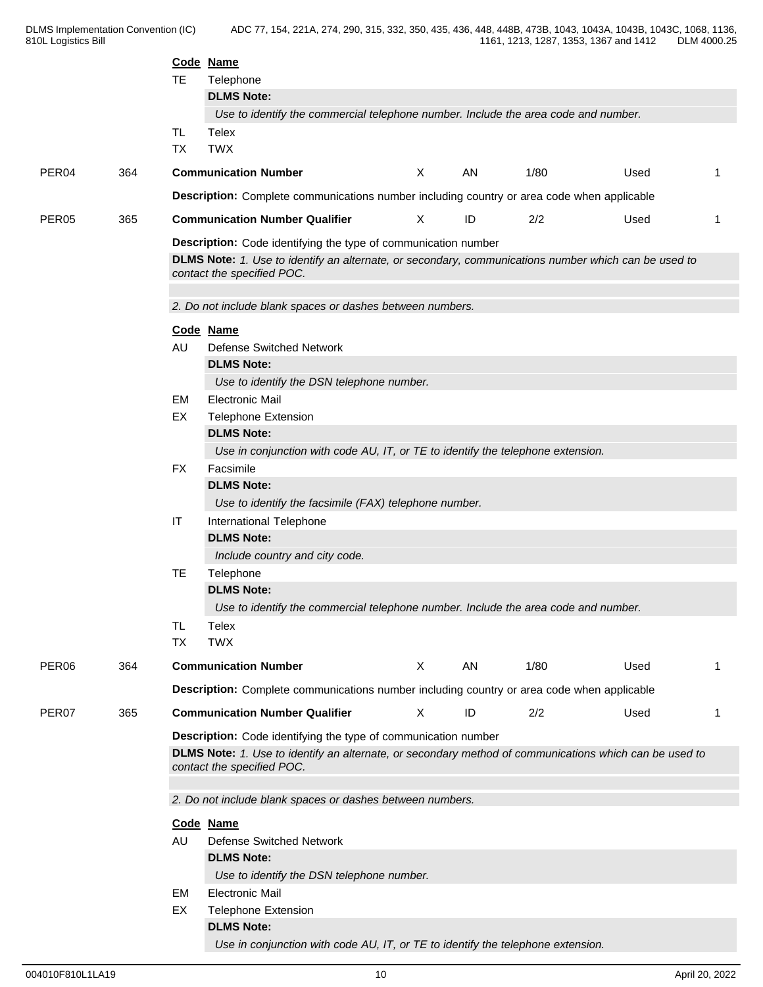|                   |     |                                                                                                                                      | Code Name                                                                                                                          |   |    |      |      |    |  |  |  |  |  |
|-------------------|-----|--------------------------------------------------------------------------------------------------------------------------------------|------------------------------------------------------------------------------------------------------------------------------------|---|----|------|------|----|--|--|--|--|--|
|                   |     | TE.                                                                                                                                  | Telephone                                                                                                                          |   |    |      |      |    |  |  |  |  |  |
|                   |     |                                                                                                                                      | <b>DLMS Note:</b>                                                                                                                  |   |    |      |      |    |  |  |  |  |  |
|                   |     | Use to identify the commercial telephone number. Include the area code and number.                                                   |                                                                                                                                    |   |    |      |      |    |  |  |  |  |  |
|                   |     | <b>TL</b><br><b>TX</b>                                                                                                               | Telex<br><b>TWX</b>                                                                                                                |   |    |      |      |    |  |  |  |  |  |
|                   |     |                                                                                                                                      |                                                                                                                                    |   |    |      |      |    |  |  |  |  |  |
| PER04             | 364 |                                                                                                                                      | <b>Communication Number</b>                                                                                                        | X | AN | 1/80 | Used | -1 |  |  |  |  |  |
|                   |     | Description: Complete communications number including country or area code when applicable                                           |                                                                                                                                    |   |    |      |      |    |  |  |  |  |  |
| PER <sub>05</sub> | 365 |                                                                                                                                      | <b>Communication Number Qualifier</b>                                                                                              | X | ID | 2/2  | Used | -1 |  |  |  |  |  |
|                   |     | Description: Code identifying the type of communication number                                                                       |                                                                                                                                    |   |    |      |      |    |  |  |  |  |  |
|                   |     |                                                                                                                                      | DLMS Note: 1. Use to identify an alternate, or secondary, communications number which can be used to<br>contact the specified POC. |   |    |      |      |    |  |  |  |  |  |
|                   |     | 2. Do not include blank spaces or dashes between numbers.                                                                            |                                                                                                                                    |   |    |      |      |    |  |  |  |  |  |
|                   |     |                                                                                                                                      | Code Name                                                                                                                          |   |    |      |      |    |  |  |  |  |  |
|                   |     | AU                                                                                                                                   | <b>Defense Switched Network</b>                                                                                                    |   |    |      |      |    |  |  |  |  |  |
|                   |     |                                                                                                                                      | <b>DLMS Note:</b>                                                                                                                  |   |    |      |      |    |  |  |  |  |  |
|                   |     |                                                                                                                                      | Use to identify the DSN telephone number.                                                                                          |   |    |      |      |    |  |  |  |  |  |
|                   |     | EM                                                                                                                                   | <b>Electronic Mail</b>                                                                                                             |   |    |      |      |    |  |  |  |  |  |
|                   |     | EX                                                                                                                                   | <b>Telephone Extension</b>                                                                                                         |   |    |      |      |    |  |  |  |  |  |
|                   |     |                                                                                                                                      | <b>DLMS Note:</b>                                                                                                                  |   |    |      |      |    |  |  |  |  |  |
|                   |     |                                                                                                                                      | Use in conjunction with code AU, IT, or TE to identify the telephone extension.                                                    |   |    |      |      |    |  |  |  |  |  |
|                   |     | <b>FX</b>                                                                                                                            | Facsimile                                                                                                                          |   |    |      |      |    |  |  |  |  |  |
|                   |     |                                                                                                                                      | <b>DLMS Note:</b>                                                                                                                  |   |    |      |      |    |  |  |  |  |  |
|                   |     | IT                                                                                                                                   | Use to identify the facsimile (FAX) telephone number.                                                                              |   |    |      |      |    |  |  |  |  |  |
|                   |     |                                                                                                                                      | International Telephone<br><b>DLMS Note:</b>                                                                                       |   |    |      |      |    |  |  |  |  |  |
|                   |     |                                                                                                                                      | Include country and city code.                                                                                                     |   |    |      |      |    |  |  |  |  |  |
|                   |     | <b>TE</b>                                                                                                                            | Telephone                                                                                                                          |   |    |      |      |    |  |  |  |  |  |
|                   |     |                                                                                                                                      | <b>DLMS Note:</b>                                                                                                                  |   |    |      |      |    |  |  |  |  |  |
|                   |     |                                                                                                                                      | Use to identify the commercial telephone number. Include the area code and number.                                                 |   |    |      |      |    |  |  |  |  |  |
|                   |     | TL                                                                                                                                   | Telex                                                                                                                              |   |    |      |      |    |  |  |  |  |  |
|                   |     | <b>TX</b>                                                                                                                            | <b>TWX</b>                                                                                                                         |   |    |      |      |    |  |  |  |  |  |
| PER <sub>06</sub> | 364 |                                                                                                                                      | <b>Communication Number</b>                                                                                                        | X | AN | 1/80 | Used | -1 |  |  |  |  |  |
|                   |     |                                                                                                                                      | Description: Complete communications number including country or area code when applicable                                         |   |    |      |      |    |  |  |  |  |  |
| PER <sub>07</sub> | 365 |                                                                                                                                      | <b>Communication Number Qualifier</b>                                                                                              | X | ID | 2/2  | Used | -1 |  |  |  |  |  |
|                   |     |                                                                                                                                      |                                                                                                                                    |   |    |      |      |    |  |  |  |  |  |
|                   |     |                                                                                                                                      | Description: Code identifying the type of communication number                                                                     |   |    |      |      |    |  |  |  |  |  |
|                   |     | DLMS Note: 1. Use to identify an alternate, or secondary method of communications which can be used to<br>contact the specified POC. |                                                                                                                                    |   |    |      |      |    |  |  |  |  |  |
|                   |     | 2. Do not include blank spaces or dashes between numbers.                                                                            |                                                                                                                                    |   |    |      |      |    |  |  |  |  |  |
|                   |     |                                                                                                                                      | Code Name                                                                                                                          |   |    |      |      |    |  |  |  |  |  |
|                   |     | AU                                                                                                                                   | <b>Defense Switched Network</b>                                                                                                    |   |    |      |      |    |  |  |  |  |  |
|                   |     |                                                                                                                                      | <b>DLMS Note:</b>                                                                                                                  |   |    |      |      |    |  |  |  |  |  |
|                   |     |                                                                                                                                      | Use to identify the DSN telephone number.                                                                                          |   |    |      |      |    |  |  |  |  |  |
|                   |     | EM                                                                                                                                   | <b>Electronic Mail</b>                                                                                                             |   |    |      |      |    |  |  |  |  |  |
|                   |     | EX                                                                                                                                   | <b>Telephone Extension</b>                                                                                                         |   |    |      |      |    |  |  |  |  |  |
|                   |     |                                                                                                                                      | <b>DLMS Note:</b>                                                                                                                  |   |    |      |      |    |  |  |  |  |  |
|                   |     |                                                                                                                                      | Use in conjunction with code AU, IT, or TE to identify the telephone extension.                                                    |   |    |      |      |    |  |  |  |  |  |
|                   |     |                                                                                                                                      |                                                                                                                                    |   |    |      |      |    |  |  |  |  |  |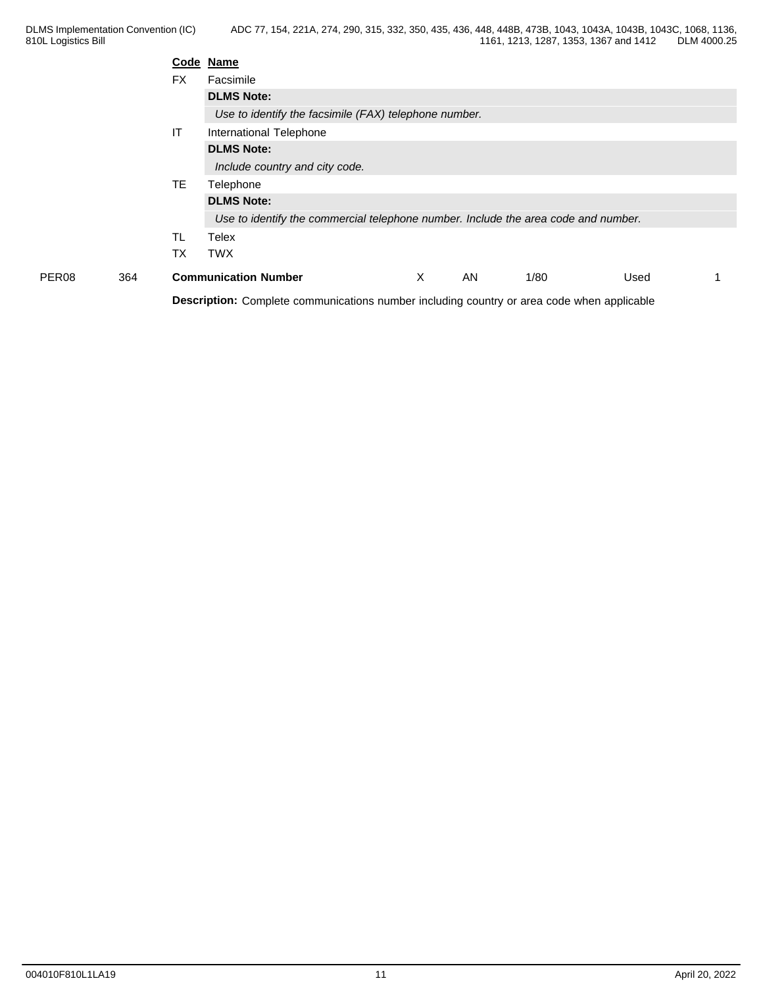| <b>FX</b><br>Facsimile<br><b>DLMS Note:</b><br>Use to identify the facsimile (FAX) telephone number.<br>IT<br>International Telephone<br><b>DLMS Note:</b><br>Include country and city code. |
|----------------------------------------------------------------------------------------------------------------------------------------------------------------------------------------------|
|                                                                                                                                                                                              |
|                                                                                                                                                                                              |
|                                                                                                                                                                                              |
|                                                                                                                                                                                              |
|                                                                                                                                                                                              |
|                                                                                                                                                                                              |
| TE.<br>Telephone                                                                                                                                                                             |
| <b>DLMS Note:</b>                                                                                                                                                                            |
| Use to identify the commercial telephone number. Include the area code and number.                                                                                                           |
| <b>TL</b><br>Telex                                                                                                                                                                           |
| <b>TWX</b><br>ТX                                                                                                                                                                             |
| <b>Communication Number</b><br>AN<br>PER <sub>08</sub><br>364<br>X<br>1/80<br>Used                                                                                                           |
| Description: Complete communications number including country or area code when applicable                                                                                                   |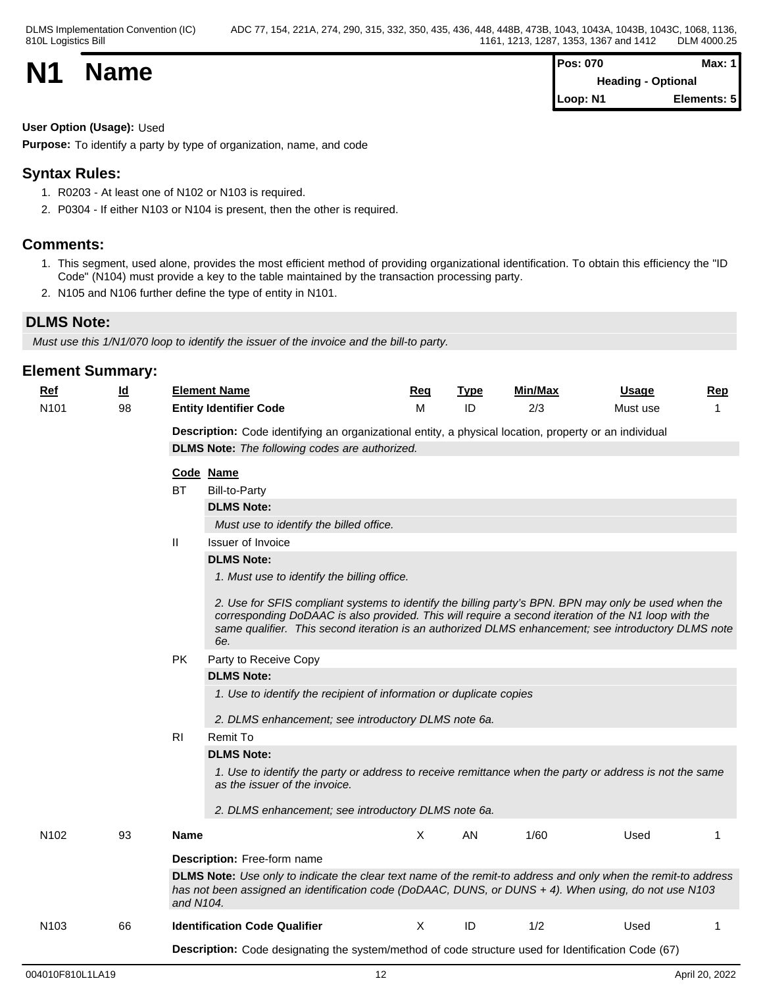| <b>N1</b> |             | <b>Pos: 070</b> | Max:        |  |
|-----------|-------------|-----------------|-------------|--|
|           | <b>Name</b> | Heading -       | Optional    |  |
|           |             | Loop: N1        | Elements: 5 |  |

#### **User Option (Usage):** Used

**Purpose:** To identify a party by type of organization, name, and code

## **Syntax Rules:**

- 1. R0203 At least one of N102 or N103 is required.
- 2. P0304 If either N103 or N104 is present, then the other is required.

## **Comments:**

- 1. This segment, used alone, provides the most efficient method of providing organizational identification. To obtain this efficiency the "ID Code" (N104) must provide a key to the table maintained by the transaction processing party.
- 2. N105 and N106 further define the type of entity in N101.

## **DLMS Note:**

*Must use this 1/N1/070 loop to identify the issuer of the invoice and the bill-to party.*

## **Element Summary: Ref Id Element Name Req Type Min/Max Usage Rep** N101 98 **Entity Identifier Code** M ID 2/3 Must use 1 **Description:** Code identifying an organizational entity, a physical location, property or an individual **DLMS Note:** *The following codes are authorized.* **Code Name** BT Bill-to-Party **DLMS Note:** *Must use to identify the billed office.* II Issuer of Invoice **DLMS Note:** *1. Must use to identify the billing office. 2. Use for SFIS compliant systems to identify the billing party's BPN. BPN may only be used when the corresponding DoDAAC is also provided. This will require a second iteration of the N1 loop with the same qualifier. This second iteration is an authorized DLMS enhancement; see introductory DLMS note 6e.* PK Party to Receive Copy **DLMS Note:** *1. Use to identify the recipient of information or duplicate copies 2. DLMS enhancement; see introductory DLMS note 6a.* RI Remit To **DLMS Note:** *1. Use to identify the party or address to receive remittance when the party or address is not the same as the issuer of the invoice. 2. DLMS enhancement; see introductory DLMS note 6a.* N102 93 **Name** X AN 1/60 Used 1 **Description:** Free-form name **DLMS Note:** *Use only to indicate the clear text name of the remit-to address and only when the remit-to address has not been assigned an identification code (DoDAAC, DUNS, or DUNS + 4). When using, do not use N103 and N104.*  N103 66 **Identification Code Qualifier** Manual X ID 1/2 Used 1 **Description:** Code designating the system/method of code structure used for Identification Code (67)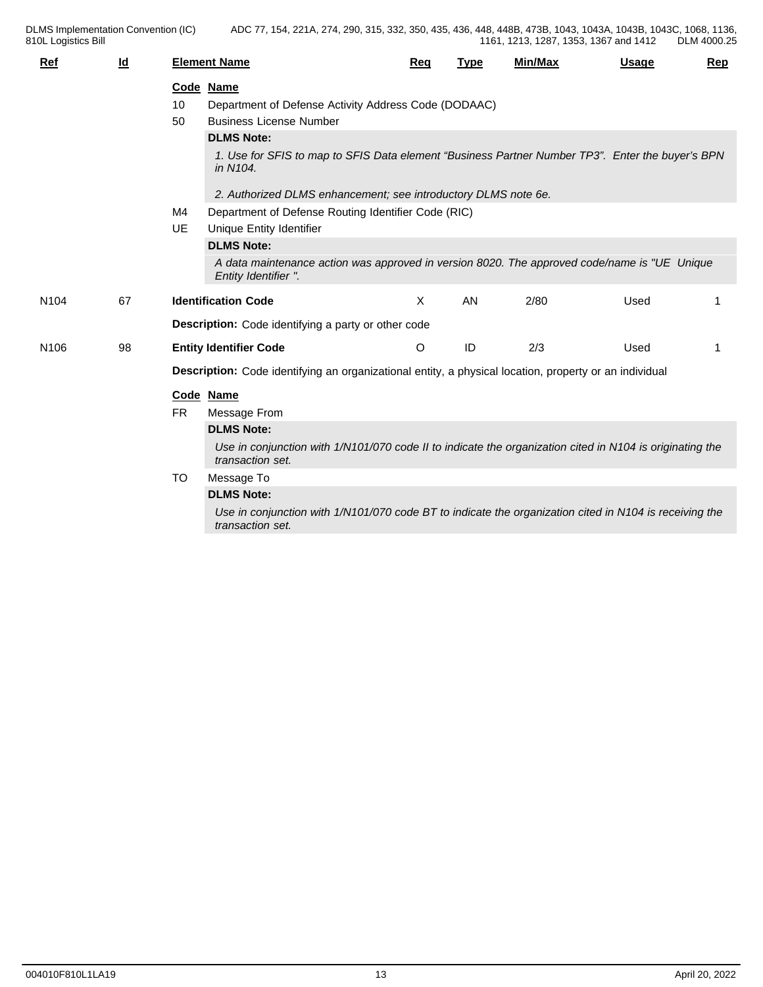DLMS Implementation Convention (IC) ADC 77, 154, 221A, 274, 290, 315, 332, 350, 435, 436, 448, 448B, 473B, 1043, 1043A, 1043B, 1043C, 1068, 1136, 1161, 1213, 1287, 1353, 1367 and 1412 DLM 4000.25

| <b>Ref</b>       | Id |                                                                                                        | <b>Element Name</b>                                                                                                          | Req     | <b>Type</b> | Min/Max | Usage | <b>Rep</b> |  |  |
|------------------|----|--------------------------------------------------------------------------------------------------------|------------------------------------------------------------------------------------------------------------------------------|---------|-------------|---------|-------|------------|--|--|
|                  |    |                                                                                                        | Code Name                                                                                                                    |         |             |         |       |            |  |  |
|                  |    | 10                                                                                                     | Department of Defense Activity Address Code (DODAAC)                                                                         |         |             |         |       |            |  |  |
|                  |    | 50                                                                                                     | <b>Business License Number</b>                                                                                               |         |             |         |       |            |  |  |
|                  |    |                                                                                                        | <b>DLMS Note:</b>                                                                                                            |         |             |         |       |            |  |  |
|                  |    |                                                                                                        | 1. Use for SFIS to map to SFIS Data element "Business Partner Number TP3". Enter the buyer's BPN<br>in N104.                 |         |             |         |       |            |  |  |
|                  |    |                                                                                                        | 2. Authorized DLMS enhancement; see introductory DLMS note 6e.                                                               |         |             |         |       |            |  |  |
|                  |    | M4                                                                                                     | Department of Defense Routing Identifier Code (RIC)                                                                          |         |             |         |       |            |  |  |
|                  |    | <b>UE</b>                                                                                              | Unique Entity Identifier                                                                                                     |         |             |         |       |            |  |  |
|                  |    |                                                                                                        | <b>DLMS Note:</b>                                                                                                            |         |             |         |       |            |  |  |
|                  |    |                                                                                                        | A data maintenance action was approved in version 8020. The approved code/name is "UE Unique<br>Entity Identifier ".         |         |             |         |       |            |  |  |
| N <sub>104</sub> | 67 |                                                                                                        | <b>Identification Code</b>                                                                                                   | X       | AN          | 2/80    | Used  |            |  |  |
|                  |    |                                                                                                        | <b>Description:</b> Code identifying a party or other code                                                                   |         |             |         |       |            |  |  |
| N <sub>106</sub> | 98 |                                                                                                        | <b>Entity Identifier Code</b>                                                                                                | $\circ$ | ID          | 2/3     | Used  |            |  |  |
|                  |    | Description: Code identifying an organizational entity, a physical location, property or an individual |                                                                                                                              |         |             |         |       |            |  |  |
|                  |    |                                                                                                        | Code Name                                                                                                                    |         |             |         |       |            |  |  |
|                  |    | <b>FR</b>                                                                                              | Message From                                                                                                                 |         |             |         |       |            |  |  |
|                  |    |                                                                                                        | <b>DLMS Note:</b>                                                                                                            |         |             |         |       |            |  |  |
|                  |    |                                                                                                        | Use in conjunction with 1/N101/070 code II to indicate the organization cited in N104 is originating the<br>transaction set. |         |             |         |       |            |  |  |
|                  |    | TO                                                                                                     | Message To                                                                                                                   |         |             |         |       |            |  |  |
|                  |    |                                                                                                        | <b>DLMS Note:</b>                                                                                                            |         |             |         |       |            |  |  |
|                  |    |                                                                                                        | Use in conjunction with 1/N101/070 code BT to indicate the organization cited in N104 is receiving the<br>transaction set.   |         |             |         |       |            |  |  |

810L Logistics Bill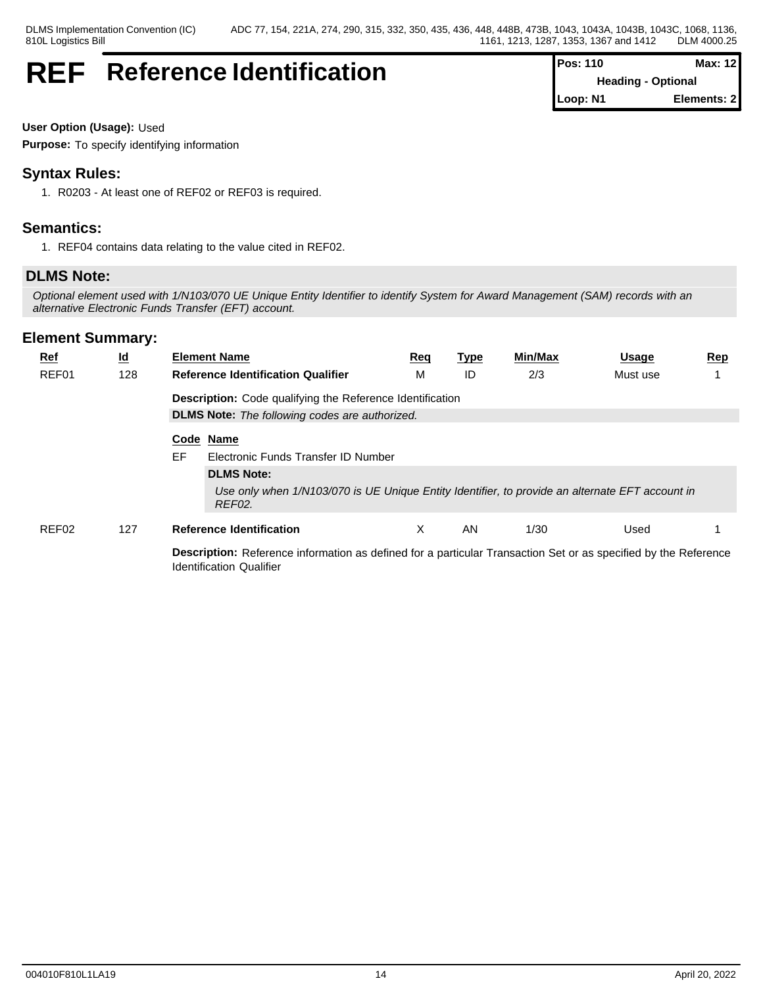## **REF** Reference Identification  $\int_{0}^{P_G}$

| Pos: 110 | Max: 12                   |
|----------|---------------------------|
|          | <b>Heading - Optional</b> |
| Loop: N1 | Elements: 2               |

**User Option (Usage):** Used

**Purpose:** To specify identifying information

## **Syntax Rules:**

1. R0203 - At least one of REF02 or REF03 is required.

## **Semantics:**

1. REF04 contains data relating to the value cited in REF02.

## **DLMS Note:**

*Optional element used with 1/N103/070 UE Unique Entity Identifier to identify System for Award Management (SAM) records with an alternative Electronic Funds Transfer (EFT) account.*

| $Ref$ | <u>ld</u> | <b>Element Name</b>                                                                                                                                | <u>Req</u> | <u>Type</u> | Min/Max | <u>Usage</u> | <u>Rep</u> |  |  |  |  |  |  |
|-------|-----------|----------------------------------------------------------------------------------------------------------------------------------------------------|------------|-------------|---------|--------------|------------|--|--|--|--|--|--|
| REF01 | 128       | <b>Reference Identification Qualifier</b>                                                                                                          | М          | ID          | 2/3     | Must use     |            |  |  |  |  |  |  |
|       |           | <b>Description:</b> Code qualifying the Reference Identification<br><b>DLMS Note:</b> The following codes are authorized.                          |            |             |         |              |            |  |  |  |  |  |  |
|       |           |                                                                                                                                                    |            |             |         |              |            |  |  |  |  |  |  |
|       |           | Code Name                                                                                                                                          |            |             |         |              |            |  |  |  |  |  |  |
|       |           | EF.<br>Electronic Funds Transfer ID Number                                                                                                         |            |             |         |              |            |  |  |  |  |  |  |
|       |           | <b>DLMS Note:</b>                                                                                                                                  |            |             |         |              |            |  |  |  |  |  |  |
|       |           | Use only when 1/N103/070 is UE Unique Entity Identifier, to provide an alternate EFT account in<br>REF02.                                          |            |             |         |              |            |  |  |  |  |  |  |
| REF02 | 127       | <b>Reference Identification</b>                                                                                                                    | X          | AN          | 1/30    | Used         |            |  |  |  |  |  |  |
|       |           | Description: Reference information as defined for a particular Transaction Set or as specified by the Reference<br><b>Identification Qualifier</b> |            |             |         |              |            |  |  |  |  |  |  |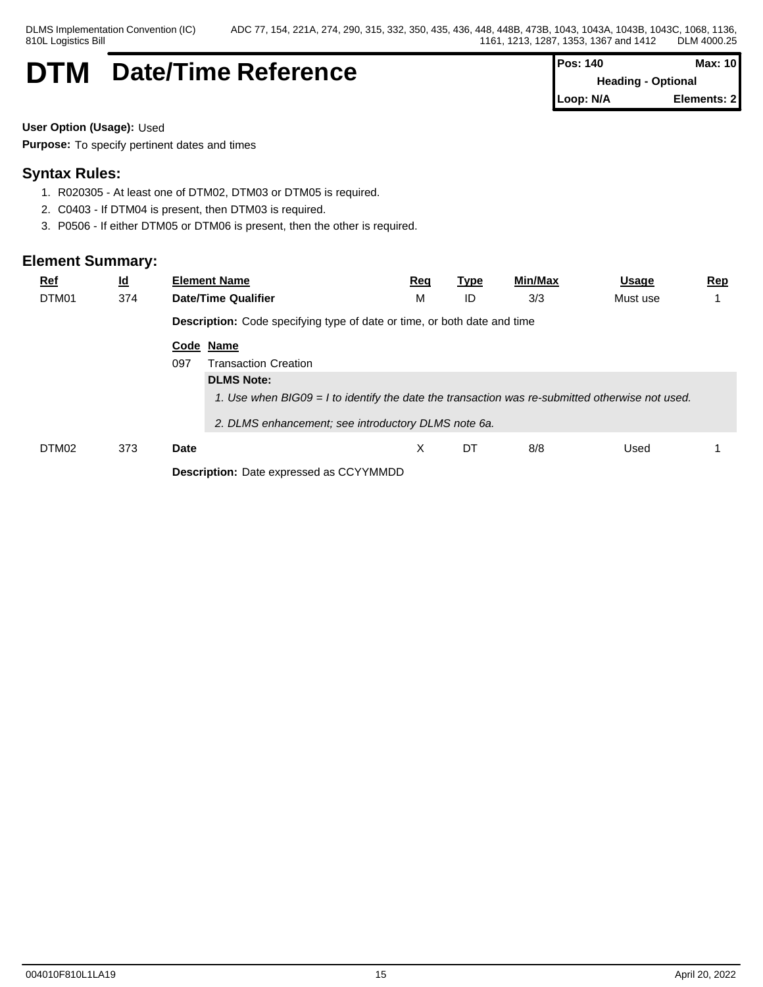## **DTM** Date/Time Reference

| $Pos: 140$                | <b>Max: 10</b> |  |
|---------------------------|----------------|--|
| <b>Heading - Optional</b> |                |  |
| Loop: N/A                 | Elements: 21   |  |

**User Option (Usage):** Used

**Purpose:** To specify pertinent dates and times

## **Syntax Rules:**

- 1. R020305 At least one of DTM02, DTM03 or DTM05 is required.
- 2. C0403 If DTM04 is present, then DTM03 is required.
- 3. P0506 If either DTM05 or DTM06 is present, then the other is required.

| <u>Ref</u><br>DTM01 | $\underline{\mathsf{Id}}$<br>374 | <b>Element Name</b><br><b>Date/Time Qualifier</b>                        | <u>Req</u><br>M                                                                                   | <b>Type</b><br>ID | <u>Min/Max</u><br>3/3 | <u>Usage</u><br>Must use | <u>Rep</u> |  |  |  |  |  |
|---------------------|----------------------------------|--------------------------------------------------------------------------|---------------------------------------------------------------------------------------------------|-------------------|-----------------------|--------------------------|------------|--|--|--|--|--|
|                     |                                  | Description: Code specifying type of date or time, or both date and time |                                                                                                   |                   |                       |                          |            |  |  |  |  |  |
|                     |                                  | Code Name<br>097<br><b>Transaction Creation</b>                          |                                                                                                   |                   |                       |                          |            |  |  |  |  |  |
|                     |                                  | <b>DLMS Note:</b>                                                        |                                                                                                   |                   |                       |                          |            |  |  |  |  |  |
|                     |                                  |                                                                          | 1. Use when $BIGO9 = I$ to identify the date the transaction was re-submitted otherwise not used. |                   |                       |                          |            |  |  |  |  |  |
|                     |                                  | 2. DLMS enhancement; see introductory DLMS note 6a.                      |                                                                                                   |                   |                       |                          |            |  |  |  |  |  |
| DTM02               | 373                              | Date                                                                     | X                                                                                                 | DT                | 8/8                   | Used                     |            |  |  |  |  |  |
|                     |                                  |                                                                          | <b>Description:</b> Date expressed as CCYYMMDD                                                    |                   |                       |                          |            |  |  |  |  |  |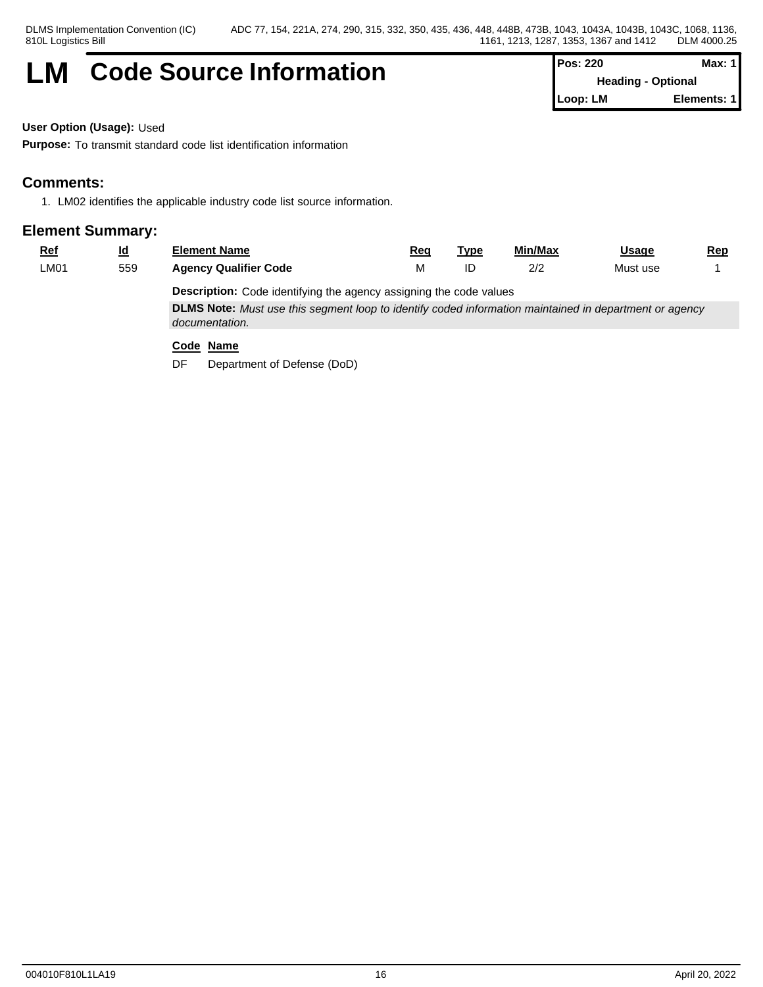## **LM** Code Source Information **Pos: 220 Max: 1 Max: 1**

**Heading - Optional Loop: LM Elements: 1**

**User Option (Usage):** Used

**Purpose:** To transmit standard code list identification information

## **Comments:**

1. LM02 identifies the applicable industry code list source information.

### **Element Summary:**

| <u>Ref</u>                                                                | <u>id</u> | <b>Element Name</b>          | Req | Tvpe | Min/Max | Usage    | <u>Rep</u> |  |  |
|---------------------------------------------------------------------------|-----------|------------------------------|-----|------|---------|----------|------------|--|--|
| LMO1                                                                      | 559       | <b>Agency Qualifier Code</b> |     |      | 2/2     | Must use |            |  |  |
| <b>Description:</b> Code identifying the agency assigning the code values |           |                              |     |      |         |          |            |  |  |

**DLMS Note:** *Must use this segment loop to identify coded information maintained in department or agency documentation.*

### **Code Name**

DF Department of Defense (DoD)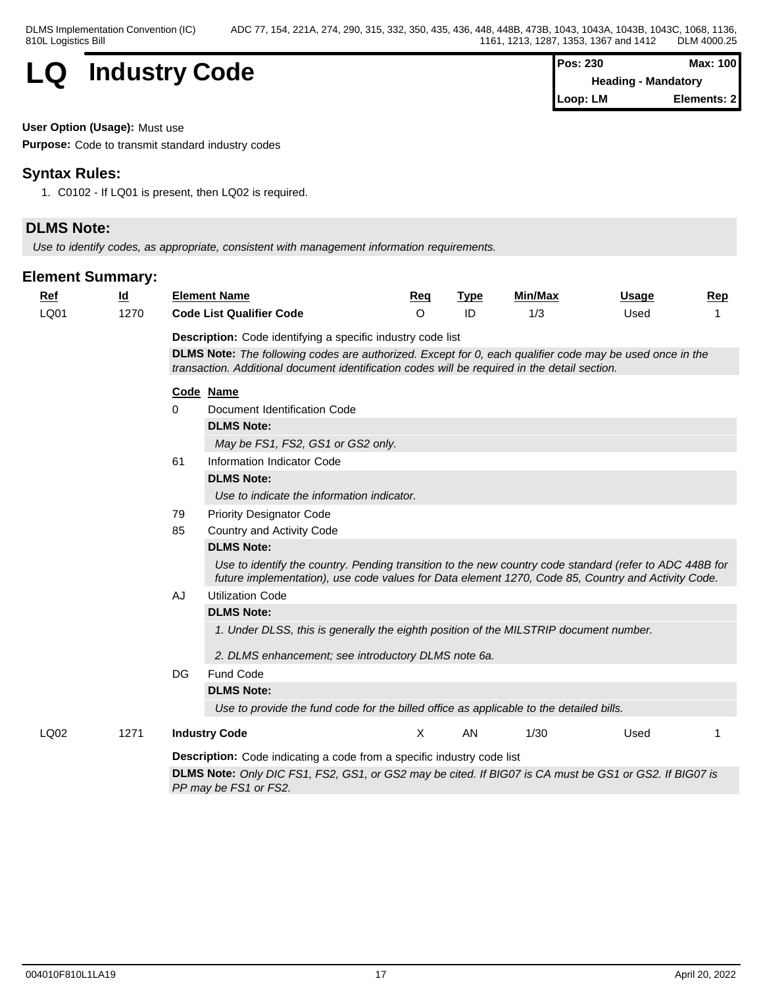

| Pos: 230 | Max: 100                   |
|----------|----------------------------|
|          | <b>Heading - Mandatory</b> |
| Loop: LM | Elements: 2                |

#### **User Option (Usage):** Must use

**Purpose:** Code to transmit standard industry codes

## **Syntax Rules:**

1. C0102 - If LQ01 is present, then LQ02 is required.

## **DLMS Note:**

*Use to identify codes, as appropriate, consistent with management information requirements.*

| <b>Ref</b> | $\underline{\mathsf{Id}}$ | <b>Element Name</b>                                                                                                                                                                                           | Req     | <b>Type</b> | <b>Min/Max</b> | Usage | Rep |  |  |
|------------|---------------------------|---------------------------------------------------------------------------------------------------------------------------------------------------------------------------------------------------------------|---------|-------------|----------------|-------|-----|--|--|
| LQ01       | 1270                      | <b>Code List Qualifier Code</b>                                                                                                                                                                               | $\circ$ | ID          | 1/3            | Used  |     |  |  |
|            |                           | <b>Description:</b> Code identifying a specific industry code list                                                                                                                                            |         |             |                |       |     |  |  |
|            |                           | DLMS Note: The following codes are authorized. Except for 0, each qualifier code may be used once in the                                                                                                      |         |             |                |       |     |  |  |
|            |                           | transaction. Additional document identification codes will be required in the detail section.                                                                                                                 |         |             |                |       |     |  |  |
|            |                           | Code Name                                                                                                                                                                                                     |         |             |                |       |     |  |  |
|            |                           | Document Identification Code<br>$\Omega$                                                                                                                                                                      |         |             |                |       |     |  |  |
|            |                           | <b>DLMS Note:</b>                                                                                                                                                                                             |         |             |                |       |     |  |  |
|            |                           | May be FS1, FS2, GS1 or GS2 only.                                                                                                                                                                             |         |             |                |       |     |  |  |
|            |                           | 61<br>Information Indicator Code                                                                                                                                                                              |         |             |                |       |     |  |  |
|            |                           | <b>DLMS Note:</b>                                                                                                                                                                                             |         |             |                |       |     |  |  |
|            |                           | Use to indicate the information indicator.                                                                                                                                                                    |         |             |                |       |     |  |  |
|            |                           | 79<br><b>Priority Designator Code</b>                                                                                                                                                                         |         |             |                |       |     |  |  |
|            |                           | 85<br>Country and Activity Code                                                                                                                                                                               |         |             |                |       |     |  |  |
|            |                           | <b>DLMS Note:</b>                                                                                                                                                                                             |         |             |                |       |     |  |  |
|            |                           | Use to identify the country. Pending transition to the new country code standard (refer to ADC 448B for<br>future implementation), use code values for Data element 1270, Code 85, Country and Activity Code. |         |             |                |       |     |  |  |
|            |                           | AJ<br><b>Utilization Code</b>                                                                                                                                                                                 |         |             |                |       |     |  |  |
|            |                           | <b>DLMS Note:</b>                                                                                                                                                                                             |         |             |                |       |     |  |  |
|            |                           | 1. Under DLSS, this is generally the eighth position of the MILSTRIP document number.                                                                                                                         |         |             |                |       |     |  |  |
|            |                           | 2. DLMS enhancement; see introductory DLMS note 6a.                                                                                                                                                           |         |             |                |       |     |  |  |
|            |                           | Fund Code<br>DG                                                                                                                                                                                               |         |             |                |       |     |  |  |
|            |                           | <b>DLMS Note:</b>                                                                                                                                                                                             |         |             |                |       |     |  |  |
|            |                           | Use to provide the fund code for the billed office as applicable to the detailed bills.                                                                                                                       |         |             |                |       |     |  |  |
| LQ02       | 1271                      | <b>Industry Code</b>                                                                                                                                                                                          | X       | AN          | 1/30           | Used  |     |  |  |
|            |                           | <b>Description:</b> Code indicating a code from a specific industry code list                                                                                                                                 |         |             |                |       |     |  |  |
|            |                           | DLMS Note: Only DIC FS1, FS2, GS1, or GS2 may be cited. If BIG07 is CA must be GS1 or GS2. If BIG07 is                                                                                                        |         |             |                |       |     |  |  |
|            |                           | PP may be FS1 or FS2.                                                                                                                                                                                         |         |             |                |       |     |  |  |
|            |                           |                                                                                                                                                                                                               |         |             |                |       |     |  |  |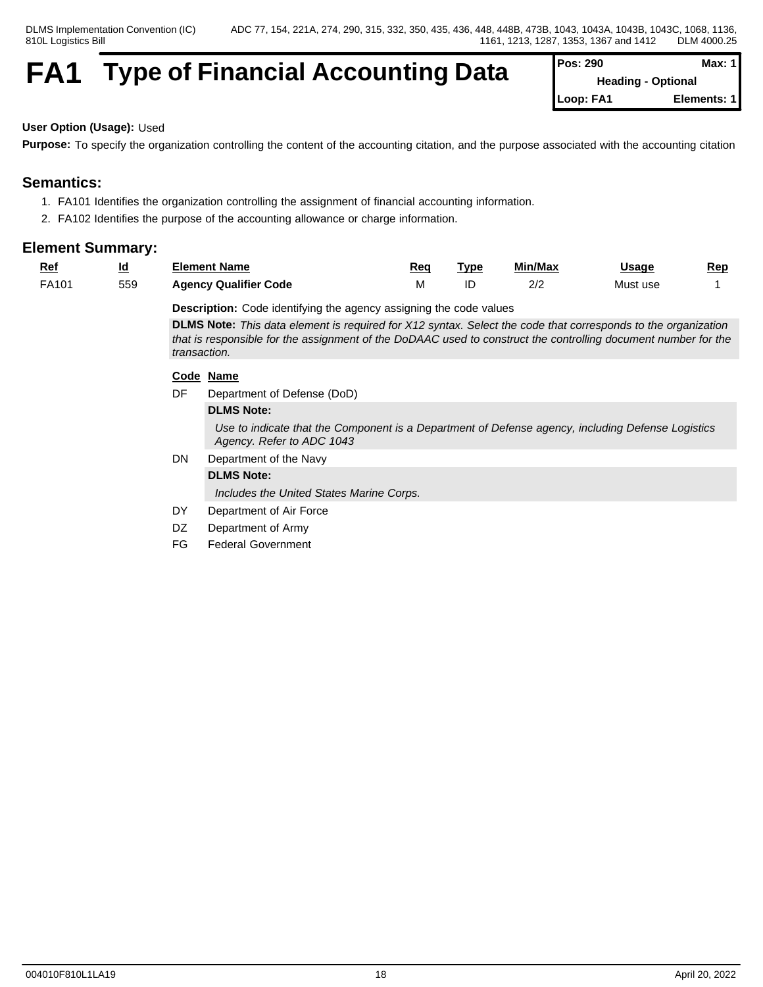## **FA1** Type of Financial Accounting Data

| Pos: 290  | Max: 11                   |
|-----------|---------------------------|
|           | <b>Heading - Optional</b> |
| Loop: FA1 | Elements: 1               |

#### **User Option (Usage):** Used

**Purpose:** To specify the organization controlling the content of the accounting citation, and the purpose associated with the accounting citation

## **Semantics:**

- 1. FA101 Identifies the organization controlling the assignment of financial accounting information.
- 2. FA102 Identifies the purpose of the accounting allowance or charge information.

#### **Element Summary:**

| <u>Ref</u> | Id<br>$\equiv$ | Element Name                 | Red   | <b>Tvpe</b> | Min/Max   | Usage    | <u>Rep</u> |
|------------|----------------|------------------------------|-------|-------------|-----------|----------|------------|
| FA101      | 559            | <b>Agency Qualifier Code</b> | 1 V I | ໋           | n ir<br>. | Must use |            |

**Description:** Code identifying the agency assigning the code values

**DLMS Note:** *This data element is required for X12 syntax. Select the code that corresponds to the organization that is responsible for the assignment of the DoDAAC used to construct the controlling document number for the transaction.*

#### **Code Name**

DF Department of Defense (DoD)

#### **DLMS Note:**

*Use to indicate that the Component is a Department of Defense agency, including Defense Logistics Agency. Refer to ADC 1043*

DN Department of the Navy

### **DLMS Note:**

*Includes the United States Marine Corps.*

- DY Department of Air Force
- DZ Department of Army
- FG Federal Government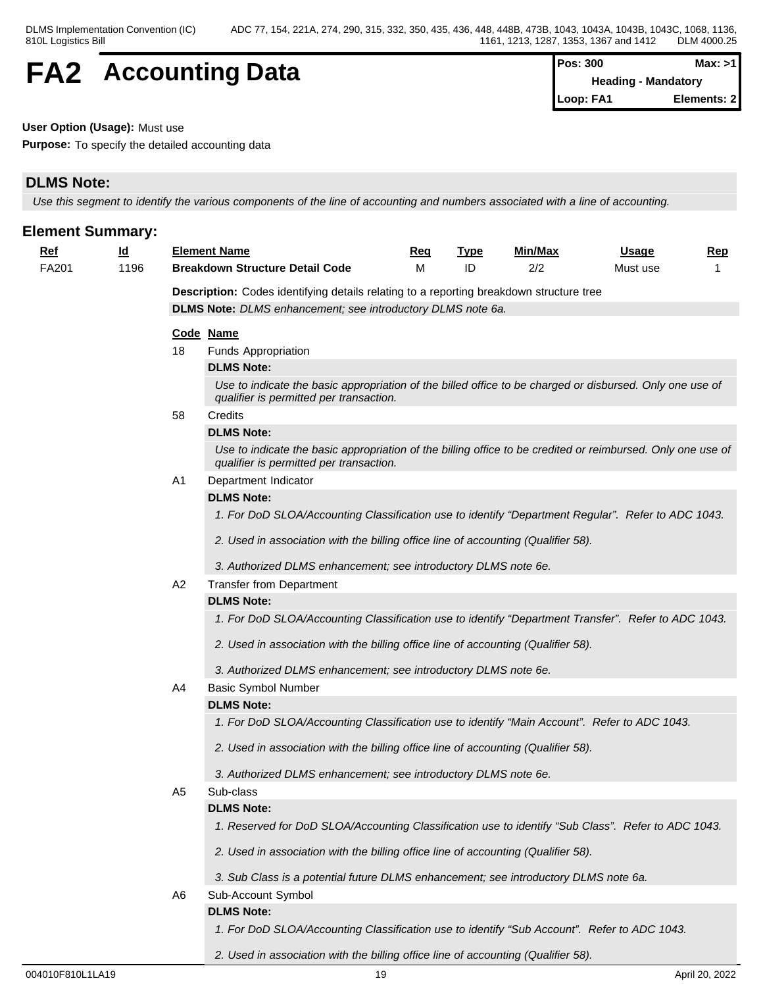## **FA2** Accounting Data  $\left[\begin{array}{cc} \text{Pos: } 300 & \text{Max: } >1 \\ \text{Heading - Mandatorv} & \text{Mean} \end{array}\right]$

**Heading - Mandatory Loop: FA1 Elements: 2**

#### **User Option (Usage):** Must use

**Purpose:** To specify the detailed accounting data

## **DLMS Note:**

*Use this segment to identify the various components of the line of accounting and numbers associated with a line of accounting.*

| <u>ld</u><br><b>Element Name</b><br><u>Min/Max</u><br><u>Ref</u><br><u>Usage</u><br><u>Rep</u><br><u>Req</u><br><b>Type</b><br>2/2<br>FA201<br>1196<br><b>Breakdown Structure Detail Code</b><br>м<br>ID<br>Must use<br><b>Description:</b> Codes identifying details relating to a reporting breakdown structure tree<br>DLMS Note: DLMS enhancement; see introductory DLMS note 6a.<br>Code Name |
|----------------------------------------------------------------------------------------------------------------------------------------------------------------------------------------------------------------------------------------------------------------------------------------------------------------------------------------------------------------------------------------------------|
|                                                                                                                                                                                                                                                                                                                                                                                                    |
|                                                                                                                                                                                                                                                                                                                                                                                                    |
|                                                                                                                                                                                                                                                                                                                                                                                                    |
|                                                                                                                                                                                                                                                                                                                                                                                                    |
|                                                                                                                                                                                                                                                                                                                                                                                                    |
| 18<br><b>Funds Appropriation</b>                                                                                                                                                                                                                                                                                                                                                                   |
| <b>DLMS Note:</b>                                                                                                                                                                                                                                                                                                                                                                                  |
| Use to indicate the basic appropriation of the billed office to be charged or disbursed. Only one use of<br>qualifier is permitted per transaction.                                                                                                                                                                                                                                                |
| 58<br>Credits                                                                                                                                                                                                                                                                                                                                                                                      |
| <b>DLMS Note:</b>                                                                                                                                                                                                                                                                                                                                                                                  |
| Use to indicate the basic appropriation of the billing office to be credited or reimbursed. Only one use of<br>qualifier is permitted per transaction.                                                                                                                                                                                                                                             |
| A <sub>1</sub><br>Department Indicator                                                                                                                                                                                                                                                                                                                                                             |
| <b>DLMS Note:</b>                                                                                                                                                                                                                                                                                                                                                                                  |
| 1. For DoD SLOA/Accounting Classification use to identify "Department Regular". Refer to ADC 1043.                                                                                                                                                                                                                                                                                                 |
| 2. Used in association with the billing office line of accounting (Qualifier 58).                                                                                                                                                                                                                                                                                                                  |
| 3. Authorized DLMS enhancement; see introductory DLMS note 6e.                                                                                                                                                                                                                                                                                                                                     |
| A2<br><b>Transfer from Department</b>                                                                                                                                                                                                                                                                                                                                                              |
| <b>DLMS Note:</b>                                                                                                                                                                                                                                                                                                                                                                                  |
| 1. For DoD SLOA/Accounting Classification use to identify "Department Transfer". Refer to ADC 1043.                                                                                                                                                                                                                                                                                                |
| 2. Used in association with the billing office line of accounting (Qualifier 58).                                                                                                                                                                                                                                                                                                                  |
| 3. Authorized DLMS enhancement; see introductory DLMS note 6e.                                                                                                                                                                                                                                                                                                                                     |
| <b>Basic Symbol Number</b><br>A4                                                                                                                                                                                                                                                                                                                                                                   |
| <b>DLMS Note:</b>                                                                                                                                                                                                                                                                                                                                                                                  |
| 1. For DoD SLOA/Accounting Classification use to identify "Main Account". Refer to ADC 1043.                                                                                                                                                                                                                                                                                                       |
| 2. Used in association with the billing office line of accounting (Qualifier 58).                                                                                                                                                                                                                                                                                                                  |
| 3. Authorized DLMS enhancement; see introductory DLMS note 6e.                                                                                                                                                                                                                                                                                                                                     |
| Sub-class<br>A <sub>5</sub>                                                                                                                                                                                                                                                                                                                                                                        |
| <b>DLMS Note:</b>                                                                                                                                                                                                                                                                                                                                                                                  |
| 1. Reserved for DoD SLOA/Accounting Classification use to identify "Sub Class". Refer to ADC 1043.                                                                                                                                                                                                                                                                                                 |
| 2. Used in association with the billing office line of accounting (Qualifier 58).                                                                                                                                                                                                                                                                                                                  |
| 3. Sub Class is a potential future DLMS enhancement; see introductory DLMS note 6a.                                                                                                                                                                                                                                                                                                                |
| Sub-Account Symbol<br>A6                                                                                                                                                                                                                                                                                                                                                                           |
| <b>DLMS Note:</b>                                                                                                                                                                                                                                                                                                                                                                                  |
| 1. For DoD SLOA/Accounting Classification use to identify "Sub Account". Refer to ADC 1043.                                                                                                                                                                                                                                                                                                        |

*2. Used in association with the billing office line of accounting (Qualifier 58).*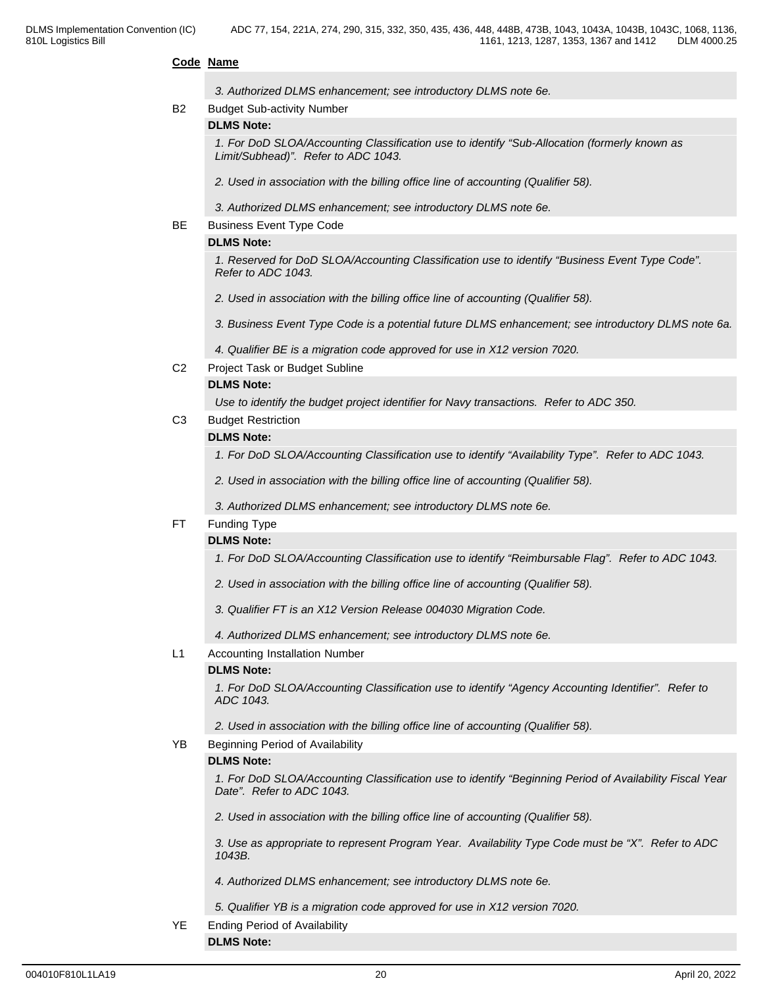#### **Code Name**

|                | 3. Authorized DLMS enhancement; see introductory DLMS note 6e.                                                                       |  |
|----------------|--------------------------------------------------------------------------------------------------------------------------------------|--|
| B2             | <b>Budget Sub-activity Number</b>                                                                                                    |  |
|                | <b>DLMS Note:</b>                                                                                                                    |  |
|                | 1. For DoD SLOA/Accounting Classification use to identify "Sub-Allocation (formerly known as<br>Limit/Subhead)". Refer to ADC 1043.  |  |
|                | 2. Used in association with the billing office line of accounting (Qualifier 58).                                                    |  |
|                | 3. Authorized DLMS enhancement; see introductory DLMS note 6e.                                                                       |  |
| BE.            | <b>Business Event Type Code</b>                                                                                                      |  |
|                | <b>DLMS Note:</b>                                                                                                                    |  |
|                | 1. Reserved for DoD SLOA/Accounting Classification use to identify "Business Event Type Code".<br>Refer to ADC 1043.                 |  |
|                | 2. Used in association with the billing office line of accounting (Qualifier 58).                                                    |  |
|                | 3. Business Event Type Code is a potential future DLMS enhancement; see introductory DLMS note 6a.                                   |  |
|                | 4. Qualifier BE is a migration code approved for use in X12 version 7020.                                                            |  |
| C <sub>2</sub> | Project Task or Budget Subline                                                                                                       |  |
|                | <b>DLMS Note:</b>                                                                                                                    |  |
|                | Use to identify the budget project identifier for Navy transactions. Refer to ADC 350.                                               |  |
| C <sub>3</sub> | <b>Budget Restriction</b>                                                                                                            |  |
|                | <b>DLMS Note:</b>                                                                                                                    |  |
|                | 1. For DoD SLOA/Accounting Classification use to identify "Availability Type". Refer to ADC 1043.                                    |  |
|                | 2. Used in association with the billing office line of accounting (Qualifier 58).                                                    |  |
|                | 3. Authorized DLMS enhancement; see introductory DLMS note 6e.                                                                       |  |
| FT.            | <b>Funding Type</b>                                                                                                                  |  |
|                | <b>DLMS Note:</b>                                                                                                                    |  |
|                | 1. For DoD SLOA/Accounting Classification use to identify "Reimbursable Flag". Refer to ADC 1043.                                    |  |
|                | 2. Used in association with the billing office line of accounting (Qualifier 58).                                                    |  |
|                | 3. Qualifier FT is an X12 Version Release 004030 Migration Code.                                                                     |  |
|                | 4. Authorized DLMS enhancement; see introductory DLMS note 6e.                                                                       |  |
| L1             | <b>Accounting Installation Number</b>                                                                                                |  |
|                | <b>DLMS Note:</b>                                                                                                                    |  |
|                | 1. For DoD SLOA/Accounting Classification use to identify "Agency Accounting Identifier". Refer to<br>ADC 1043.                      |  |
|                | 2. Used in association with the billing office line of accounting (Qualifier 58).                                                    |  |
| YB.            | Beginning Period of Availability                                                                                                     |  |
|                | <b>DLMS Note:</b>                                                                                                                    |  |
|                | 1. For DoD SLOA/Accounting Classification use to identify "Beginning Period of Availability Fiscal Year<br>Date". Refer to ADC 1043. |  |
|                | 2. Used in association with the billing office line of accounting (Qualifier 58).                                                    |  |
|                | 3. Use as appropriate to represent Program Year. Availability Type Code must be "X". Refer to ADC<br>1043B.                          |  |
|                | 4. Authorized DLMS enhancement; see introductory DLMS note 6e.                                                                       |  |
|                | 5. Qualifier YB is a migration code approved for use in X12 version 7020.                                                            |  |
| YE             | <b>Ending Period of Availability</b>                                                                                                 |  |
|                | <b>DLMS Note:</b>                                                                                                                    |  |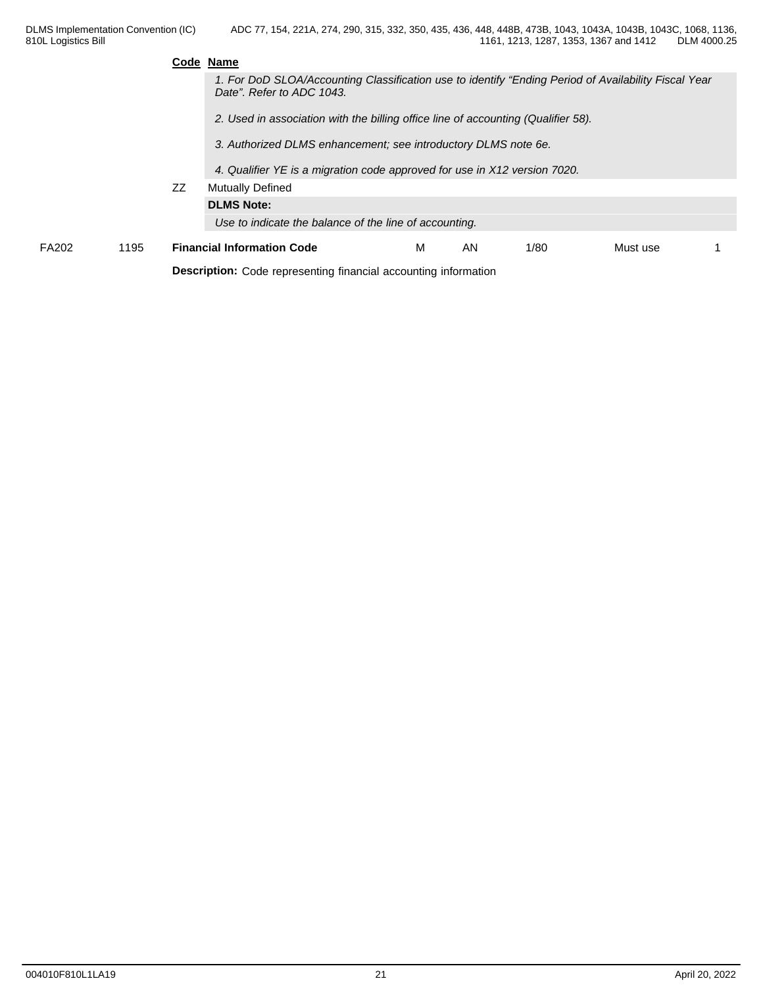|       |      |    | Code Name                                                                                                                         |   |    |      |          |  |
|-------|------|----|-----------------------------------------------------------------------------------------------------------------------------------|---|----|------|----------|--|
|       |      |    | 1. For DoD SLOA/Accounting Classification use to identify "Ending Period of Availability Fiscal Year<br>Date". Refer to ADC 1043. |   |    |      |          |  |
|       |      |    | 2. Used in association with the billing office line of accounting (Qualifier 58).                                                 |   |    |      |          |  |
|       |      |    | 3. Authorized DLMS enhancement; see introductory DLMS note 6e.                                                                    |   |    |      |          |  |
|       |      |    | 4. Qualifier YE is a migration code approved for use in X12 version 7020.                                                         |   |    |      |          |  |
|       |      | ZZ | <b>Mutually Defined</b>                                                                                                           |   |    |      |          |  |
|       |      |    | <b>DLMS Note:</b>                                                                                                                 |   |    |      |          |  |
|       |      |    | Use to indicate the balance of the line of accounting.                                                                            |   |    |      |          |  |
| FA202 | 1195 |    | <b>Financial Information Code</b>                                                                                                 | м | AN | 1/80 | Must use |  |
|       |      |    | <b>Description:</b> Code representing financial accounting information                                                            |   |    |      |          |  |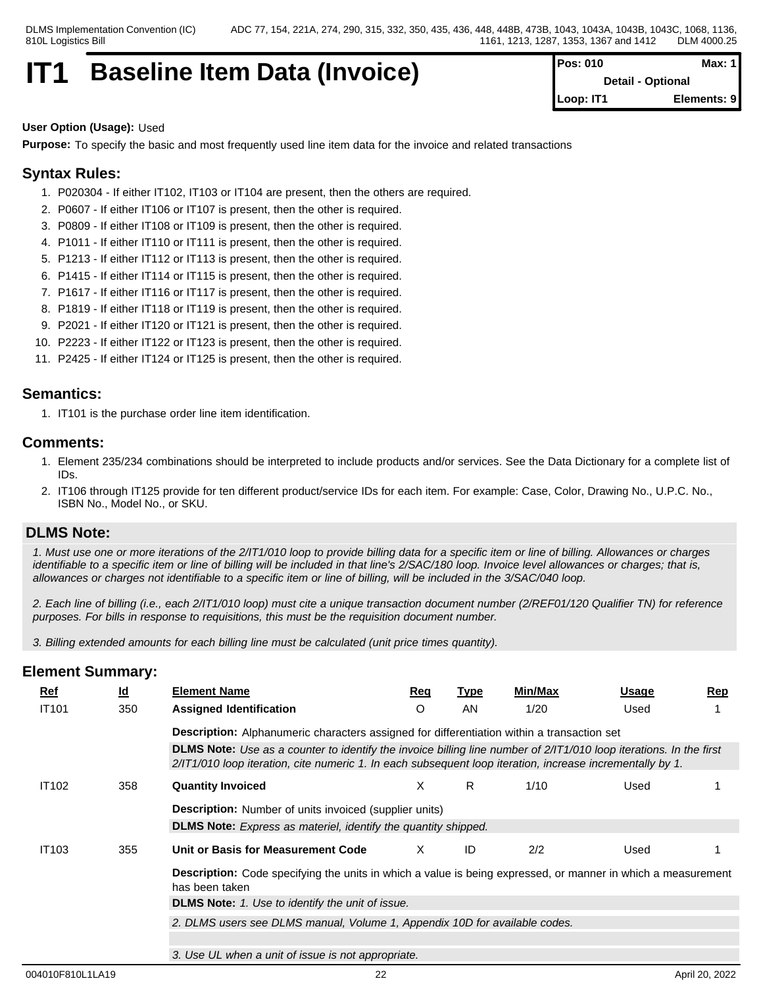## **IT1 Baseline Item Data (Invoice)**

| Pos: 010  | Max: $1$                 |
|-----------|--------------------------|
|           | <b>Detail - Optional</b> |
| Loop: IT1 | Elements: 9              |

#### **User Option (Usage):** Used

**Purpose:** To specify the basic and most frequently used line item data for the invoice and related transactions

## **Syntax Rules:**

- 1. P020304 If either IT102, IT103 or IT104 are present, then the others are required.
- 2. P0607 If either IT106 or IT107 is present, then the other is required.
- 3. P0809 If either IT108 or IT109 is present, then the other is required.
- 4. P1011 If either IT110 or IT111 is present, then the other is required.
- 5. P1213 If either IT112 or IT113 is present, then the other is required.
- 6. P1415 If either IT114 or IT115 is present, then the other is required.
- 7. P1617 If either IT116 or IT117 is present, then the other is required.
- 8. P1819 If either IT118 or IT119 is present, then the other is required.
- 9. P2021 If either IT120 or IT121 is present, then the other is required.
- 10. P2223 If either IT122 or IT123 is present, then the other is required.
- 11. P2425 If either IT124 or IT125 is present, then the other is required.

### **Semantics:**

1. IT101 is the purchase order line item identification.

### **Comments:**

- 1. Element 235/234 combinations should be interpreted to include products and/or services. See the Data Dictionary for a complete list of IDs.
- 2. IT106 through IT125 provide for ten different product/service IDs for each item. For example: Case, Color, Drawing No., U.P.C. No., ISBN No., Model No., or SKU.

### **DLMS Note:**

*1. Must use one or more iterations of the 2/IT1/010 loop to provide billing data for a specific item or line of billing. Allowances or charges identifiable to a specific item or line of billing will be included in that line's 2/SAC/180 loop. Invoice level allowances or charges; that is, allowances or charges not identifiable to a specific item or line of billing, will be included in the 3/SAC/040 loop.*

*2. Each line of billing (i.e., each 2/IT1/010 loop) must cite a unique transaction document number (2/REF01/120 Qualifier TN) for reference purposes. For bills in response to requisitions, this must be the requisition document number.*

*3. Billing extended amounts for each billing line must be calculated (unit price times quantity).*

| <u>Ref</u>   | $\underline{\mathsf{Id}}$ | <b>Element Name</b>                                                                                                                                                                                                             | Req     | <u>Type</u> | Min/Max | Usage | Rep |
|--------------|---------------------------|---------------------------------------------------------------------------------------------------------------------------------------------------------------------------------------------------------------------------------|---------|-------------|---------|-------|-----|
| <b>IT101</b> | 350                       | <b>Assigned Identification</b>                                                                                                                                                                                                  | $\circ$ | AN.         | 1/20    | Used  |     |
|              |                           | <b>Description:</b> Alphanumeric characters assigned for differentiation within a transaction set                                                                                                                               |         |             |         |       |     |
|              |                           | DLMS Note: Use as a counter to identify the invoice billing line number of 2/IT1/010 loop iterations. In the first<br>2/IT1/010 loop iteration, cite numeric 1. In each subsequent loop iteration, increase incrementally by 1. |         |             |         |       |     |
| <b>IT102</b> | 358                       | <b>Quantity Invoiced</b>                                                                                                                                                                                                        | X       | R.          | 1/10    | Used  |     |
|              |                           | <b>Description:</b> Number of units invoiced (supplier units)                                                                                                                                                                   |         |             |         |       |     |
|              |                           | <b>DLMS Note:</b> Express as materiel, identify the quantity shipped.                                                                                                                                                           |         |             |         |       |     |
| <b>IT103</b> | 355                       | Unit or Basis for Measurement Code                                                                                                                                                                                              | X.      | ID          | 2/2     | Used  |     |
|              |                           | <b>Description:</b> Code specifying the units in which a value is being expressed, or manner in which a measurement<br>has been taken                                                                                           |         |             |         |       |     |
|              |                           | DLMS Note: 1. Use to identify the unit of issue.                                                                                                                                                                                |         |             |         |       |     |
|              |                           | 2. DLMS users see DLMS manual, Volume 1, Appendix 10D for available codes.                                                                                                                                                      |         |             |         |       |     |
|              |                           |                                                                                                                                                                                                                                 |         |             |         |       |     |
|              |                           | 3. Use UL when a unit of issue is not appropriate.                                                                                                                                                                              |         |             |         |       |     |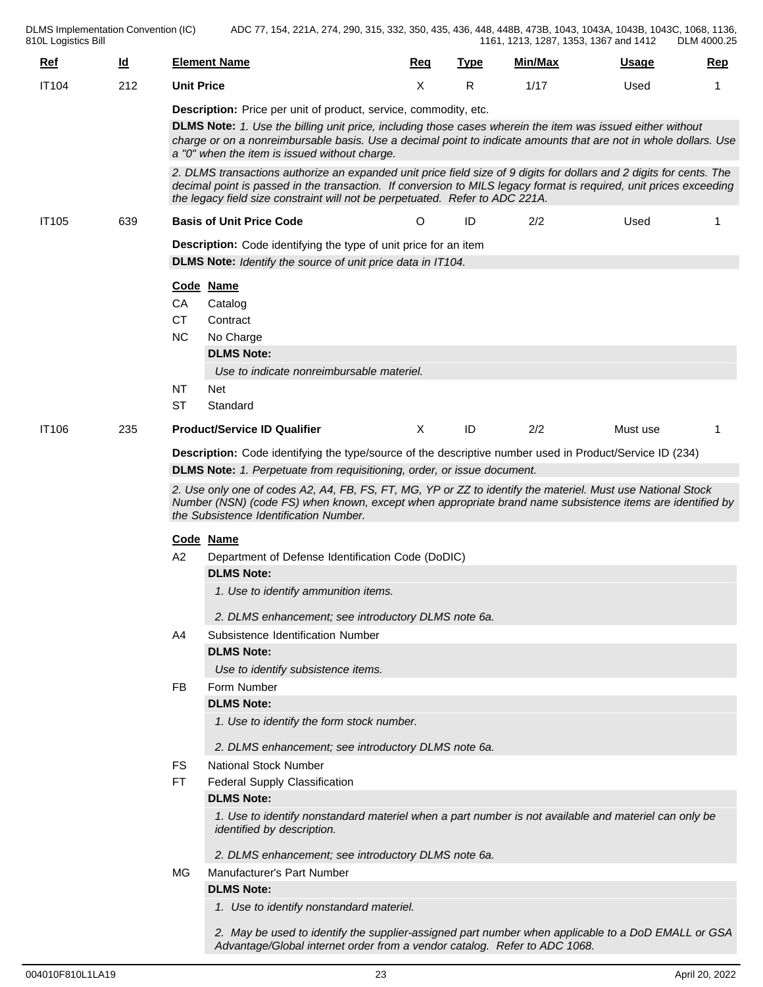DLMS Implementation Convention (IC) 810L Logistics Bill ADC 77, 154, 221A, 274, 290, 315, 332, 350, 435, 436, 448, 448B, 473B, 1043, 1043A, 1043B, 1043C, 1068, 1136, 1161, 1213, 1287, 1353, 1367 and 1412 DLM 4000.25

| <u>Ref</u>   | $\underline{\mathsf{Id}}$ | <b>Element Name</b>                                                                                                                                                                                                                                                                                                                                 | <b>Req</b>   | <b>Type</b> | Min/Max | <b>Usage</b> | Rep |
|--------------|---------------------------|-----------------------------------------------------------------------------------------------------------------------------------------------------------------------------------------------------------------------------------------------------------------------------------------------------------------------------------------------------|--------------|-------------|---------|--------------|-----|
| <b>IT104</b> | 212                       | <b>Unit Price</b>                                                                                                                                                                                                                                                                                                                                   | X            | R           | 1/17    | Used         | 1   |
|              |                           | Description: Price per unit of product, service, commodity, etc.<br>DLMS Note: 1. Use the billing unit price, including those cases wherein the item was issued either without<br>charge or on a nonreimbursable basis. Use a decimal point to indicate amounts that are not in whole dollars. Use<br>a "0" when the item is issued without charge. |              |             |         |              |     |
|              |                           | 2. DLMS transactions authorize an expanded unit price field size of 9 digits for dollars and 2 digits for cents. The<br>decimal point is passed in the transaction. If conversion to MILS legacy format is required, unit prices exceeding<br>the legacy field size constraint will not be perpetuated. Refer to ADC 221A.                          |              |             |         |              |     |
| <b>IT105</b> | 639                       | <b>Basis of Unit Price Code</b>                                                                                                                                                                                                                                                                                                                     | $\circ$      | ID          | 2/2     | Used         |     |
|              |                           | <b>Description:</b> Code identifying the type of unit price for an item                                                                                                                                                                                                                                                                             |              |             |         |              |     |
|              |                           | DLMS Note: Identify the source of unit price data in IT104.                                                                                                                                                                                                                                                                                         |              |             |         |              |     |
|              |                           | Code Name                                                                                                                                                                                                                                                                                                                                           |              |             |         |              |     |
|              |                           | CA<br>Catalog                                                                                                                                                                                                                                                                                                                                       |              |             |         |              |     |
|              |                           | <b>CT</b><br>Contract<br><b>NC</b><br>No Charge                                                                                                                                                                                                                                                                                                     |              |             |         |              |     |
|              |                           | <b>DLMS Note:</b>                                                                                                                                                                                                                                                                                                                                   |              |             |         |              |     |
|              |                           | Use to indicate nonreimbursable materiel.                                                                                                                                                                                                                                                                                                           |              |             |         |              |     |
|              |                           | NT<br>Net                                                                                                                                                                                                                                                                                                                                           |              |             |         |              |     |
|              |                           | ST<br>Standard                                                                                                                                                                                                                                                                                                                                      |              |             |         |              |     |
| <b>IT106</b> | 235                       | <b>Product/Service ID Qualifier</b>                                                                                                                                                                                                                                                                                                                 | $\mathsf{X}$ | ID          | 2/2     | Must use     | 1   |
|              |                           | Description: Code identifying the type/source of the descriptive number used in Product/Service ID (234)                                                                                                                                                                                                                                            |              |             |         |              |     |
|              |                           | DLMS Note: 1. Perpetuate from requisitioning, order, or issue document.                                                                                                                                                                                                                                                                             |              |             |         |              |     |
|              |                           | 2. Use only one of codes A2, A4, FB, FS, FT, MG, YP or ZZ to identify the materiel. Must use National Stock<br>Number (NSN) (code FS) when known, except when appropriate brand name subsistence items are identified by<br>the Subsistence Identification Number.                                                                                  |              |             |         |              |     |
|              |                           | Code Name                                                                                                                                                                                                                                                                                                                                           |              |             |         |              |     |
|              |                           | A2<br>Department of Defense Identification Code (DoDIC)                                                                                                                                                                                                                                                                                             |              |             |         |              |     |
|              |                           | <b>DLMS Note:</b>                                                                                                                                                                                                                                                                                                                                   |              |             |         |              |     |
|              |                           | 1. Use to identify ammunition items.                                                                                                                                                                                                                                                                                                                |              |             |         |              |     |
|              |                           | 2. DLMS enhancement; see introductory DLMS note 6a.                                                                                                                                                                                                                                                                                                 |              |             |         |              |     |
|              |                           | Subsistence Identification Number<br>A4                                                                                                                                                                                                                                                                                                             |              |             |         |              |     |
|              |                           | <b>DLMS Note:</b>                                                                                                                                                                                                                                                                                                                                   |              |             |         |              |     |
|              |                           | Use to identify subsistence items.                                                                                                                                                                                                                                                                                                                  |              |             |         |              |     |
|              |                           | <b>FB</b><br>Form Number                                                                                                                                                                                                                                                                                                                            |              |             |         |              |     |
|              |                           | <b>DLMS Note:</b>                                                                                                                                                                                                                                                                                                                                   |              |             |         |              |     |
|              |                           | 1. Use to identify the form stock number.                                                                                                                                                                                                                                                                                                           |              |             |         |              |     |
|              |                           | 2. DLMS enhancement; see introductory DLMS note 6a.                                                                                                                                                                                                                                                                                                 |              |             |         |              |     |
|              |                           | <b>National Stock Number</b><br>FS                                                                                                                                                                                                                                                                                                                  |              |             |         |              |     |
|              |                           | FT.<br><b>Federal Supply Classification</b>                                                                                                                                                                                                                                                                                                         |              |             |         |              |     |
|              |                           | <b>DLMS Note:</b>                                                                                                                                                                                                                                                                                                                                   |              |             |         |              |     |
|              |                           | 1. Use to identify nonstandard materiel when a part number is not available and materiel can only be<br>identified by description.                                                                                                                                                                                                                  |              |             |         |              |     |
|              |                           | 2. DLMS enhancement; see introductory DLMS note 6a.                                                                                                                                                                                                                                                                                                 |              |             |         |              |     |
|              |                           | <b>Manufacturer's Part Number</b><br>MG                                                                                                                                                                                                                                                                                                             |              |             |         |              |     |
|              |                           | <b>DLMS Note:</b>                                                                                                                                                                                                                                                                                                                                   |              |             |         |              |     |
|              |                           | 1. Use to identify nonstandard materiel.                                                                                                                                                                                                                                                                                                            |              |             |         |              |     |
|              |                           | 2. May be used to identify the supplier-assigned part number when applicable to a DoD EMALL or GSA                                                                                                                                                                                                                                                  |              |             |         |              |     |

*Advantage/Global internet order from a vendor catalog. Refer to ADC 1068.*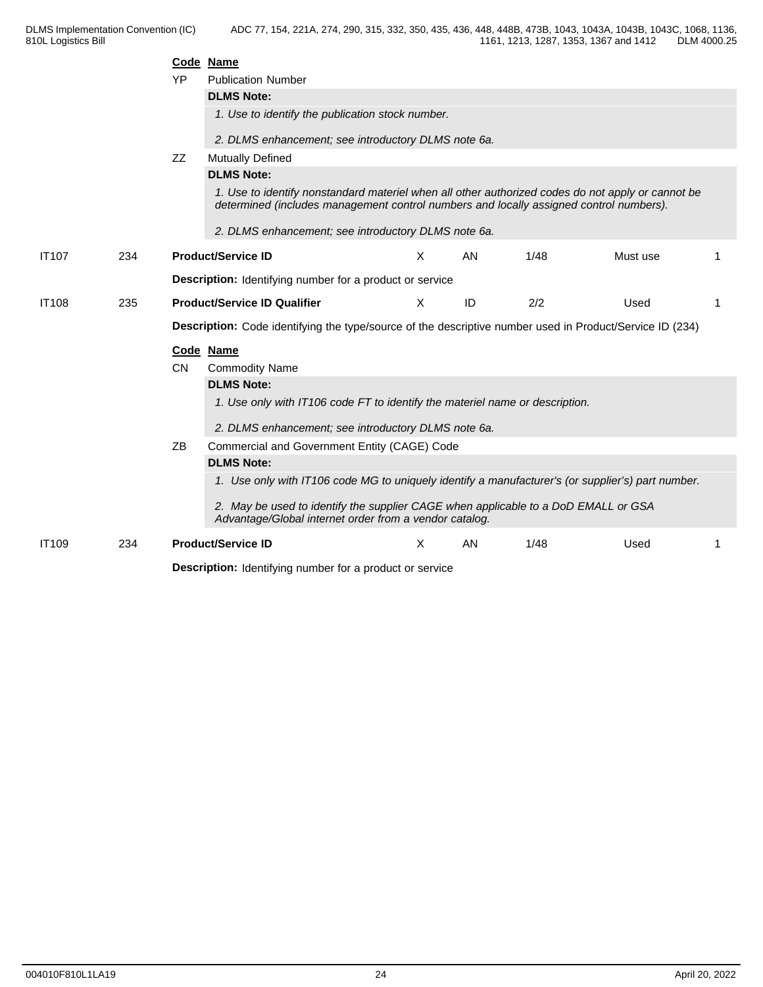|              |     |           | Code Name                                                                                                                                                                                   |   |    |      |          |    |
|--------------|-----|-----------|---------------------------------------------------------------------------------------------------------------------------------------------------------------------------------------------|---|----|------|----------|----|
|              |     | YP        | <b>Publication Number</b><br><b>DLMS Note:</b>                                                                                                                                              |   |    |      |          |    |
|              |     |           |                                                                                                                                                                                             |   |    |      |          |    |
|              |     |           | 1. Use to identify the publication stock number.                                                                                                                                            |   |    |      |          |    |
|              |     |           | 2. DLMS enhancement; see introductory DLMS note 6a.                                                                                                                                         |   |    |      |          |    |
|              |     | ZZ        | <b>Mutually Defined</b>                                                                                                                                                                     |   |    |      |          |    |
|              |     |           | <b>DLMS Note:</b>                                                                                                                                                                           |   |    |      |          |    |
|              |     |           | 1. Use to identify nonstandard materiel when all other authorized codes do not apply or cannot be<br>determined (includes management control numbers and locally assigned control numbers). |   |    |      |          |    |
|              |     |           | 2. DLMS enhancement; see introductory DLMS note 6a.                                                                                                                                         |   |    |      |          |    |
| <b>IT107</b> | 234 |           | <b>Product/Service ID</b>                                                                                                                                                                   | X | AN | 1/48 | Must use |    |
|              |     |           | <b>Description:</b> Identifying number for a product or service                                                                                                                             |   |    |      |          |    |
| <b>IT108</b> | 235 |           | <b>Product/Service ID Qualifier</b>                                                                                                                                                         | X | ID | 2/2  | Used     | -1 |
|              |     |           | Description: Code identifying the type/source of the descriptive number used in Product/Service ID (234)                                                                                    |   |    |      |          |    |
|              |     |           | Code Name                                                                                                                                                                                   |   |    |      |          |    |
|              |     | <b>CN</b> | <b>Commodity Name</b>                                                                                                                                                                       |   |    |      |          |    |
|              |     |           | <b>DLMS Note:</b>                                                                                                                                                                           |   |    |      |          |    |
|              |     |           |                                                                                                                                                                                             |   |    |      |          |    |
|              |     |           | 1. Use only with IT106 code FT to identify the materiel name or description.                                                                                                                |   |    |      |          |    |
|              |     |           | 2. DLMS enhancement; see introductory DLMS note 6a.                                                                                                                                         |   |    |      |          |    |
|              |     | ΖB        | Commercial and Government Entity (CAGE) Code                                                                                                                                                |   |    |      |          |    |
|              |     |           | <b>DLMS Note:</b>                                                                                                                                                                           |   |    |      |          |    |
|              |     |           | 1. Use only with IT106 code MG to uniquely identify a manufacturer's (or supplier's) part number.                                                                                           |   |    |      |          |    |
|              |     |           | 2. May be used to identify the supplier CAGE when applicable to a DoD EMALL or GSA<br>Advantage/Global internet order from a vendor catalog.                                                |   |    |      |          |    |
| <b>IT109</b> | 234 |           | <b>Product/Service ID</b>                                                                                                                                                                   | X | AN | 1/48 | Used     |    |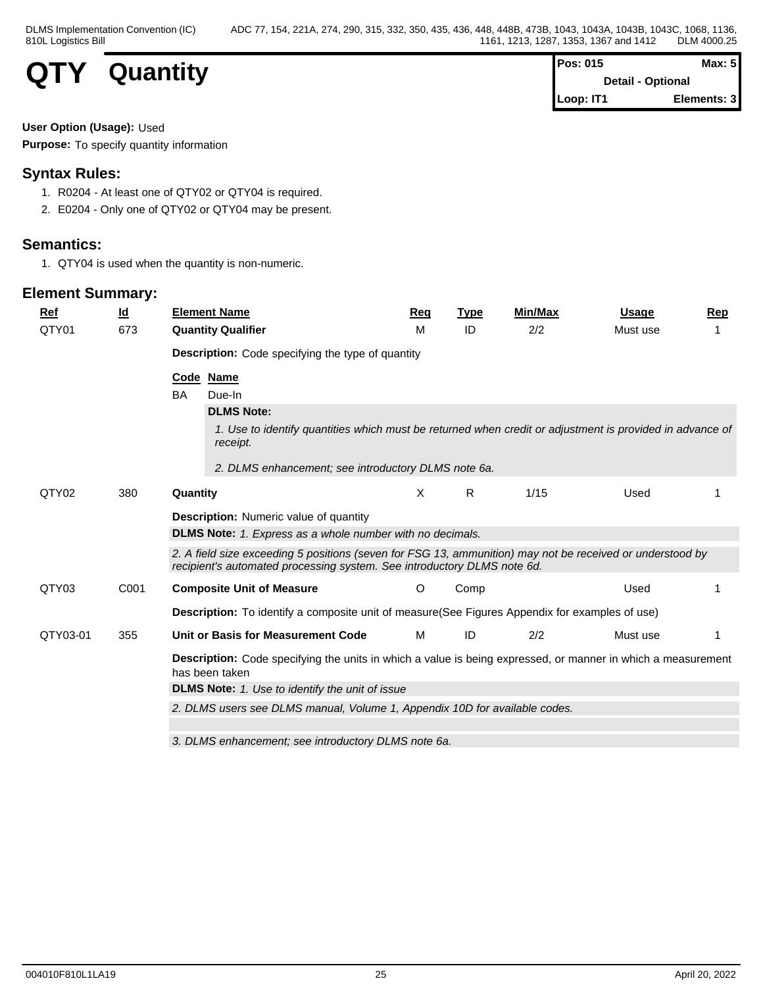

| Pos: 015  | Max: $5$                 |  |
|-----------|--------------------------|--|
|           | <b>Detail - Optional</b> |  |
| Loop: IT1 | Elements: 3              |  |

### **User Option (Usage):** Used

**Purpose:** To specify quantity information

## **Syntax Rules:**

- 1. R0204 At least one of QTY02 or QTY04 is required.
- 2. E0204 Only one of QTY02 or QTY04 may be present.

## **Semantics:**

1. QTY04 is used when the quantity is non-numeric.

| Ref      | $\underline{\mathsf{Id}}$ | <b>Element Name</b>                                                                                                                                                                  | <u>Req</u> | <b>Type</b> | Min/Max | <b>Usage</b> | Rep |
|----------|---------------------------|--------------------------------------------------------------------------------------------------------------------------------------------------------------------------------------|------------|-------------|---------|--------------|-----|
| QTY01    | 673                       | <b>Quantity Qualifier</b>                                                                                                                                                            | м          | ID          | 2/2     | Must use     |     |
|          |                           | <b>Description:</b> Code specifying the type of quantity                                                                                                                             |            |             |         |              |     |
|          |                           | Code Name                                                                                                                                                                            |            |             |         |              |     |
|          |                           | BA<br>Due-In                                                                                                                                                                         |            |             |         |              |     |
|          |                           | <b>DLMS Note:</b>                                                                                                                                                                    |            |             |         |              |     |
|          |                           | 1. Use to identify quantities which must be returned when credit or adjustment is provided in advance of<br>receipt.                                                                 |            |             |         |              |     |
|          |                           | 2. DLMS enhancement; see introductory DLMS note 6a.                                                                                                                                  |            |             |         |              |     |
| QTY02    | 380                       | Quantity                                                                                                                                                                             | X          | R           | 1/15    | Used         |     |
|          |                           | <b>Description:</b> Numeric value of quantity                                                                                                                                        |            |             |         |              |     |
|          |                           | <b>DLMS Note:</b> 1. Express as a whole number with no decimals.                                                                                                                     |            |             |         |              |     |
|          |                           | 2. A field size exceeding 5 positions (seven for FSG 13, ammunition) may not be received or understood by<br>recipient's automated processing system. See introductory DLMS note 6d. |            |             |         |              |     |
| QTY03    | C001                      | <b>Composite Unit of Measure</b>                                                                                                                                                     | O          | Comp        |         | Used         |     |
|          |                           | Description: To identify a composite unit of measure(See Figures Appendix for examples of use)                                                                                       |            |             |         |              |     |
| QTY03-01 | 355                       | Unit or Basis for Measurement Code                                                                                                                                                   | M          | ID          | 2/2     | Must use     |     |
|          |                           | <b>Description:</b> Code specifying the units in which a value is being expressed, or manner in which a measurement<br>has been taken                                                |            |             |         |              |     |
|          |                           | <b>DLMS Note:</b> 1. Use to identify the unit of issue                                                                                                                               |            |             |         |              |     |
|          |                           | 2. DLMS users see DLMS manual, Volume 1, Appendix 10D for available codes.                                                                                                           |            |             |         |              |     |
|          |                           | 3. DLMS enhancement: see introductory DLMS note 6a.                                                                                                                                  |            |             |         |              |     |
|          |                           |                                                                                                                                                                                      |            |             |         |              |     |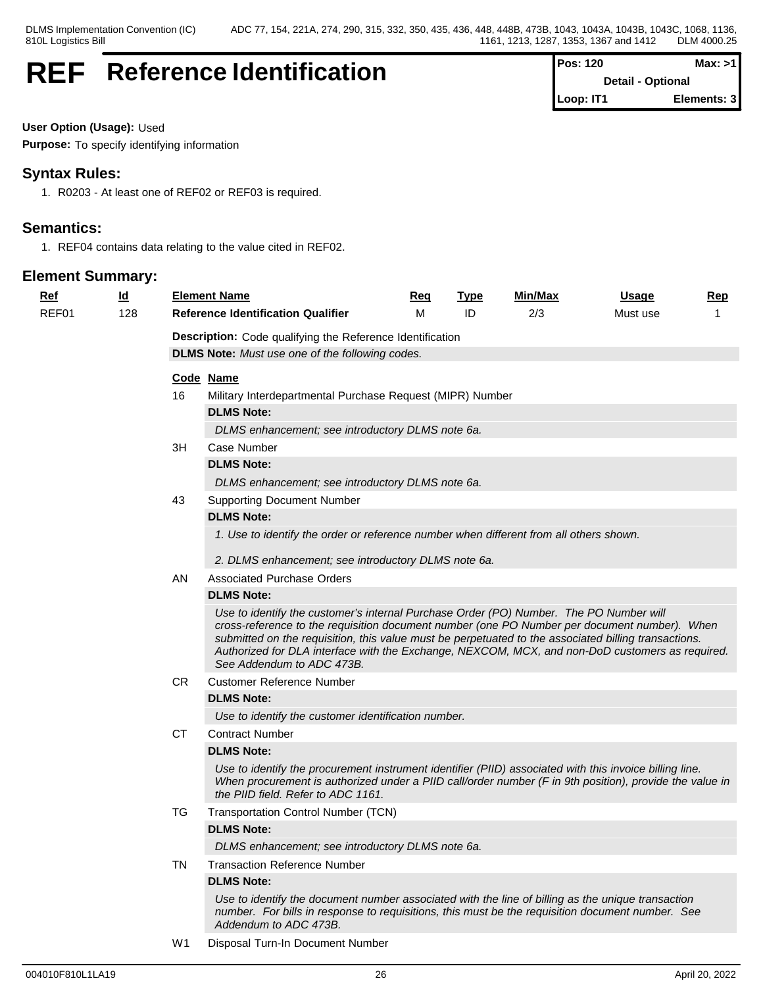## **REF** Reference Identification

| Pos: 120  | Max: >11                 |
|-----------|--------------------------|
|           | <b>Detail - Optional</b> |
| Loop: IT1 | Elements: 3              |

**User Option (Usage):** Used

**Purpose:** To specify identifying information

## **Syntax Rules:**

1. R0203 - At least one of REF02 or REF03 is required.

## **Semantics:**

1. REF04 contains data relating to the value cited in REF02.

## **Element Summary:**

| <u>Ref</u> | $\underline{\mathsf{Id}}$ |    | <b>Element Name</b>                                                                                                                                                                                                                                                                                                                                                                                                            | Req | <b>Type</b> | Min/Max | Usage    | Rep          |
|------------|---------------------------|----|--------------------------------------------------------------------------------------------------------------------------------------------------------------------------------------------------------------------------------------------------------------------------------------------------------------------------------------------------------------------------------------------------------------------------------|-----|-------------|---------|----------|--------------|
| REF01      | 128                       |    | <b>Reference Identification Qualifier</b>                                                                                                                                                                                                                                                                                                                                                                                      | м   | ID          | 2/3     | Must use | $\mathbf{1}$ |
|            |                           |    | Description: Code qualifying the Reference Identification                                                                                                                                                                                                                                                                                                                                                                      |     |             |         |          |              |
|            |                           |    | <b>DLMS Note:</b> Must use one of the following codes.                                                                                                                                                                                                                                                                                                                                                                         |     |             |         |          |              |
|            |                           |    | Code Name                                                                                                                                                                                                                                                                                                                                                                                                                      |     |             |         |          |              |
|            |                           | 16 | Military Interdepartmental Purchase Request (MIPR) Number                                                                                                                                                                                                                                                                                                                                                                      |     |             |         |          |              |
|            |                           |    | <b>DLMS Note:</b>                                                                                                                                                                                                                                                                                                                                                                                                              |     |             |         |          |              |
|            |                           |    | DLMS enhancement; see introductory DLMS note 6a.                                                                                                                                                                                                                                                                                                                                                                               |     |             |         |          |              |
|            |                           | ЗH | Case Number                                                                                                                                                                                                                                                                                                                                                                                                                    |     |             |         |          |              |
|            |                           |    | <b>DLMS Note:</b>                                                                                                                                                                                                                                                                                                                                                                                                              |     |             |         |          |              |
|            |                           |    | DLMS enhancement; see introductory DLMS note 6a.                                                                                                                                                                                                                                                                                                                                                                               |     |             |         |          |              |
|            |                           | 43 | <b>Supporting Document Number</b>                                                                                                                                                                                                                                                                                                                                                                                              |     |             |         |          |              |
|            |                           |    | <b>DLMS Note:</b>                                                                                                                                                                                                                                                                                                                                                                                                              |     |             |         |          |              |
|            |                           |    | 1. Use to identify the order or reference number when different from all others shown.                                                                                                                                                                                                                                                                                                                                         |     |             |         |          |              |
|            |                           |    | 2. DLMS enhancement; see introductory DLMS note 6a.                                                                                                                                                                                                                                                                                                                                                                            |     |             |         |          |              |
|            |                           | AN | <b>Associated Purchase Orders</b>                                                                                                                                                                                                                                                                                                                                                                                              |     |             |         |          |              |
|            |                           |    | <b>DLMS Note:</b>                                                                                                                                                                                                                                                                                                                                                                                                              |     |             |         |          |              |
|            |                           |    | Use to identify the customer's internal Purchase Order (PO) Number. The PO Number will<br>cross-reference to the requisition document number (one PO Number per document number). When<br>submitted on the requisition, this value must be perpetuated to the associated billing transactions.<br>Authorized for DLA interface with the Exchange, NEXCOM, MCX, and non-DoD customers as required.<br>See Addendum to ADC 473B. |     |             |         |          |              |
|            |                           | CR | <b>Customer Reference Number</b>                                                                                                                                                                                                                                                                                                                                                                                               |     |             |         |          |              |
|            |                           |    | <b>DLMS Note:</b>                                                                                                                                                                                                                                                                                                                                                                                                              |     |             |         |          |              |
|            |                           |    | Use to identify the customer identification number.                                                                                                                                                                                                                                                                                                                                                                            |     |             |         |          |              |
|            |                           | СT | <b>Contract Number</b>                                                                                                                                                                                                                                                                                                                                                                                                         |     |             |         |          |              |
|            |                           |    | <b>DLMS Note:</b>                                                                                                                                                                                                                                                                                                                                                                                                              |     |             |         |          |              |
|            |                           |    | Use to identify the procurement instrument identifier (PIID) associated with this invoice billing line.<br>When procurement is authorized under a PIID call/order number (F in 9th position), provide the value in<br>the PIID field. Refer to ADC 1161.                                                                                                                                                                       |     |             |         |          |              |
|            |                           | TG | Transportation Control Number (TCN)                                                                                                                                                                                                                                                                                                                                                                                            |     |             |         |          |              |
|            |                           |    | <b>DLMS Note:</b>                                                                                                                                                                                                                                                                                                                                                                                                              |     |             |         |          |              |
|            |                           |    | DLMS enhancement; see introductory DLMS note 6a.                                                                                                                                                                                                                                                                                                                                                                               |     |             |         |          |              |
|            |                           | TN | <b>Transaction Reference Number</b>                                                                                                                                                                                                                                                                                                                                                                                            |     |             |         |          |              |
|            |                           |    | <b>DLMS Note:</b>                                                                                                                                                                                                                                                                                                                                                                                                              |     |             |         |          |              |
|            |                           |    | Use to identify the document number associated with the line of billing as the unique transaction<br>number. For bills in response to requisitions, this must be the requisition document number. See<br>Addendum to ADC 473B.                                                                                                                                                                                                 |     |             |         |          |              |
|            |                           |    | $\sim$ $\sim$ $\sim$ $\sim$<br>$- \cdot$                                                                                                                                                                                                                                                                                                                                                                                       |     |             |         |          |              |

W1 Disposal Turn-In Document Number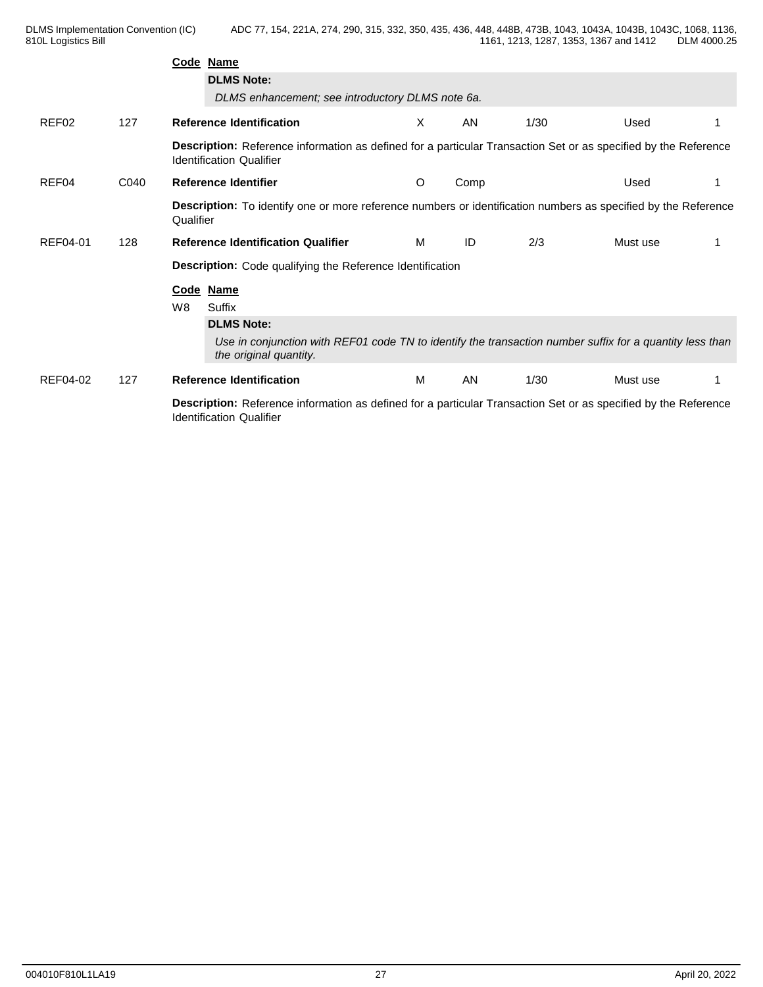|          |      | Code Name                                                                                                                                          |          |      |      |          |  |
|----------|------|----------------------------------------------------------------------------------------------------------------------------------------------------|----------|------|------|----------|--|
|          |      | <b>DLMS Note:</b>                                                                                                                                  |          |      |      |          |  |
|          |      | DLMS enhancement; see introductory DLMS note 6a.                                                                                                   |          |      |      |          |  |
| REF02    | 127  | <b>Reference Identification</b>                                                                                                                    | $\times$ | AN   | 1/30 | Used     |  |
|          |      | Description: Reference information as defined for a particular Transaction Set or as specified by the Reference<br><b>Identification Qualifier</b> |          |      |      |          |  |
| REF04    | C040 | Reference Identifier                                                                                                                               | O        | Comp |      | Used     |  |
|          |      | Description: To identify one or more reference numbers or identification numbers as specified by the Reference<br>Qualifier                        |          |      |      |          |  |
| REF04-01 | 128  | <b>Reference Identification Qualifier</b>                                                                                                          | M        | ID   | 2/3  | Must use |  |
|          |      | Description: Code qualifying the Reference Identification                                                                                          |          |      |      |          |  |
|          |      | Code Name                                                                                                                                          |          |      |      |          |  |
|          |      | W <sub>8</sub><br>Suffix                                                                                                                           |          |      |      |          |  |
|          |      | <b>DLMS Note:</b>                                                                                                                                  |          |      |      |          |  |
|          |      | Use in conjunction with REF01 code TN to identify the transaction number suffix for a quantity less than<br>the original quantity.                 |          |      |      |          |  |
| REF04-02 | 127  | <b>Reference Identification</b>                                                                                                                    | M        | AN   | 1/30 | Must use |  |
|          |      | Description: Reference information as defined for a particular Transaction Set or as specified by the Reference<br><b>Identification Qualifier</b> |          |      |      |          |  |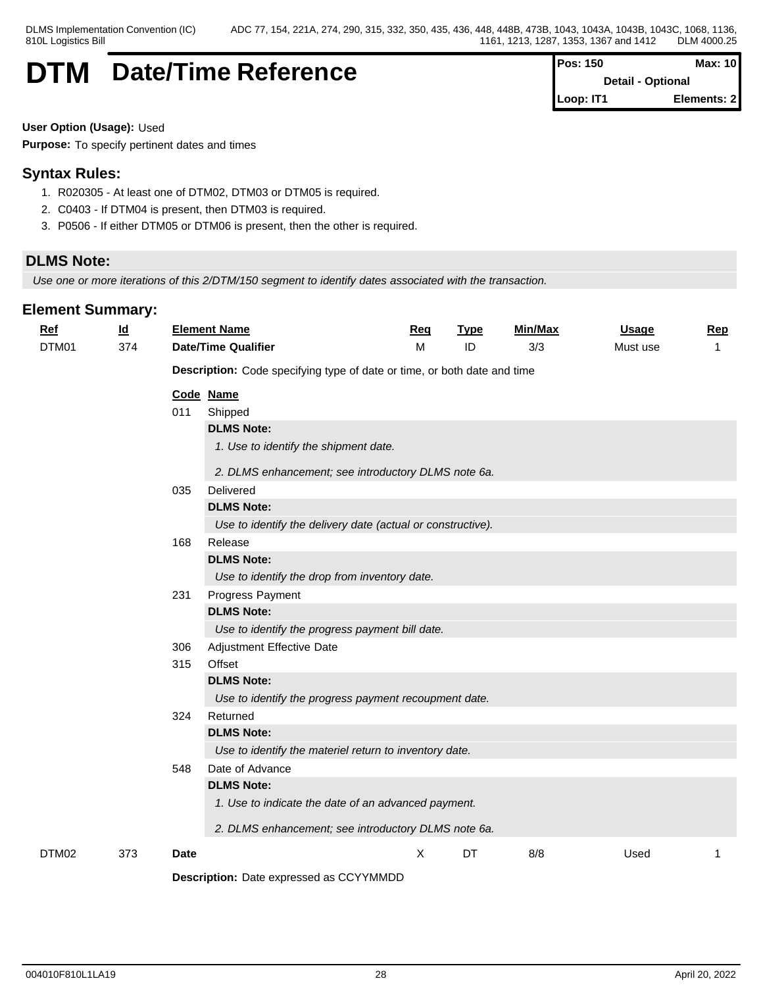## **DTM** Date/Time Reference

| Pos: 150  | Max: 10                  |
|-----------|--------------------------|
|           | <b>Detail - Optional</b> |
| Loop: IT1 | Elements: 2              |

**User Option (Usage):** Used

**Purpose:** To specify pertinent dates and times

## **Syntax Rules:**

- 1. R020305 At least one of DTM02, DTM03 or DTM05 is required.
- 2. C0403 If DTM04 is present, then DTM03 is required.
- 3. P0506 If either DTM05 or DTM06 is present, then the other is required.

## **DLMS Note:**

*Use one or more iterations of this 2/DTM/150 segment to identify dates associated with the transaction.*

| <b>Ref</b><br>DTM01 | $\underline{\mathsf{Id}}$<br>374 |             | <b>Element Name</b><br><b>Date/Time Qualifier</b>                                                                                                      | Req<br>M | <b>Type</b><br>ID | Min/Max<br>3/3 | <b>Usage</b><br>Must use | Rep<br>-1 |
|---------------------|----------------------------------|-------------|--------------------------------------------------------------------------------------------------------------------------------------------------------|----------|-------------------|----------------|--------------------------|-----------|
|                     |                                  |             | Description: Code specifying type of date or time, or both date and time                                                                               |          |                   |                |                          |           |
|                     |                                  | 011<br>035  | Code Name<br>Shipped<br><b>DLMS Note:</b><br>1. Use to identify the shipment date.<br>2. DLMS enhancement; see introductory DLMS note 6a.<br>Delivered |          |                   |                |                          |           |
|                     |                                  | 168         | <b>DLMS Note:</b><br>Use to identify the delivery date (actual or constructive).<br>Release<br><b>DLMS Note:</b>                                       |          |                   |                |                          |           |
|                     |                                  | 231         | Use to identify the drop from inventory date.<br>Progress Payment<br><b>DLMS Note:</b><br>Use to identify the progress payment bill date.              |          |                   |                |                          |           |
|                     |                                  | 306<br>315  | Adjustment Effective Date<br>Offset<br><b>DLMS Note:</b><br>Use to identify the progress payment recoupment date.                                      |          |                   |                |                          |           |
|                     |                                  | 324         | Returned<br><b>DLMS Note:</b><br>Use to identify the materiel return to inventory date.                                                                |          |                   |                |                          |           |
|                     |                                  | 548         | Date of Advance<br><b>DLMS Note:</b><br>1. Use to indicate the date of an advanced payment.<br>2. DLMS enhancement; see introductory DLMS note 6a.     |          |                   |                |                          |           |
| DTM02               | 373                              | <b>Date</b> |                                                                                                                                                        | X        | DT                | 8/8            | Used                     |           |
|                     |                                  |             | Description: Date expressed as CCYYMMDD                                                                                                                |          |                   |                |                          |           |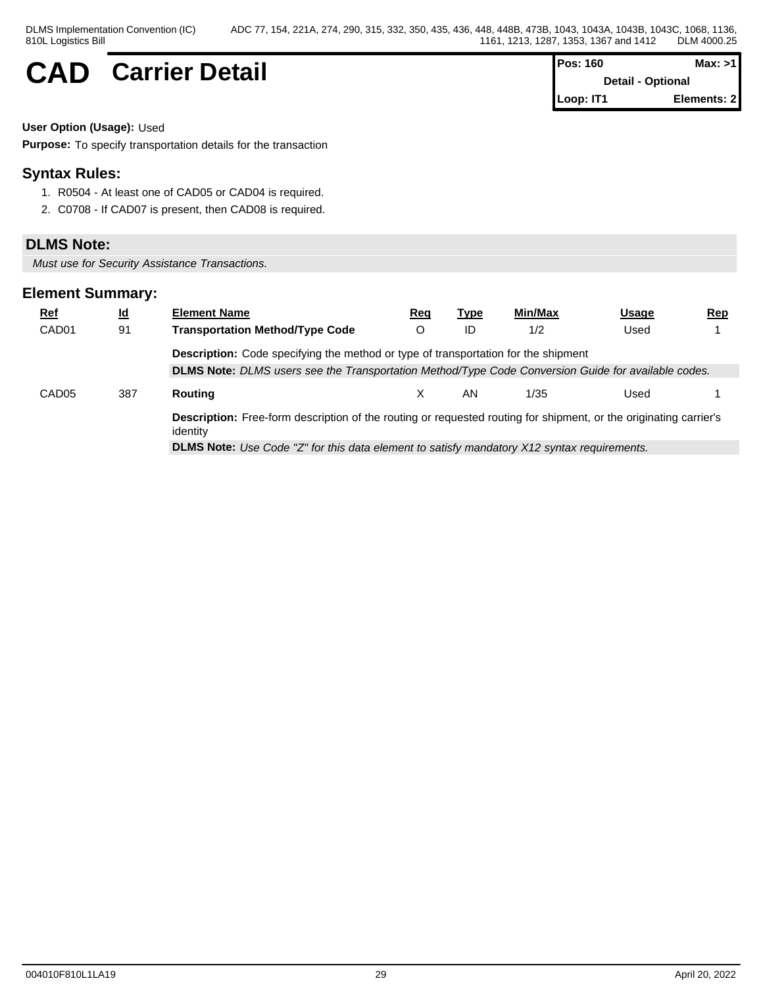## $CAD$  **Carrier Detail**

| <b>IPos: 160</b>         | Max: >11    |
|--------------------------|-------------|
| <b>Detail - Optional</b> |             |
| Loop: IT1                | Elements: 2 |

**User Option (Usage):** Used

**Purpose:** To specify transportation details for the transaction

## **Syntax Rules:**

- 1. R0504 At least one of CAD05 or CAD04 is required.
- 2. C0708 If CAD07 is present, then CAD08 is required.

### **DLMS Note:**

*Must use for Security Assistance Transactions.*

| <u>Ref</u>        | $\underline{\mathsf{Id}}$ | <b>Element Name</b>                                                                                                                  | Rea | Type | Min/Max | Usage | $\mathbf{Rep}$ |
|-------------------|---------------------------|--------------------------------------------------------------------------------------------------------------------------------------|-----|------|---------|-------|----------------|
| CAD <sub>01</sub> | 91                        | <b>Transportation Method/Type Code</b>                                                                                               |     | ID   | 1/2     | Used  |                |
|                   |                           | <b>Description:</b> Code specifying the method or type of transportation for the shipment                                            |     |      |         |       |                |
|                   |                           | DLMS Note: DLMS users see the Transportation Method/Type Code Conversion Guide for available codes.                                  |     |      |         |       |                |
| CAD <sub>05</sub> | 387                       | Routing                                                                                                                              |     | AN   | 1/35    | Used  |                |
|                   |                           | <b>Description:</b> Free-form description of the routing or requested routing for shipment, or the originating carrier's<br>identity |     |      |         |       |                |
|                   |                           | <b>DLMS Note:</b> Use Code "Z" for this data element to satisfy mandatory X12 syntax requirements.                                   |     |      |         |       |                |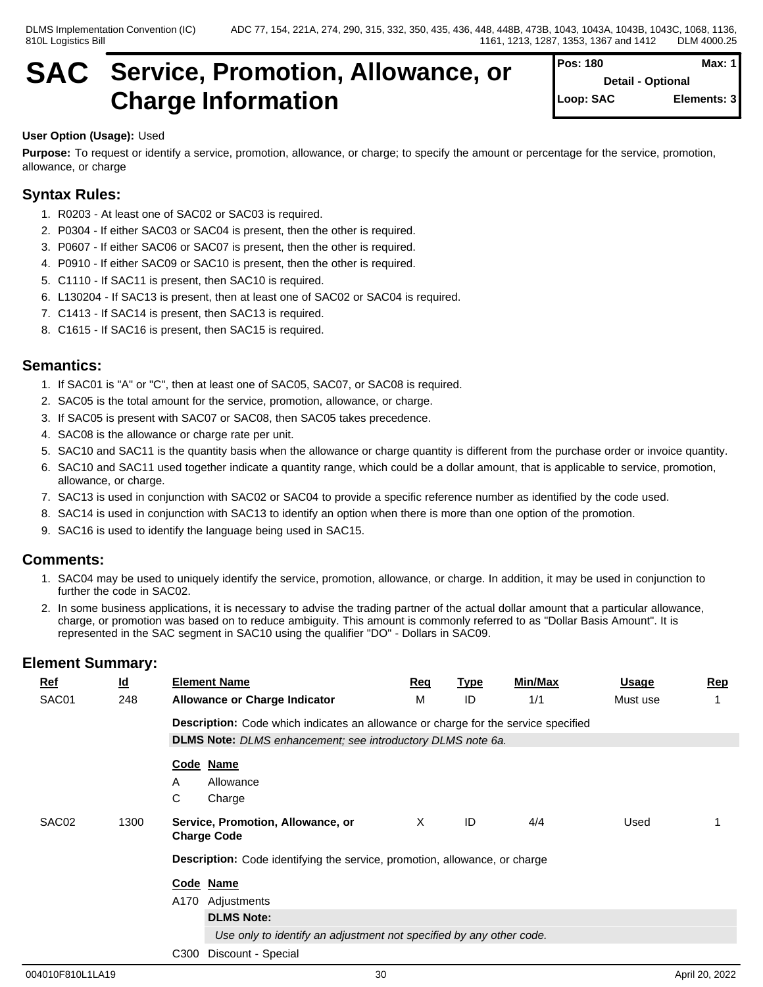## **SAC Service, Promotion, Allowance, or Charge Information**

| Pos: 180  | Max: 1                   |
|-----------|--------------------------|
|           | <b>Detail - Optional</b> |
| Loop: SAC | Elements: 3              |

## **User Option (Usage):** Used

**Purpose:** To request or identify a service, promotion, allowance, or charge; to specify the amount or percentage for the service, promotion, allowance, or charge

## **Syntax Rules:**

- 1. R0203 At least one of SAC02 or SAC03 is required.
- 2. P0304 If either SAC03 or SAC04 is present, then the other is required.
- 3. P0607 If either SAC06 or SAC07 is present, then the other is required.
- 4. P0910 If either SAC09 or SAC10 is present, then the other is required.
- 5. C1110 If SAC11 is present, then SAC10 is required.
- 6. L130204 If SAC13 is present, then at least one of SAC02 or SAC04 is required.
- 7. C1413 If SAC14 is present, then SAC13 is required.
- 8. C1615 If SAC16 is present, then SAC15 is required.

## **Semantics:**

- 1. If SAC01 is "A" or "C", then at least one of SAC05, SAC07, or SAC08 is required.
- 2. SAC05 is the total amount for the service, promotion, allowance, or charge.
- 3. If SAC05 is present with SAC07 or SAC08, then SAC05 takes precedence.
- 4. SAC08 is the allowance or charge rate per unit.
- 5. SAC10 and SAC11 is the quantity basis when the allowance or charge quantity is different from the purchase order or invoice quantity.
- 6. SAC10 and SAC11 used together indicate a quantity range, which could be a dollar amount, that is applicable to service, promotion, allowance, or charge.
- 7. SAC13 is used in conjunction with SAC02 or SAC04 to provide a specific reference number as identified by the code used.
- 8. SAC14 is used in conjunction with SAC13 to identify an option when there is more than one option of the promotion.
- 9. SAC16 is used to identify the language being used in SAC15.

### **Comments:**

- 1. SAC04 may be used to uniquely identify the service, promotion, allowance, or charge. In addition, it may be used in conjunction to further the code in SAC02.
- 2. In some business applications, it is necessary to advise the trading partner of the actual dollar amount that a particular allowance, charge, or promotion was based on to reduce ambiguity. This amount is commonly referred to as "Dollar Basis Amount". It is represented in the SAC segment in SAC10 using the qualifier "DO" - Dollars in SAC09.

| <u>Ref</u>        | <u>ld</u> | <b>Element Name</b>                                                                       | Req | <b>Type</b> | Min/Max | Usage    | Rep |
|-------------------|-----------|-------------------------------------------------------------------------------------------|-----|-------------|---------|----------|-----|
| SAC01             | 248       | <b>Allowance or Charge Indicator</b>                                                      | M   | ID          | 1/1     | Must use |     |
|                   |           | <b>Description:</b> Code which indicates an allowance or charge for the service specified |     |             |         |          |     |
|                   |           | DLMS Note: DLMS enhancement; see introductory DLMS note 6a.                               |     |             |         |          |     |
|                   |           | Code Name                                                                                 |     |             |         |          |     |
|                   |           | Allowance<br>A                                                                            |     |             |         |          |     |
|                   |           | C<br>Charge                                                                               |     |             |         |          |     |
| SAC <sub>02</sub> | 1300      | Service, Promotion, Allowance, or<br><b>Charge Code</b>                                   | X   | ID          | 4/4     | Used     |     |
|                   |           | Description: Code identifying the service, promotion, allowance, or charge                |     |             |         |          |     |
|                   |           | Code Name                                                                                 |     |             |         |          |     |
|                   |           | Adjustments<br>A170                                                                       |     |             |         |          |     |
|                   |           | <b>DLMS Note:</b>                                                                         |     |             |         |          |     |
|                   |           | Use only to identify an adjustment not specified by any other code.                       |     |             |         |          |     |
|                   |           | C300<br>Discount - Special                                                                |     |             |         |          |     |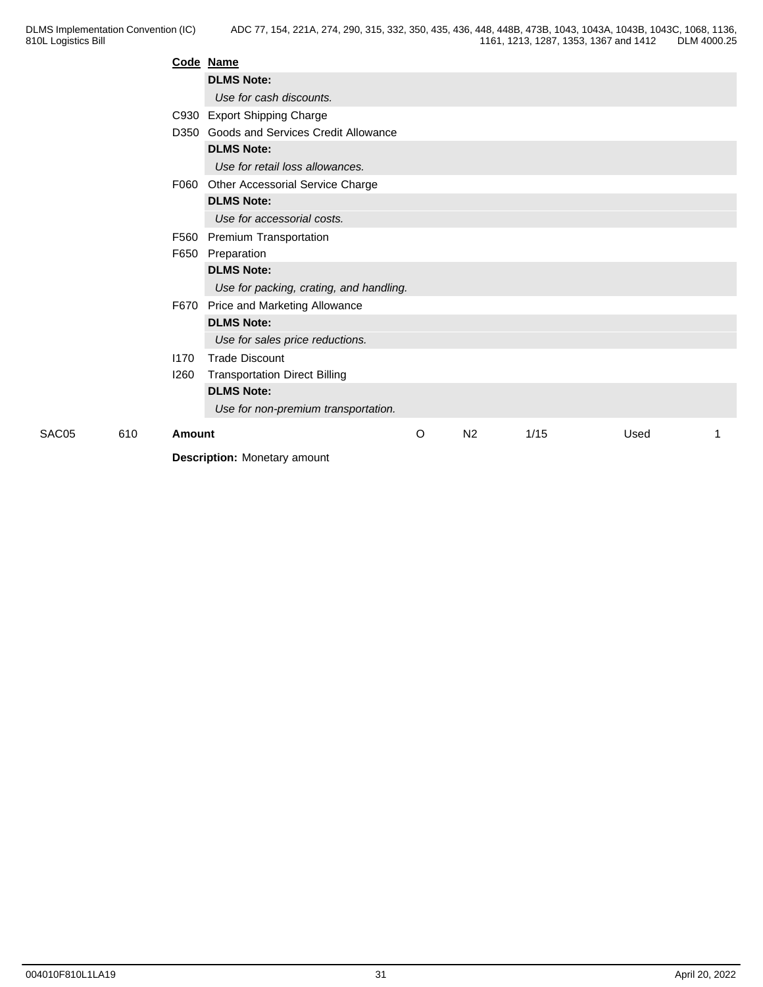|       |     | Code Name |                                          |   |                |      |      |  |
|-------|-----|-----------|------------------------------------------|---|----------------|------|------|--|
|       |     |           | <b>DLMS Note:</b>                        |   |                |      |      |  |
|       |     |           | Use for cash discounts.                  |   |                |      |      |  |
|       |     |           | C930 Export Shipping Charge              |   |                |      |      |  |
|       |     |           | D350 Goods and Services Credit Allowance |   |                |      |      |  |
|       |     |           | <b>DLMS Note:</b>                        |   |                |      |      |  |
|       |     |           | Use for retail loss allowances.          |   |                |      |      |  |
|       |     | F060      | Other Accessorial Service Charge         |   |                |      |      |  |
|       |     |           | <b>DLMS Note:</b>                        |   |                |      |      |  |
|       |     |           | Use for accessorial costs.               |   |                |      |      |  |
|       |     |           | F560 Premium Transportation              |   |                |      |      |  |
|       |     |           | F650 Preparation                         |   |                |      |      |  |
|       |     |           | <b>DLMS Note:</b>                        |   |                |      |      |  |
|       |     |           | Use for packing, crating, and handling.  |   |                |      |      |  |
|       |     |           | F670 Price and Marketing Allowance       |   |                |      |      |  |
|       |     |           | <b>DLMS Note:</b>                        |   |                |      |      |  |
|       |     |           | Use for sales price reductions.          |   |                |      |      |  |
|       |     | 1170      | <b>Trade Discount</b>                    |   |                |      |      |  |
|       |     | 1260      | <b>Transportation Direct Billing</b>     |   |                |      |      |  |
|       |     |           | <b>DLMS Note:</b>                        |   |                |      |      |  |
|       |     |           | Use for non-premium transportation.      |   |                |      |      |  |
| SAC05 | 610 | Amount    |                                          | O | N <sub>2</sub> | 1/15 | Used |  |
|       |     |           | <b>Description: Monetary amount</b>      |   |                |      |      |  |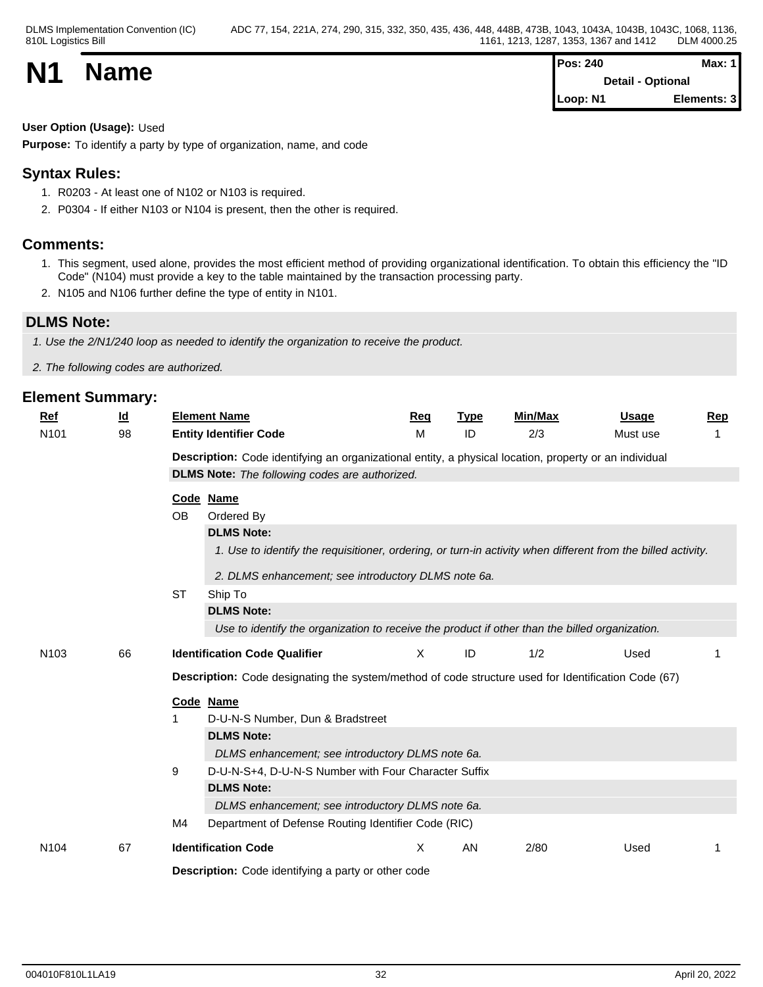### **User Option (Usage):** Used

**Purpose:** To identify a party by type of organization, name, and code

## **Syntax Rules:**

- 1. R0203 At least one of N102 or N103 is required.
- 2. P0304 If either N103 or N104 is present, then the other is required.

### **Comments:**

- 1. This segment, used alone, provides the most efficient method of providing organizational identification. To obtain this efficiency the "ID Code" (N104) must provide a key to the table maintained by the transaction processing party.
- 2. N105 and N106 further define the type of entity in N101.

## **DLMS Note:**

*1. Use the 2/N1/240 loop as needed to identify the organization to receive the product.*

*2. The following codes are authorized.*

|                  | <u>ld</u> | <b>Element Name</b>                                                                                          | Rea                                                 | <b>Type</b> | <b>Min/Max</b> | Usage    | <u>Rep</u> |  |  |  |  |
|------------------|-----------|--------------------------------------------------------------------------------------------------------------|-----------------------------------------------------|-------------|----------------|----------|------------|--|--|--|--|
| N <sub>101</sub> | 98        | <b>Entity Identifier Code</b>                                                                                | M                                                   | ID          | 2/3            | Must use | 1          |  |  |  |  |
|                  |           | Description: Code identifying an organizational entity, a physical location, property or an individual       |                                                     |             |                |          |            |  |  |  |  |
|                  |           | <b>DLMS Note:</b> The following codes are authorized.                                                        |                                                     |             |                |          |            |  |  |  |  |
|                  |           | Code Name                                                                                                    |                                                     |             |                |          |            |  |  |  |  |
|                  |           | <b>OB</b><br>Ordered By                                                                                      |                                                     |             |                |          |            |  |  |  |  |
|                  |           | <b>DLMS Note:</b>                                                                                            |                                                     |             |                |          |            |  |  |  |  |
|                  |           | 1. Use to identify the requisitioner, ordering, or turn-in activity when different from the billed activity. |                                                     |             |                |          |            |  |  |  |  |
|                  |           |                                                                                                              | 2. DLMS enhancement; see introductory DLMS note 6a. |             |                |          |            |  |  |  |  |
|                  |           | <b>ST</b><br>Ship To                                                                                         |                                                     |             |                |          |            |  |  |  |  |
|                  |           | <b>DLMS Note:</b>                                                                                            |                                                     |             |                |          |            |  |  |  |  |
|                  |           | Use to identify the organization to receive the product if other than the billed organization.               |                                                     |             |                |          |            |  |  |  |  |
| N <sub>103</sub> | 66        | <b>Identification Code Qualifier</b>                                                                         | X                                                   | ID          | 1/2            | Used     |            |  |  |  |  |
|                  |           |                                                                                                              |                                                     |             |                |          |            |  |  |  |  |
|                  |           | Description: Code designating the system/method of code structure used for Identification Code (67)          |                                                     |             |                |          |            |  |  |  |  |
|                  |           | Code Name                                                                                                    |                                                     |             |                |          |            |  |  |  |  |
|                  |           | D-U-N-S Number, Dun & Bradstreet                                                                             |                                                     |             |                |          |            |  |  |  |  |
|                  |           | <b>DLMS Note:</b>                                                                                            |                                                     |             |                |          |            |  |  |  |  |
|                  |           | DLMS enhancement; see introductory DLMS note 6a.                                                             |                                                     |             |                |          |            |  |  |  |  |
|                  |           | 9<br>D-U-N-S+4, D-U-N-S Number with Four Character Suffix                                                    |                                                     |             |                |          |            |  |  |  |  |
|                  |           | <b>DLMS Note:</b>                                                                                            |                                                     |             |                |          |            |  |  |  |  |
|                  |           | DLMS enhancement; see introductory DLMS note 6a.                                                             |                                                     |             |                |          |            |  |  |  |  |
|                  |           | Department of Defense Routing Identifier Code (RIC)<br>M4                                                    |                                                     |             |                |          |            |  |  |  |  |
| N <sub>104</sub> | 67        | <b>Identification Code</b>                                                                                   | Χ                                                   | AN          | 2/80           | Used     | 1          |  |  |  |  |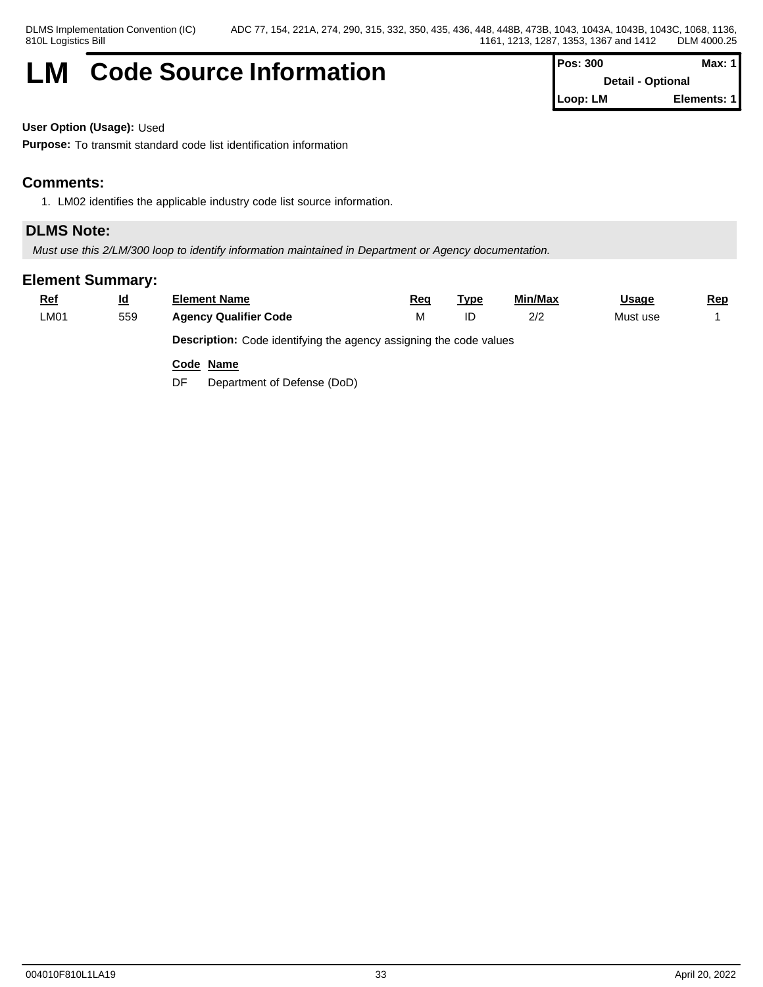## **LM** Code Source Information  $\vert$ <sup>F</sup>

| Pos: 300 | Max: $1$                 |
|----------|--------------------------|
|          | <b>Detail - Optional</b> |
| Loop: LM | Elements: 1              |

**User Option (Usage):** Used

**Purpose:** To transmit standard code list identification information

## **Comments:**

1. LM02 identifies the applicable industry code list source information.

## **DLMS Note:**

*Must use this 2/LM/300 loop to identify information maintained in Department or Agency documentation.*

## **Element Summary:**

| <u>Ref</u> | <u>ld</u> | Element Name                                                              | Red | Tvpe | Min/Max | <u>Usage</u> | <u>Rep</u> |
|------------|-----------|---------------------------------------------------------------------------|-----|------|---------|--------------|------------|
| LM01       | 559       | <b>Agency Qualifier Code</b>                                              |     |      | 2/2     | Must use     |            |
|            |           | <b>Description:</b> Code identifying the agency assigning the code values |     |      |         |              |            |

**Code Name**

DF Department of Defense (DoD)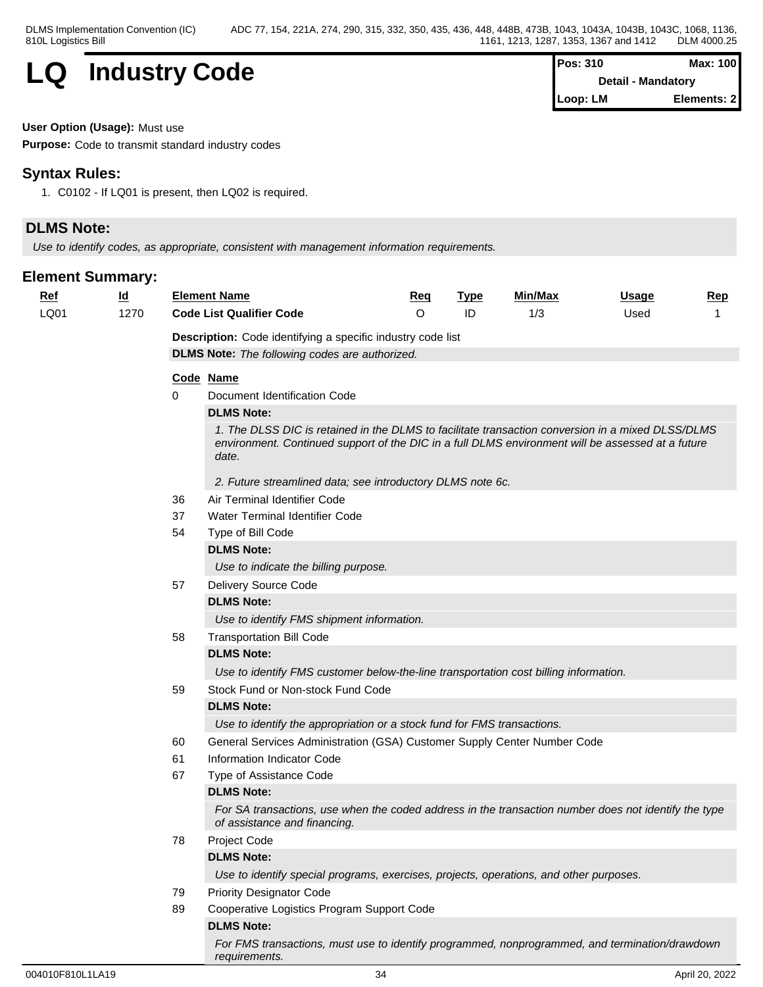

| Max: 100<br><sup>2</sup> os: 310 |                    |
|----------------------------------|--------------------|
|                                  | Detail - Mandatory |
| -oop: LM                         | Elements: 2        |

#### **User Option (Usage):** Must use

**Purpose:** Code to transmit standard industry codes

## **Syntax Rules:**

1. C0102 - If LQ01 is present, then LQ02 is required.

## **DLMS Note:**

*Use to identify codes, as appropriate, consistent with management information requirements.*

| <b>Ref</b> | $\underline{\mathsf{Id}}$ |                                                       | <b>Element Name</b>                                                                                                                  | Req | <b>Type</b> | Min/Max | <b>Usage</b> | <b>Rep</b> |  |  |  |
|------------|---------------------------|-------------------------------------------------------|--------------------------------------------------------------------------------------------------------------------------------------|-----|-------------|---------|--------------|------------|--|--|--|
| LQ01       | 1270                      |                                                       | <b>Code List Qualifier Code</b>                                                                                                      | O   | ID          | 1/3     | Used         |            |  |  |  |
|            |                           |                                                       | Description: Code identifying a specific industry code list                                                                          |     |             |         |              |            |  |  |  |
|            |                           | <b>DLMS Note:</b> The following codes are authorized. |                                                                                                                                      |     |             |         |              |            |  |  |  |
|            |                           |                                                       | Code Name                                                                                                                            |     |             |         |              |            |  |  |  |
|            |                           | 0                                                     | Document Identification Code                                                                                                         |     |             |         |              |            |  |  |  |
|            |                           |                                                       | <b>DLMS Note:</b>                                                                                                                    |     |             |         |              |            |  |  |  |
|            |                           |                                                       | 1. The DLSS DIC is retained in the DLMS to facilitate transaction conversion in a mixed DLSS/DLMS                                    |     |             |         |              |            |  |  |  |
|            |                           |                                                       | environment. Continued support of the DIC in a full DLMS environment will be assessed at a future<br>date.                           |     |             |         |              |            |  |  |  |
|            |                           |                                                       | 2. Future streamlined data; see introductory DLMS note 6c.                                                                           |     |             |         |              |            |  |  |  |
|            |                           | 36                                                    | Air Terminal Identifier Code                                                                                                         |     |             |         |              |            |  |  |  |
|            |                           | 37                                                    | Water Terminal Identifier Code                                                                                                       |     |             |         |              |            |  |  |  |
|            |                           | 54                                                    | Type of Bill Code                                                                                                                    |     |             |         |              |            |  |  |  |
|            |                           |                                                       | <b>DLMS Note:</b>                                                                                                                    |     |             |         |              |            |  |  |  |
|            |                           |                                                       | Use to indicate the billing purpose.                                                                                                 |     |             |         |              |            |  |  |  |
|            |                           | 57                                                    | Delivery Source Code                                                                                                                 |     |             |         |              |            |  |  |  |
|            |                           |                                                       | <b>DLMS Note:</b>                                                                                                                    |     |             |         |              |            |  |  |  |
|            |                           |                                                       | Use to identify FMS shipment information.                                                                                            |     |             |         |              |            |  |  |  |
|            |                           | 58                                                    | <b>Transportation Bill Code</b>                                                                                                      |     |             |         |              |            |  |  |  |
|            |                           |                                                       | <b>DLMS Note:</b>                                                                                                                    |     |             |         |              |            |  |  |  |
|            |                           |                                                       | Use to identify FMS customer below-the-line transportation cost billing information.                                                 |     |             |         |              |            |  |  |  |
|            |                           | 59                                                    | Stock Fund or Non-stock Fund Code                                                                                                    |     |             |         |              |            |  |  |  |
|            |                           |                                                       | <b>DLMS Note:</b>                                                                                                                    |     |             |         |              |            |  |  |  |
|            |                           |                                                       | Use to identify the appropriation or a stock fund for FMS transactions.                                                              |     |             |         |              |            |  |  |  |
|            |                           | 60                                                    | General Services Administration (GSA) Customer Supply Center Number Code                                                             |     |             |         |              |            |  |  |  |
|            |                           | 61                                                    | Information Indicator Code                                                                                                           |     |             |         |              |            |  |  |  |
|            |                           | 67                                                    | Type of Assistance Code                                                                                                              |     |             |         |              |            |  |  |  |
|            |                           |                                                       | <b>DLMS Note:</b>                                                                                                                    |     |             |         |              |            |  |  |  |
|            |                           |                                                       | For SA transactions, use when the coded address in the transaction number does not identify the type<br>of assistance and financing. |     |             |         |              |            |  |  |  |
|            |                           | 78                                                    | Project Code                                                                                                                         |     |             |         |              |            |  |  |  |
|            |                           |                                                       | <b>DLMS Note:</b>                                                                                                                    |     |             |         |              |            |  |  |  |
|            |                           |                                                       | Use to identify special programs, exercises, projects, operations, and other purposes.                                               |     |             |         |              |            |  |  |  |
|            |                           | 79                                                    | <b>Priority Designator Code</b>                                                                                                      |     |             |         |              |            |  |  |  |
|            |                           | 89                                                    | Cooperative Logistics Program Support Code                                                                                           |     |             |         |              |            |  |  |  |
|            |                           |                                                       | <b>DLMS Note:</b>                                                                                                                    |     |             |         |              |            |  |  |  |
|            |                           |                                                       | For FMS transactions, must use to identify programmed, nonprogrammed, and termination/drawdown<br>requirements.                      |     |             |         |              |            |  |  |  |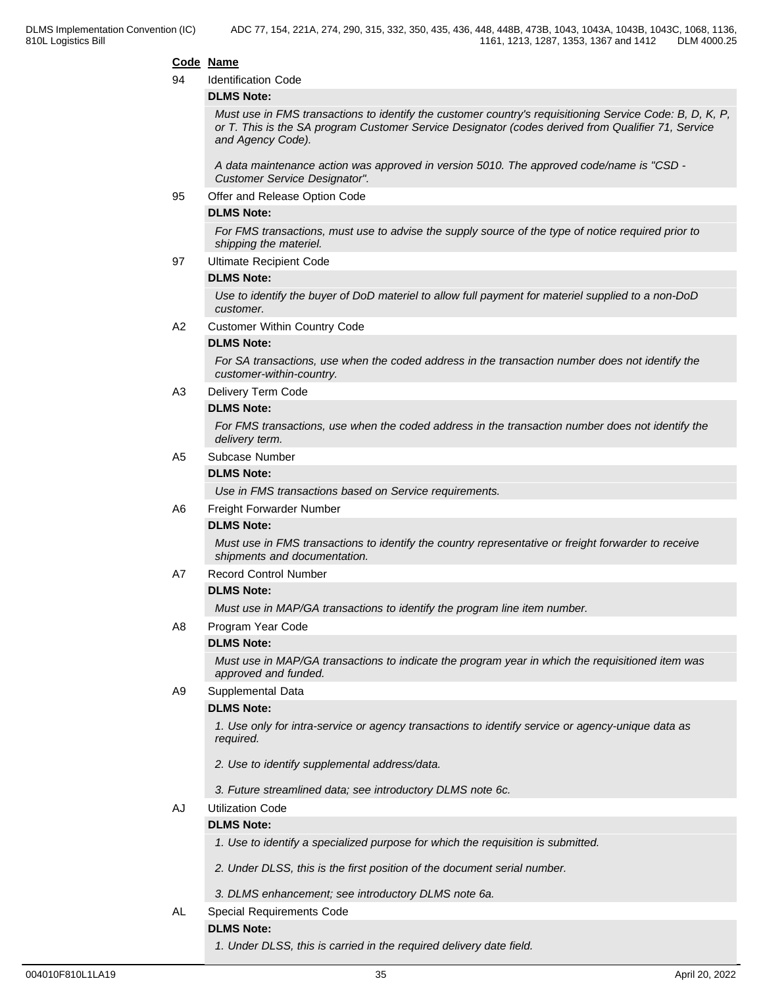#### **Code Name**

#### 94 Identification Code

#### **DLMS Note:**

*Must use in FMS transactions to identify the customer country's requisitioning Service Code: B, D, K, P, or T. This is the SA program Customer Service Designator (codes derived from Qualifier 71, Service and Agency Code).*

*A data maintenance action was approved in version 5010. The approved code/name is "CSD - Customer Service Designator".*

95 Offer and Release Option Code

#### **DLMS Note:**

*For FMS transactions, must use to advise the supply source of the type of notice required prior to shipping the materiel.*

97 Ultimate Recipient Code

#### **DLMS Note:**

*Use to identify the buyer of DoD materiel to allow full payment for materiel supplied to a non-DoD customer.*

A2 Customer Within Country Code

#### **DLMS Note:**

*For SA transactions, use when the coded address in the transaction number does not identify the customer-within-country.*

A3 Delivery Term Code

#### **DLMS Note:**

*For FMS transactions, use when the coded address in the transaction number does not identify the delivery term.*

#### A5 Subcase Number

#### **DLMS Note:**

*Use in FMS transactions based on Service requirements.*

#### A6 Freight Forwarder Number

#### **DLMS Note:**

*Must use in FMS transactions to identify the country representative or freight forwarder to receive shipments and documentation.*

A7 Record Control Number

#### **DLMS Note:**

*Must use in MAP/GA transactions to identify the program line item number.*

A8 Program Year Code

#### **DLMS Note:**

*Must use in MAP/GA transactions to indicate the program year in which the requisitioned item was approved and funded.*

A9 Supplemental Data

#### **DLMS Note:**

*1. Use only for intra-service or agency transactions to identify service or agency-unique data as required.*

- *2. Use to identify supplemental address/data.*
- *3. Future streamlined data; see introductory DLMS note 6c.*

#### AJ Utilization Code

#### **DLMS Note:**

- *1. Use to identify a specialized purpose for which the requisition is submitted.*
- *2. Under DLSS, this is the first position of the document serial number.*
- *3. DLMS enhancement; see introductory DLMS note 6a.*
- AL Special Requirements Code

#### **DLMS Note:**

*1. Under DLSS, this is carried in the required delivery date field.*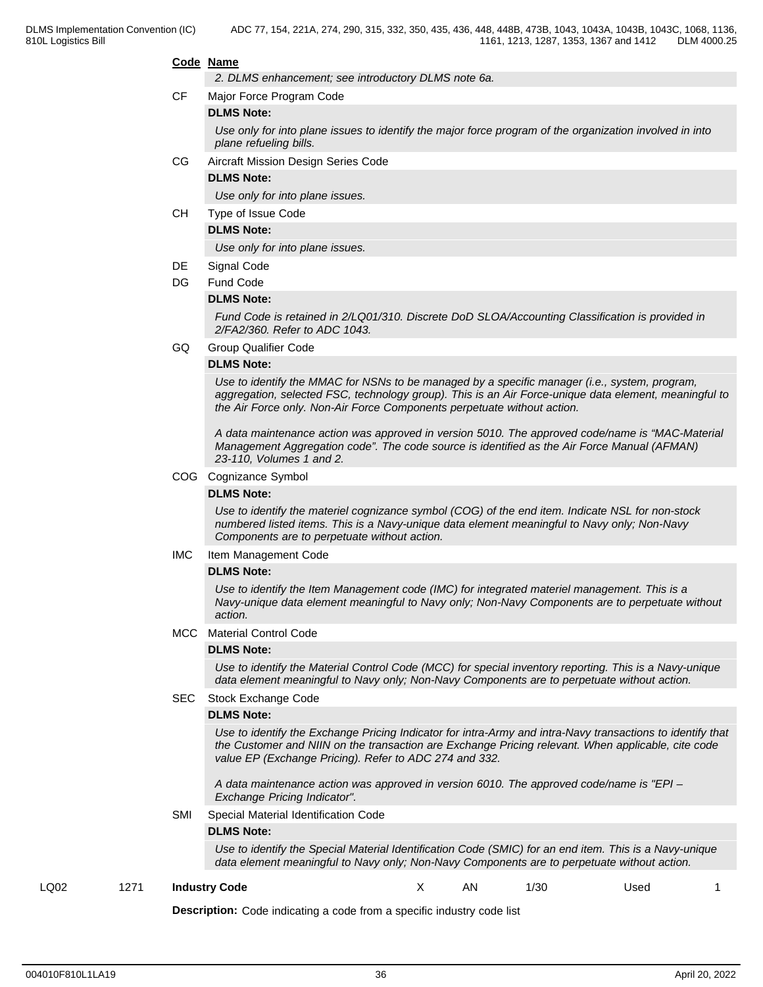#### **Code Name**

*2. DLMS enhancement; see introductory DLMS note 6a.*

CF Major Force Program Code

#### **DLMS Note:**

*Use only for into plane issues to identify the major force program of the organization involved in into plane refueling bills.*

#### CG Aircraft Mission Design Series Code

#### **DLMS Note:**

*Use only for into plane issues.*

CH Type of Issue Code

#### **DLMS Note:**

*Use only for into plane issues.*

#### DE Signal Code

#### DG Fund Code

#### **DLMS Note:**

*Fund Code is retained in 2/LQ01/310. Discrete DoD SLOA/Accounting Classification is provided in 2/FA2/360. Refer to ADC 1043.*

GQ Group Qualifier Code

#### **DLMS Note:**

*Use to identify the MMAC for NSNs to be managed by a specific manager (i.e., system, program, aggregation, selected FSC, technology group). This is an Air Force-unique data element, meaningful to the Air Force only. Non-Air Force Components perpetuate without action.*

*A data maintenance action was approved in version 5010. The approved code/name is "MAC-Material Management Aggregation code". The code source is identified as the Air Force Manual (AFMAN) 23-110, Volumes 1 and 2.*

#### COG Cognizance Symbol

#### **DLMS Note:**

*Use to identify the materiel cognizance symbol (COG) of the end item. Indicate NSL for non-stock numbered listed items. This is a Navy-unique data element meaningful to Navy only; Non-Navy Components are to perpetuate without action.*

IMC Item Management Code

#### **DLMS Note:**

*Use to identify the Item Management code (IMC) for integrated materiel management. This is a Navy-unique data element meaningful to Navy only; Non-Navy Components are to perpetuate without action.*

#### MCC Material Control Code

#### **DLMS Note:**

*Use to identify the Material Control Code (MCC) for special inventory reporting. This is a Navy-unique data element meaningful to Navy only; Non-Navy Components are to perpetuate without action.*

#### SEC Stock Exchange Code

#### **DLMS Note:**

*Use to identify the Exchange Pricing Indicator for intra-Army and intra-Navy transactions to identify that the Customer and NIIN on the transaction are Exchange Pricing relevant. When applicable, cite code value EP (Exchange Pricing). Refer to ADC 274 and 332.*

*A data maintenance action was approved in version 6010. The approved code/name is "EPI – Exchange Pricing Indicator".*

SMI Special Material Identification Code

#### **DLMS Note:**

*Use to identify the Special Material Identification Code (SMIC) for an end item. This is a Navy-unique data element meaningful to Navy only; Non-Navy Components are to perpetuate without action.*

#### LQ02 1271 **Industry Code** X AN 1/30 Used 1

**Description:** Code indicating a code from a specific industry code list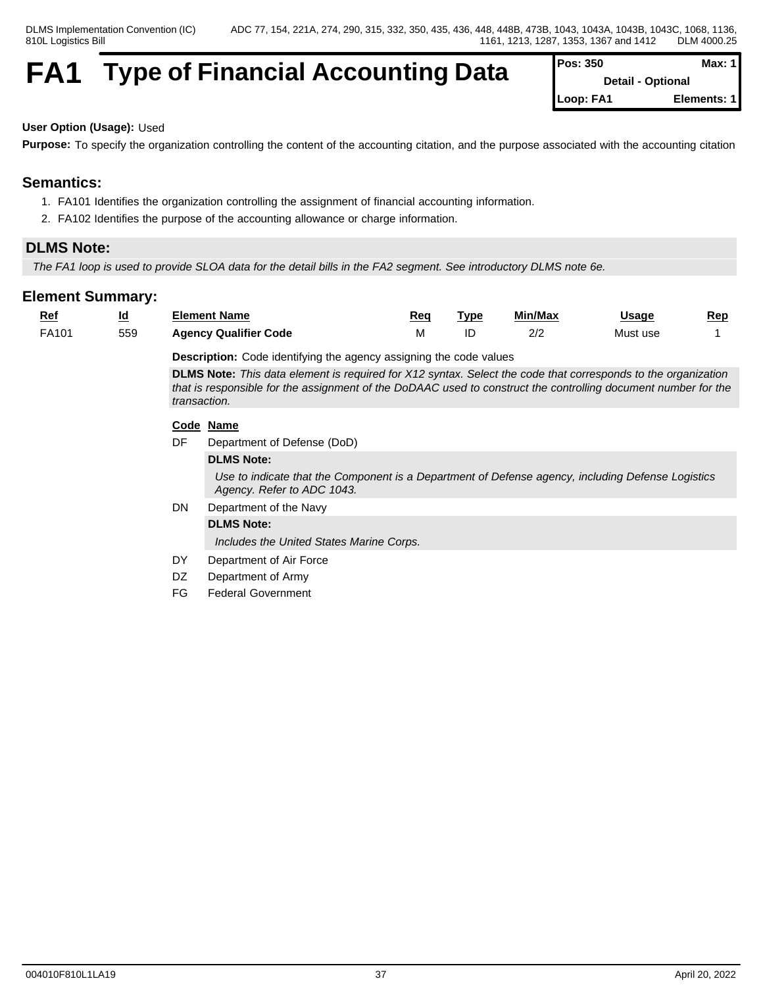## **FA1** Type of Financial Accounting Data

| Pos: 350                 | Max: $1$    |
|--------------------------|-------------|
| <b>Detail - Optional</b> |             |
| Loop: FA1                | Elements: 1 |

## **User Option (Usage):** Used

**Purpose:** To specify the organization controlling the content of the accounting citation, and the purpose associated with the accounting citation

## **Semantics:**

- 1. FA101 Identifies the organization controlling the assignment of financial accounting information.
- 2. FA102 Identifies the purpose of the accounting allowance or charge information.

## **DLMS Note:**

*The FA1 loop is used to provide SLOA data for the detail bills in the FA2 segment. See introductory DLMS note 6e.*

| $Ref$ | $\underline{\mathsf{Id}}$                                                                                                                                                                                                                              |     | <b>Element Name</b>                                                                                                             | Req | <b>Type</b> | Min/Max | Usage    | Rep |
|-------|--------------------------------------------------------------------------------------------------------------------------------------------------------------------------------------------------------------------------------------------------------|-----|---------------------------------------------------------------------------------------------------------------------------------|-----|-------------|---------|----------|-----|
| FA101 | 559                                                                                                                                                                                                                                                    |     | <b>Agency Qualifier Code</b>                                                                                                    | М   | ID          | 2/2     | Must use |     |
|       |                                                                                                                                                                                                                                                        |     | <b>Description:</b> Code identifying the agency assigning the code values                                                       |     |             |         |          |     |
|       | <b>DLMS Note:</b> This data element is required for X12 syntax. Select the code that corresponds to the organization<br>that is responsible for the assignment of the DoDAAC used to construct the controlling document number for the<br>transaction. |     |                                                                                                                                 |     |             |         |          |     |
|       |                                                                                                                                                                                                                                                        |     | Code Name                                                                                                                       |     |             |         |          |     |
|       |                                                                                                                                                                                                                                                        | DF  | Department of Defense (DoD)                                                                                                     |     |             |         |          |     |
|       |                                                                                                                                                                                                                                                        |     | <b>DLMS Note:</b>                                                                                                               |     |             |         |          |     |
|       |                                                                                                                                                                                                                                                        |     | Use to indicate that the Component is a Department of Defense agency, including Defense Logistics<br>Agency. Refer to ADC 1043. |     |             |         |          |     |
|       |                                                                                                                                                                                                                                                        | DN  | Department of the Navy                                                                                                          |     |             |         |          |     |
|       |                                                                                                                                                                                                                                                        |     | <b>DLMS Note:</b>                                                                                                               |     |             |         |          |     |
|       |                                                                                                                                                                                                                                                        |     | Includes the United States Marine Corps.                                                                                        |     |             |         |          |     |
|       |                                                                                                                                                                                                                                                        | DY  | Department of Air Force                                                                                                         |     |             |         |          |     |
|       |                                                                                                                                                                                                                                                        | DZ. | Department of Army                                                                                                              |     |             |         |          |     |
|       |                                                                                                                                                                                                                                                        | FG  | <b>Federal Government</b>                                                                                                       |     |             |         |          |     |
|       |                                                                                                                                                                                                                                                        |     |                                                                                                                                 |     |             |         |          |     |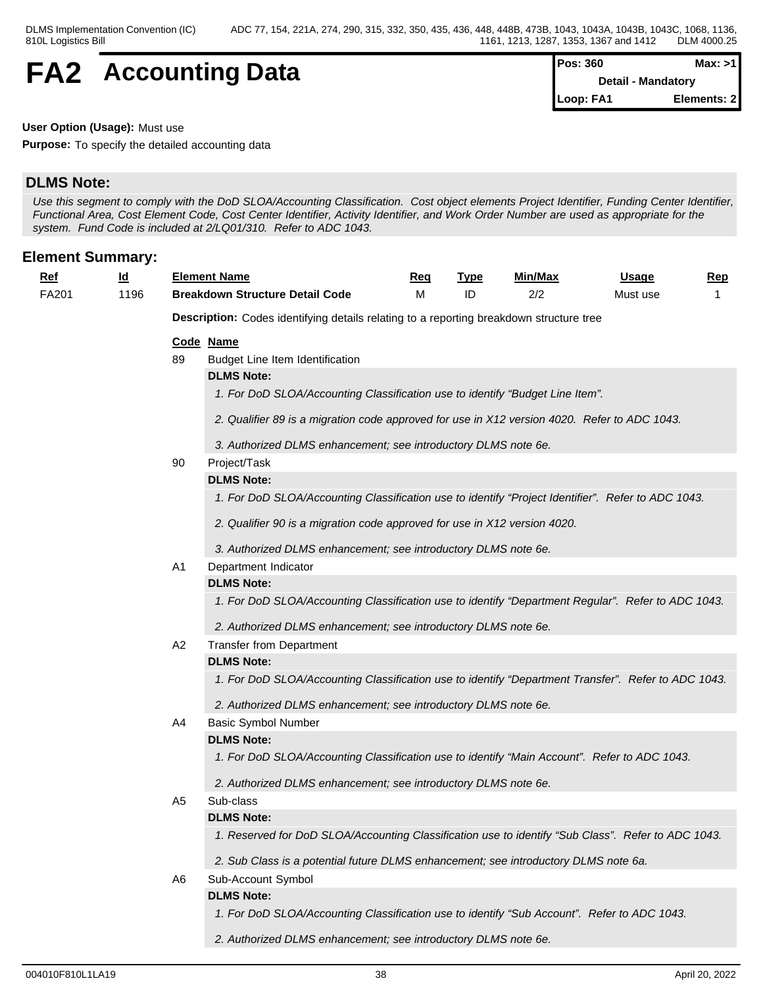## **FA2** Accounting Data

| Pos: 360  | Max: >1            |
|-----------|--------------------|
|           | Detail - Mandatory |
| Loop: FA1 | Elements: 2        |

**User Option (Usage):** Must use

**Purpose:** To specify the detailed accounting data

## **DLMS Note:**

*Use this segment to comply with the DoD SLOA/Accounting Classification. Cost object elements Project Identifier, Funding Center Identifier, Functional Area, Cost Element Code, Cost Center Identifier, Activity Identifier, and Work Order Number are used as appropriate for the system. Fund Code is included at 2/LQ01/310. Refer to ADC 1043.*

## **Element Summary:**

| <u>Ref</u> | ıd<br>$\sim$ | Element Name                           | Req | <b>TVD</b> | Min/Max      | Usage    | Rep |
|------------|--------------|----------------------------------------|-----|------------|--------------|----------|-----|
| FA201      | 196          | <b>Breakdown Structure Detail Code</b> |     |            | יו ה<br>21 L | Must use |     |
|            |              |                                        |     |            |              |          |     |

**Description:** Codes identifying details relating to a reporting breakdown structure tree

#### **Code Name**

89 Budget Line Item Identification

#### **DLMS Note:**

- *1. For DoD SLOA/Accounting Classification use to identify "Budget Line Item".*
- *2. Qualifier 89 is a migration code approved for use in X12 version 4020. Refer to ADC 1043.*
- *3. Authorized DLMS enhancement; see introductory DLMS note 6e.*

#### 90 Project/Task

#### **DLMS Note:**

*1. For DoD SLOA/Accounting Classification use to identify "Project Identifier". Refer to ADC 1043.*

- *2. Qualifier 90 is a migration code approved for use in X12 version 4020.*
- *3. Authorized DLMS enhancement; see introductory DLMS note 6e.*

#### A1 Department Indicator

#### **DLMS Note:**

*1. For DoD SLOA/Accounting Classification use to identify "Department Regular". Refer to ADC 1043.*

*2. Authorized DLMS enhancement; see introductory DLMS note 6e.*

#### A2 Transfer from Department

#### **DLMS Note:**

*1. For DoD SLOA/Accounting Classification use to identify "Department Transfer". Refer to ADC 1043.*

*2. Authorized DLMS enhancement; see introductory DLMS note 6e.*

#### A4 Basic Symbol Number

### **DLMS Note:**

*1. For DoD SLOA/Accounting Classification use to identify "Main Account". Refer to ADC 1043.*

*2. Authorized DLMS enhancement; see introductory DLMS note 6e.*

## A5 Sub-class

## **DLMS Note:**

*1. Reserved for DoD SLOA/Accounting Classification use to identify "Sub Class". Refer to ADC 1043.*

*2. Sub Class is a potential future DLMS enhancement; see introductory DLMS note 6a.*

## A6 Sub-Account Symbol

**DLMS Note:**

*1. For DoD SLOA/Accounting Classification use to identify "Sub Account". Refer to ADC 1043.*

*2. Authorized DLMS enhancement; see introductory DLMS note 6e.*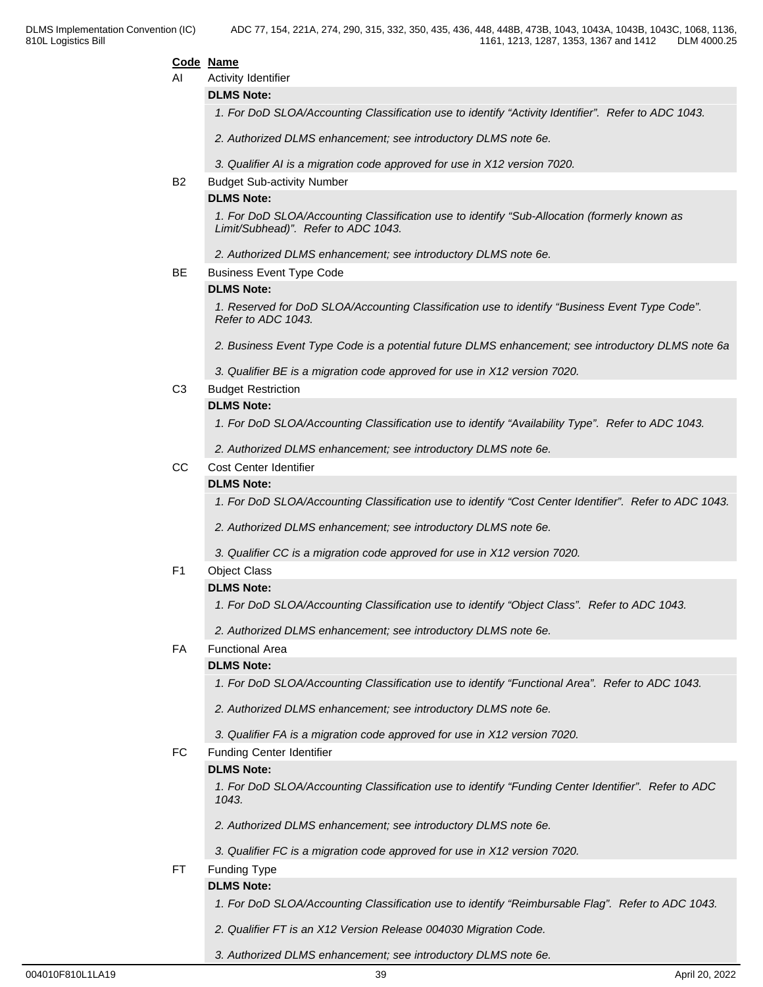#### **Code Name**

AI Activity Identifier

#### **DLMS Note:**

*1. For DoD SLOA/Accounting Classification use to identify "Activity Identifier". Refer to ADC 1043.*

*2. Authorized DLMS enhancement; see introductory DLMS note 6e.*

*3. Qualifier AI is a migration code approved for use in X12 version 7020.*

#### B2 Budget Sub-activity Number

#### **DLMS Note:**

*1. For DoD SLOA/Accounting Classification use to identify "Sub-Allocation (formerly known as Limit/Subhead)". Refer to ADC 1043.*

*2. Authorized DLMS enhancement; see introductory DLMS note 6e.*

BE Business Event Type Code

#### **DLMS Note:**

*1. Reserved for DoD SLOA/Accounting Classification use to identify "Business Event Type Code". Refer to ADC 1043.*

*2. Business Event Type Code is a potential future DLMS enhancement; see introductory DLMS note 6a*

*3. Qualifier BE is a migration code approved for use in X12 version 7020.*

C3 Budget Restriction

#### **DLMS Note:**

*1. For DoD SLOA/Accounting Classification use to identify "Availability Type". Refer to ADC 1043.*

*2. Authorized DLMS enhancement; see introductory DLMS note 6e.*

CC Cost Center Identifier

#### **DLMS Note:**

*1. For DoD SLOA/Accounting Classification use to identify "Cost Center Identifier". Refer to ADC 1043.*

*2. Authorized DLMS enhancement; see introductory DLMS note 6e.*

*3. Qualifier CC is a migration code approved for use in X12 version 7020.*

#### F1 Object Class

#### **DLMS Note:**

*1. For DoD SLOA/Accounting Classification use to identify "Object Class". Refer to ADC 1043.*

*2. Authorized DLMS enhancement; see introductory DLMS note 6e.*

#### FA Functional Area

#### **DLMS Note:**

*1. For DoD SLOA/Accounting Classification use to identify "Functional Area". Refer to ADC 1043.*

*2. Authorized DLMS enhancement; see introductory DLMS note 6e.*

*3. Qualifier FA is a migration code approved for use in X12 version 7020.*

#### FC Funding Center Identifier

#### **DLMS Note:**

*1. For DoD SLOA/Accounting Classification use to identify "Funding Center Identifier". Refer to ADC 1043.*

*2. Authorized DLMS enhancement; see introductory DLMS note 6e.*

*3. Qualifier FC is a migration code approved for use in X12 version 7020.*

FT Funding Type

#### **DLMS Note:**

*1. For DoD SLOA/Accounting Classification use to identify "Reimbursable Flag". Refer to ADC 1043.*

- *2. Qualifier FT is an X12 Version Release 004030 Migration Code.*
- *3. Authorized DLMS enhancement; see introductory DLMS note 6e.*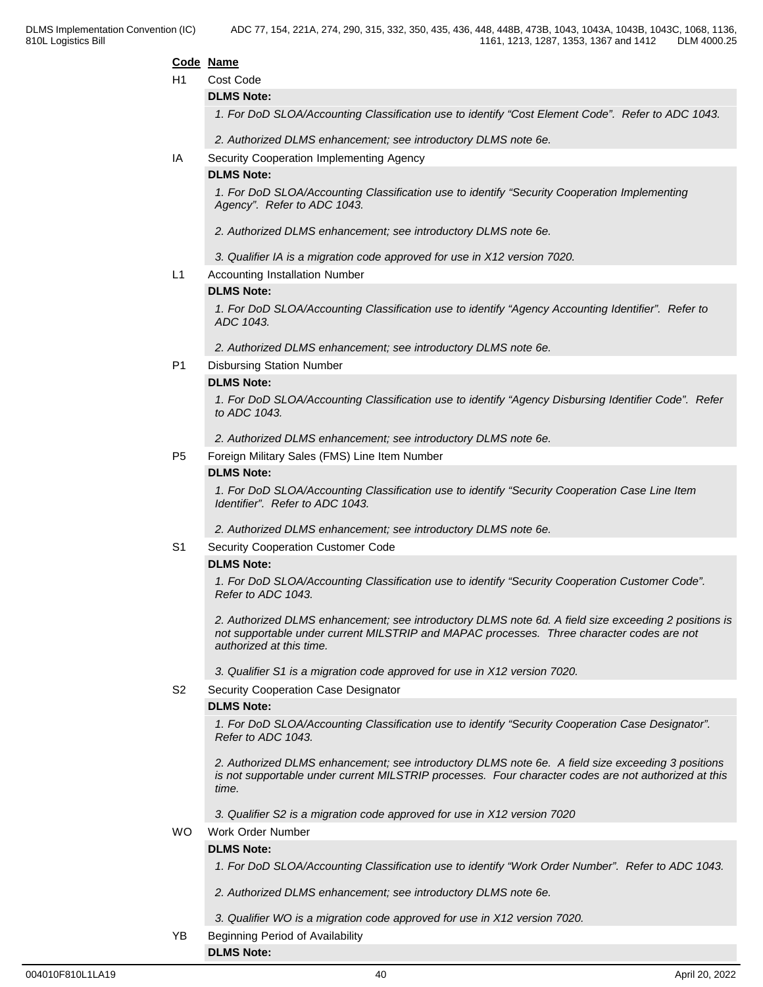#### **Code Name**

#### H1 Cost Code

#### **DLMS Note:**

*1. For DoD SLOA/Accounting Classification use to identify "Cost Element Code". Refer to ADC 1043.*

*2. Authorized DLMS enhancement; see introductory DLMS note 6e.*

#### IA Security Cooperation Implementing Agency

#### **DLMS Note:**

*1. For DoD SLOA/Accounting Classification use to identify "Security Cooperation Implementing Agency". Refer to ADC 1043.*

- *2. Authorized DLMS enhancement; see introductory DLMS note 6e.*
- *3. Qualifier IA is a migration code approved for use in X12 version 7020.*
- L1 Accounting Installation Number

#### **DLMS Note:**

*1. For DoD SLOA/Accounting Classification use to identify "Agency Accounting Identifier". Refer to ADC 1043.*

*2. Authorized DLMS enhancement; see introductory DLMS note 6e.*

#### P1 Disbursing Station Number

#### **DLMS Note:**

*1. For DoD SLOA/Accounting Classification use to identify "Agency Disbursing Identifier Code". Refer to ADC 1043.*

*2. Authorized DLMS enhancement; see introductory DLMS note 6e.*

P5 Foreign Military Sales (FMS) Line Item Number

#### **DLMS Note:**

*1. For DoD SLOA/Accounting Classification use to identify "Security Cooperation Case Line Item Identifier". Refer to ADC 1043.*

*2. Authorized DLMS enhancement; see introductory DLMS note 6e.*

#### S1 Security Cooperation Customer Code

#### **DLMS Note:**

*1. For DoD SLOA/Accounting Classification use to identify "Security Cooperation Customer Code". Refer to ADC 1043.*

*2. Authorized DLMS enhancement; see introductory DLMS note 6d. A field size exceeding 2 positions is not supportable under current MILSTRIP and MAPAC processes. Three character codes are not authorized at this time.*

*3. Qualifier S1 is a migration code approved for use in X12 version 7020.*

S2 Security Cooperation Case Designator

#### **DLMS Note:**

*1. For DoD SLOA/Accounting Classification use to identify "Security Cooperation Case Designator". Refer to ADC 1043.*

*2. Authorized DLMS enhancement; see introductory DLMS note 6e. A field size exceeding 3 positions is not supportable under current MILSTRIP processes. Four character codes are not authorized at this time.*

*3. Qualifier S2 is a migration code approved for use in X12 version 7020*

#### WO Work Order Number

#### **DLMS Note:**

**DLMS Note:**

*1. For DoD SLOA/Accounting Classification use to identify "Work Order Number". Refer to ADC 1043.*

- *2. Authorized DLMS enhancement; see introductory DLMS note 6e.*
- *3. Qualifier WO is a migration code approved for use in X12 version 7020.*
- YB Beginning Period of Availability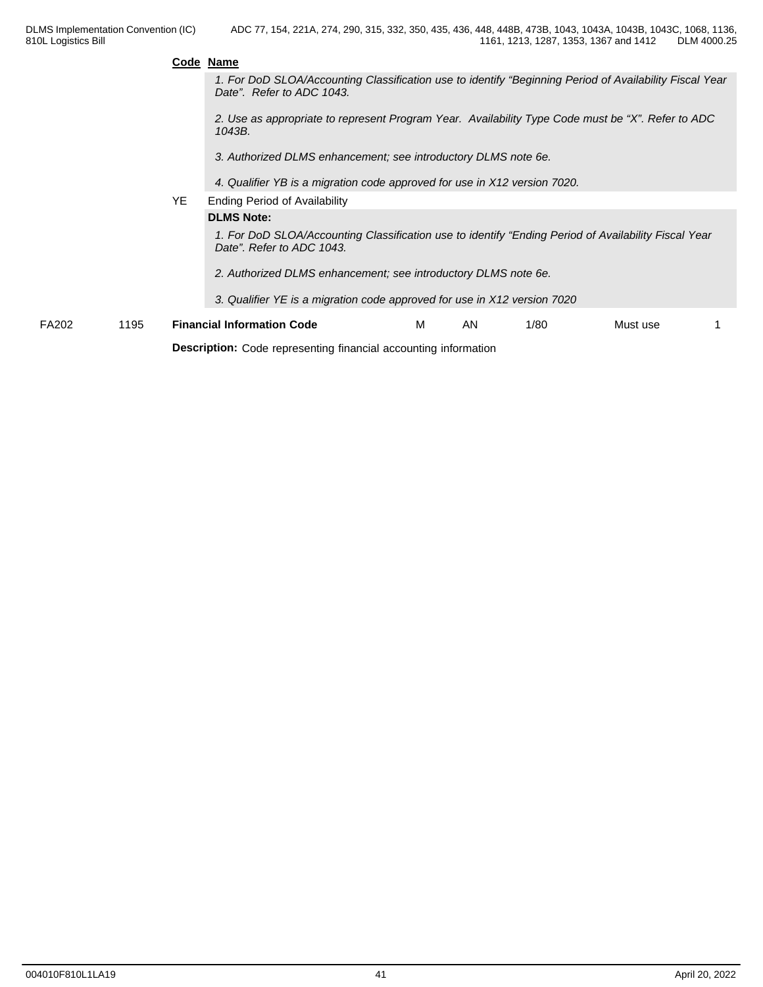| Code Name |  |  |
|-----------|--|--|
|           |  |  |

*1. For DoD SLOA/Accounting Classification use to identify "Beginning Period of Availability Fiscal Year Date". Refer to ADC 1043.*

*2. Use as appropriate to represent Program Year. Availability Type Code must be "X". Refer to ADC 1043B.*

*3. Authorized DLMS enhancement; see introductory DLMS note 6e.*

- *4. Qualifier YB is a migration code approved for use in X12 version 7020.*
- YE Ending Period of Availability

**DLMS Note:**

*1. For DoD SLOA/Accounting Classification use to identify "Ending Period of Availability Fiscal Year Date". Refer to ADC 1043.* 

*2. Authorized DLMS enhancement; see introductory DLMS note 6e.*

*3. Qualifier YE is a migration code approved for use in X12 version 7020*

| FA202 | 105<br>ט טו | $\cdot$ Information $\overline{\phantom{a}}$<br>Code<br>Financial | IVI. | ΑN | $\sqrt{2}$<br>1/8u | Must use |  |
|-------|-------------|-------------------------------------------------------------------|------|----|--------------------|----------|--|
|       |             |                                                                   |      |    |                    |          |  |

**Description:** Code representing financial accounting information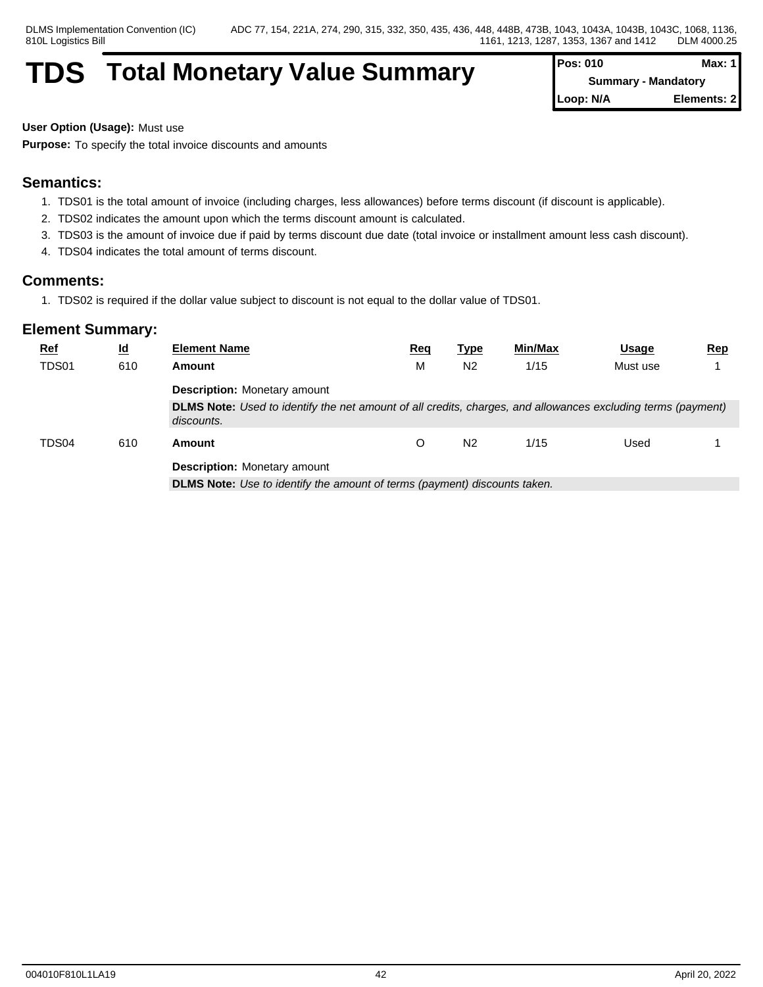## **TDS** Total Monetary Value Summary

| <b>Pos: 010</b> | Max: 1                     |
|-----------------|----------------------------|
|                 | <b>Summary - Mandatory</b> |
| Loop: N/A       | Elements: 21               |

**User Option (Usage):** Must use

**Purpose:** To specify the total invoice discounts and amounts

## **Semantics:**

- 1. TDS01 is the total amount of invoice (including charges, less allowances) before terms discount (if discount is applicable).
- 2. TDS02 indicates the amount upon which the terms discount amount is calculated.
- 3. TDS03 is the amount of invoice due if paid by terms discount due date (total invoice or installment amount less cash discount).
- 4. TDS04 indicates the total amount of terms discount.

## **Comments:**

1. TDS02 is required if the dollar value subject to discount is not equal to the dollar value of TDS01.

| <b>Ref</b>   | $\underline{\mathsf{Id}}$ | <b>Element Name</b>                                                                                                        | <u>Req</u> | <u>Type</u>    | Min/Max | <b>Usage</b> | Rep |  |  |  |
|--------------|---------------------------|----------------------------------------------------------------------------------------------------------------------------|------------|----------------|---------|--------------|-----|--|--|--|
| <b>TDS01</b> | 610                       | Amount                                                                                                                     | Μ          | N <sub>2</sub> | 1/15    | Must use     |     |  |  |  |
|              |                           | <b>Description:</b> Monetary amount                                                                                        |            |                |         |              |     |  |  |  |
|              |                           | DLMS Note: Used to identify the net amount of all credits, charges, and allowances excluding terms (payment)<br>discounts. |            |                |         |              |     |  |  |  |
|              |                           |                                                                                                                            |            |                |         |              |     |  |  |  |
| TDS04        | 610                       | Amount                                                                                                                     |            | N <sub>2</sub> | 1/15    | Used         |     |  |  |  |
|              |                           | <b>Description:</b> Monetary amount                                                                                        |            |                |         |              |     |  |  |  |
|              |                           | <b>DLMS Note:</b> Use to identify the amount of terms (payment) discounts taken.                                           |            |                |         |              |     |  |  |  |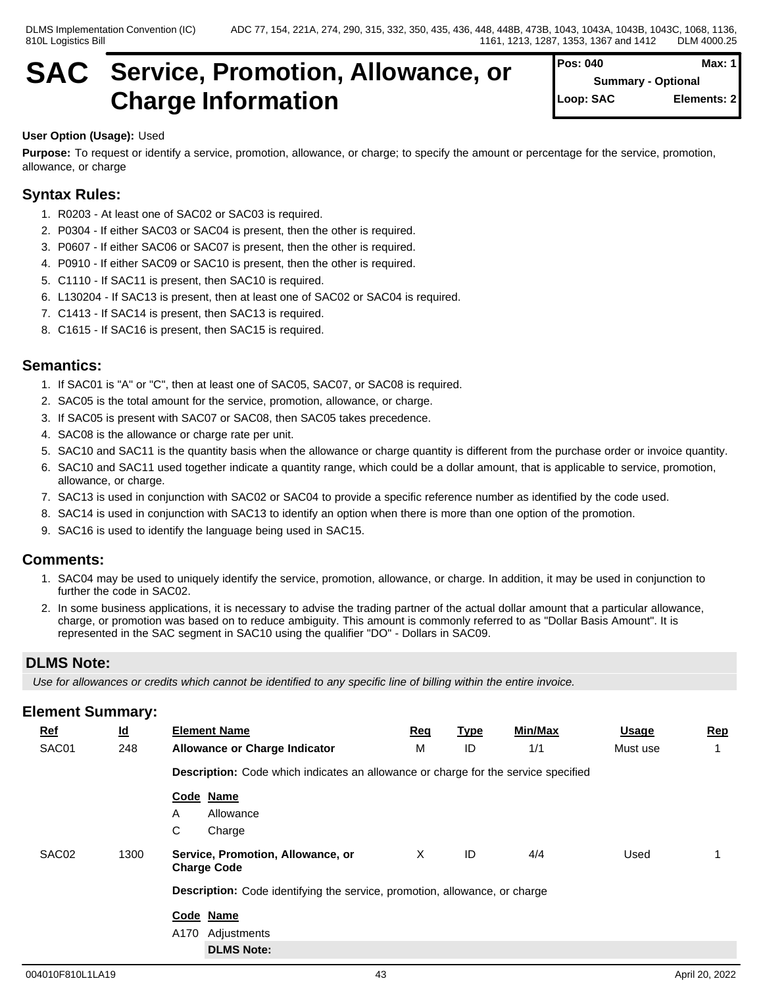## **SAC Service, Promotion, Allowance, or Charge Information**

## **User Option (Usage):** Used

**Purpose:** To request or identify a service, promotion, allowance, or charge; to specify the amount or percentage for the service, promotion, allowance, or charge

## **Syntax Rules:**

- 1. R0203 At least one of SAC02 or SAC03 is required.
- 2. P0304 If either SAC03 or SAC04 is present, then the other is required.
- 3. P0607 If either SAC06 or SAC07 is present, then the other is required.
- 4. P0910 If either SAC09 or SAC10 is present, then the other is required.
- 5. C1110 If SAC11 is present, then SAC10 is required.
- 6. L130204 If SAC13 is present, then at least one of SAC02 or SAC04 is required.
- 7. C1413 If SAC14 is present, then SAC13 is required.
- 8. C1615 If SAC16 is present, then SAC15 is required.

## **Semantics:**

- 1. If SAC01 is "A" or "C", then at least one of SAC05, SAC07, or SAC08 is required.
- 2. SAC05 is the total amount for the service, promotion, allowance, or charge.
- 3. If SAC05 is present with SAC07 or SAC08, then SAC05 takes precedence.
- 4. SAC08 is the allowance or charge rate per unit.
- 5. SAC10 and SAC11 is the quantity basis when the allowance or charge quantity is different from the purchase order or invoice quantity.
- 6. SAC10 and SAC11 used together indicate a quantity range, which could be a dollar amount, that is applicable to service, promotion, allowance, or charge.
- 7. SAC13 is used in conjunction with SAC02 or SAC04 to provide a specific reference number as identified by the code used.
- 8. SAC14 is used in conjunction with SAC13 to identify an option when there is more than one option of the promotion.
- 9. SAC16 is used to identify the language being used in SAC15.

### **Comments:**

- 1. SAC04 may be used to uniquely identify the service, promotion, allowance, or charge. In addition, it may be used in conjunction to further the code in SAC02.
- 2. In some business applications, it is necessary to advise the trading partner of the actual dollar amount that a particular allowance, charge, or promotion was based on to reduce ambiguity. This amount is commonly referred to as "Dollar Basis Amount". It is represented in the SAC segment in SAC10 using the qualifier "DO" - Dollars in SAC09.

## **DLMS Note:**

*Use for allowances or credits which cannot be identified to any specific line of billing within the entire invoice.*

| $Ref$ | $\underline{\mathsf{Id}}$ | <b>Element Name</b>                                                                       | Req | <u>Type</u> | Min/Max | <b>Usage</b> | <b>Rep</b> |  |  |
|-------|---------------------------|-------------------------------------------------------------------------------------------|-----|-------------|---------|--------------|------------|--|--|
| SAC01 | 248                       | <b>Allowance or Charge Indicator</b>                                                      | М   | ID          | 1/1     | Must use     |            |  |  |
|       |                           | <b>Description:</b> Code which indicates an allowance or charge for the service specified |     |             |         |              |            |  |  |
|       |                           | Code Name                                                                                 |     |             |         |              |            |  |  |
|       |                           | Allowance<br>A                                                                            |     |             |         |              |            |  |  |
|       |                           | C<br>Charge                                                                               |     |             |         |              |            |  |  |
| SAC02 | 1300                      | Service, Promotion, Allowance, or<br><b>Charge Code</b>                                   | Χ   | ID          | 4/4     | Used         |            |  |  |
|       |                           | Description: Code identifying the service, promotion, allowance, or charge                |     |             |         |              |            |  |  |
|       |                           | Code Name                                                                                 |     |             |         |              |            |  |  |
|       |                           | A170<br>Adjustments                                                                       |     |             |         |              |            |  |  |
|       |                           | <b>DLMS Note:</b>                                                                         |     |             |         |              |            |  |  |
|       |                           |                                                                                           |     |             |         |              |            |  |  |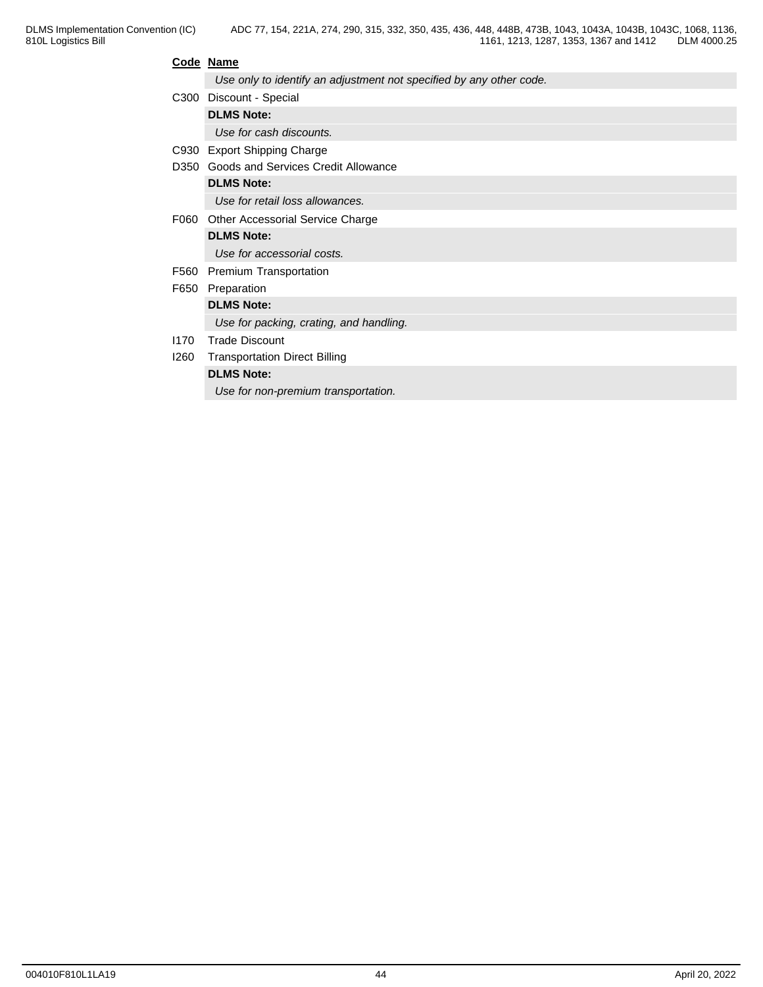### **Code Name**

*Use only to identify an adjustment not specified by any other code.*

|      | C300 Discount - Special                  |
|------|------------------------------------------|
|      | <b>DLMS Note:</b>                        |
|      | Use for cash discounts.                  |
|      | C930 Export Shipping Charge              |
|      | D350 Goods and Services Credit Allowance |
|      | <b>DLMS Note:</b>                        |
|      | Use for retail loss allowances.          |
| F060 | Other Accessorial Service Charge         |
|      | <b>DLMS Note:</b>                        |
|      | Use for accessorial costs.               |
| F560 | <b>Premium Transportation</b>            |
| F650 | Preparation                              |
|      | <b>DLMS Note:</b>                        |
|      | Use for packing, crating, and handling.  |
| 1170 | <b>Trade Discount</b>                    |
| 1260 | <b>Transportation Direct Billing</b>     |
|      | <b>DLMS Note:</b>                        |
|      | Use for non-premium transportation.      |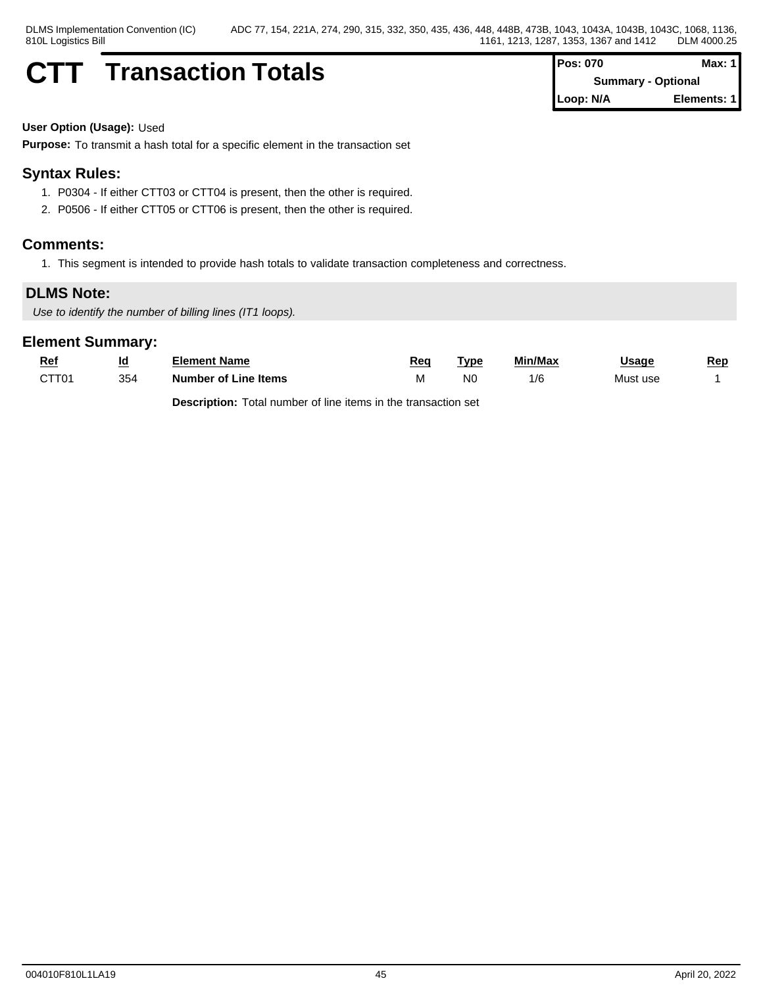## **CTT Transaction Totals Pos: 070 Max: 1 Pos: 070 Max: 1**

**Summary - Optional Loop: N/A Elements: 1**

#### **User Option (Usage):** Used

**Purpose:** To transmit a hash total for a specific element in the transaction set

## **Syntax Rules:**

- 1. P0304 If either CTT03 or CTT04 is present, then the other is required.
- 2. P0506 If either CTT05 or CTT06 is present, then the other is required.

### **Comments:**

1. This segment is intended to provide hash totals to validate transaction completeness and correctness.

### **DLMS Note:**

*Use to identify the number of billing lines (IT1 loops).*

### **Element Summary:**

| <u>Rei</u>        | <u>ld</u> | Element Name         | Rea  | Type           | Min/Max | Jsaɑe    | Rep |
|-------------------|-----------|----------------------|------|----------------|---------|----------|-----|
| CTT <sub>01</sub> | 354       | Number of Line Items | ו עו | N <sub>0</sub> | l/C     | Must use |     |

**Description:** Total number of line items in the transaction set